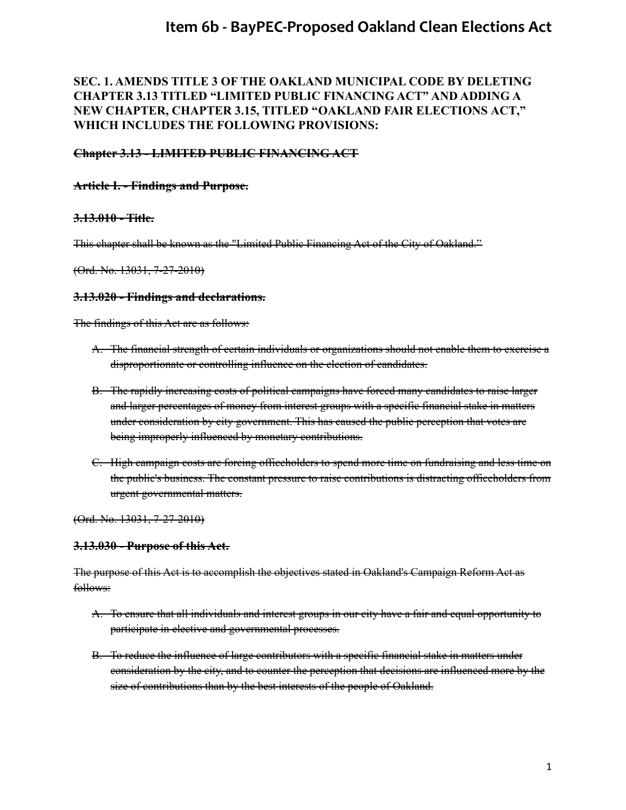### **SEC. 1. AMENDS TITLE 3 OF THE OAKLAND MUNICIPAL CODE BY DELETING CHAPTER 3.13 TITLED "LIMITED PUBLIC FINANCING ACT" AND ADDING A NEW CHAPTER, CHAPTER 3.15, TITLED "OAKLAND FAIR ELECTIONS ACT," WHICH INCLUDES THE FOLLOWING PROVISIONS:**

#### **Chapter 3.13 - LIMITED PUBLIC FINANCING ACT**

#### **Article I. - Findings and Purpose.**

#### **3.13.010 - Title.**

This chapter shall be known as the "Limited Public Financing Act of the City of Oakland."

(Ord. No. 13031, 7-27-2010)

#### **3.13.020 - Findings and declarations.**

The findings of this Act are as follows:

- A. The financial strength of certain individuals or organizations should not enable them to exercise a disproportionate or controlling influence on the election of candidates.
- B. The rapidly increasing costs of political campaigns have forced many candidates to raise larger and larger percentages of money from interest groups with a specific financial stake in matters under consideration by city government. This has caused the public perception that votes are being improperly influenced by monetary contributions.
- C. High campaign costs are forcing officeholders to spend more time on fundraising and less time on the public's business. The constant pressure to raise contributions is distracting officeholders from urgent governmental matters.

(Ord. No. 13031, 7-27-2010)

#### **3.13.030 - Purpose of this Act.**

The purpose of this Act is to accomplish the objectives stated in Oakland's Campaign Reform Act as follows:

- A. To ensure that all individuals and interest groups in our city have a fair and equal opportunity to participate in elective and governmental processes.
- B. To reduce the influence of large contributors with a specific financial stake in matters under consideration by the city, and to counter the perception that decisions are influenced more by the size of contributions than by the best interests of the people of Oakland.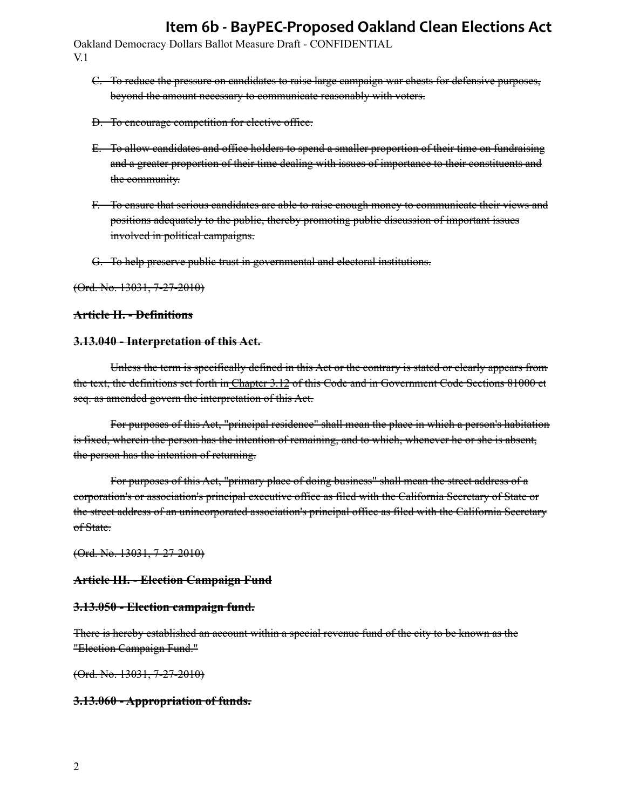Oakland Democracy Dollars Ballot Measure Draft - CONFIDENTIAL V.1

- C. To reduce the pressure on candidates to raise large campaign war chests for defensive purposes, beyond the amount necessary to communicate reasonably with voters.
- D. To encourage competition for elective office.
- E. To allow candidates and office holders to spend a smaller proportion of their time on fundraising and a greater proportion of their time dealing with issues of importance to their constituents and the community.
- F. To ensure that serious candidates are able to raise enough money to communicate their views and positions adequately to the public, thereby promoting public discussion of important issues involved in political campaigns.
- G. To help preserve public trust in governmental and electoral institutions.

(Ord. No. 13031, 7-27-2010)

#### **Article II. - Definitions**

#### **3.13.040 - Interpretation of this Act.**

Unless the term is specifically defined in this Act or the contrary is stated or clearly appears from the text, the definitions set forth in [Chapter 3.12](https://library.municode.com/ca/oakland/codes/code_of_ordinances/283553?nodeId=TIT3MUEL_CH3.12THOACAREAC) of this Code and in Government Code Sections 81000 et seq. as amended govern the interpretation of this Act.

For purposes of this Act, "principal residence" shall mean the place in which a person's habitation is fixed, wherein the person has the intention of remaining, and to which, whenever he or she is absent, the person has the intention of returning.

For purposes of this Act, "primary place of doing business" shall mean the street address of a corporation's or association's principal executive office as filed with the California Secretary of State or the street address of an unincorporated association's principal office as filed with the California Secretary of State.

(Ord. No. 13031, 7-27-2010)

#### **Article III. - Election Campaign Fund**

#### **3.13.050 - Election campaign fund.**

There is hereby established an account within a special revenue fund of the city to be known as the "Election Campaign Fund."

(Ord. No. 13031, 7-27-2010)

#### **3.13.060 - Appropriation of funds.**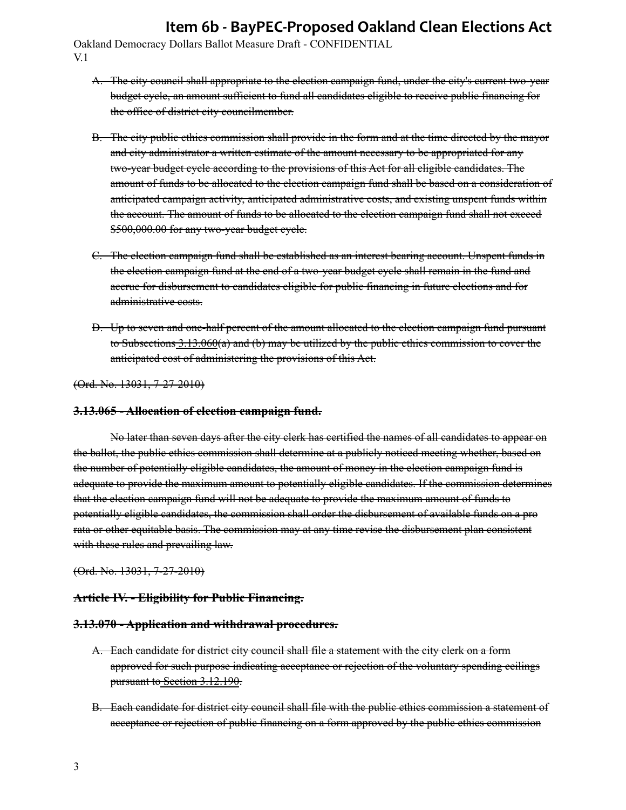Oakland Democracy Dollars Ballot Measure Draft - CONFIDENTIAL V.1

- A. The city council shall appropriate to the election campaign fund, under the city's current two-year budget cycle, an amount sufficient to fund all candidates eligible to receive public financing for the office of district city councilmember.
- B. The city public ethics commission shall provide in the form and at the time directed by the mayor and city administrator a written estimate of the amount necessary to be appropriated for any two-year budget cycle according to the provisions of this Act for all eligible candidates. The amount of funds to be allocated to the election campaign fund shall be based on a consideration of anticipated campaign activity, anticipated administrative costs, and existing unspent funds within the account. The amount of funds to be allocated to the election campaign fund shall not exceed \$500,000.00 for any two-year budget cycle.
- C. The election campaign fund shall be established as an interest bearing account. Unspent funds in the election campaign fund at the end of a two-year budget cycle shall remain in the fund and accrue for disbursement to candidates eligible for public financing in future elections and for administrative costs.
- D. Up to seven and one-half percent of the amount allocated to the election campaign fund pursuant to Subsections  $3.13.060(a)$  and (b) may be utilized by the public ethics commission to cover the anticipated cost of administering the provisions of this Act.

(Ord. No. 13031, 7-27-2010)

#### **3.13.065 - Allocation of election campaign fund.**

No later than seven days after the city clerk has certified the names of all candidates to appear on the ballot, the public ethics commission shall determine at a publicly noticed meeting whether, based on the number of potentially eligible candidates, the amount of money in the election campaign fund is adequate to provide the maximum amount to potentially eligible candidates. If the commission determines that the election campaign fund will not be adequate to provide the maximum amount of funds to potentially eligible candidates, the commission shall order the disbursement of available funds on a pro rata or other equitable basis. The commission may at any time revise the disbursement plan consistent with these rules and prevailing law.

(Ord. No. 13031, 7-27-2010)

#### **Article IV. - Eligibility for Public Financing.**

#### **3.13.070 - Application and withdrawal procedures.**

- A. Each candidate for district city council shall file a statement with the city clerk on a form approved for such purpose indicating acceptance or rejection of the voluntary spending ceilings pursuant t[o Section 3.12.190](https://library.municode.com/ca/oakland/codes/code_of_ordinances/283553?nodeId=TIT3MUEL_CH3.12THOACAREAC_ARTIVEXCE_3.12.190EXCE).
- B. Each candidate for district city council shall file with the public ethics commission a statement of acceptance or rejection of public financing on a form approved by the public ethics commission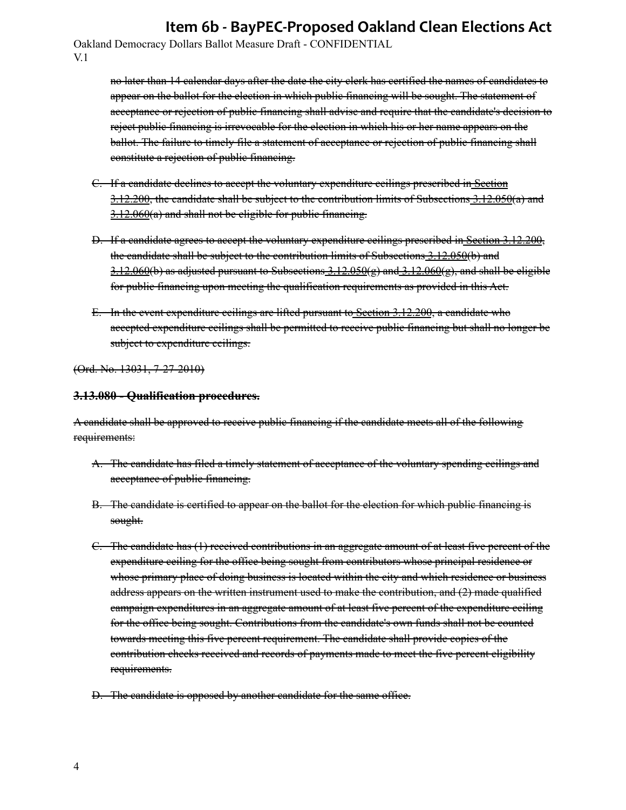Oakland Democracy Dollars Ballot Measure Draft - CONFIDENTIAL V.1

> no later than 14 calendar days after the date the city clerk has certified the names of candidates to appear on the ballot for the election in which public financing will be sought. The statement of acceptance or rejection of public financing shall advise and require that the candidate's decision to reject public financing is irrevocable for the election in which his or her name appears on the ballot. The failure to timely file a statement of acceptance or rejection of public financing shall constitute a rejection of public financing.

- C. If a candidate declines to accept the voluntary expenditure ceilings prescribed i[n Section](https://library.municode.com/ca/oakland/codes/code_of_ordinances/283553?nodeId=TIT3MUEL_CH3.12THOACAREAC_ARTIVEXCE_3.12.200AMEXCE) [3.12.200](https://library.municode.com/ca/oakland/codes/code_of_ordinances/283553?nodeId=TIT3MUEL_CH3.12THOACAREAC_ARTIVEXCE_3.12.200AMEXCE), the candidate shall be subject to the contribution limits of Subsections [3.12.050\(](https://library.municode.com/ca/oakland/codes/code_of_ordinances/283553?nodeId=TIT3MUEL_CH3.12THOACAREAC_ARTIIICOLI_3.12.050LICOPE)a) and  $3.12.060(a)$  $3.12.060(a)$  and shall not be eligible for public financing.
- D. If a candidate agrees to accept the voluntary expenditure ceilings prescribed i[n Section 3.12.200](https://library.municode.com/ca/oakland/codes/code_of_ordinances/283553?nodeId=TIT3MUEL_CH3.12THOACAREAC_ARTIVEXCE_3.12.200AMEXCE), the can[d](https://library.municode.com/ca/oakland/codes/code_of_ordinances/283553?nodeId=TIT3MUEL_CH3.12THOACAREAC_ARTIIICOLI_3.12.060LICOBRSEPOCO)idate shall be subject to the contribution limits of Subsections  $3.12.050(b)$  and  $3.12.060(b)$  $3.12.060(b)$  as adjusted pursuant to Subsections  $3.12.050(e)$  and  $3.12.060(e)$ , and shall be eligible for public financing upon meeting the qualification requirements as provided in this Act.
- E. In the event expenditure ceilings are lifted pursuant t[o Section 3.12.200](https://library.municode.com/ca/oakland/codes/code_of_ordinances/283553?nodeId=TIT3MUEL_CH3.12THOACAREAC_ARTIVEXCE_3.12.200AMEXCE), a candidate who accepted expenditure ceilings shall be permitted to receive public financing but shall no longer be subject to expenditure ecilings.

(Ord. No. 13031, 7-27-2010)

#### **3.13.080 - Qualification procedures.**

A candidate shall be approved to receive public financing if the candidate meets all of the following requirements:

- A. The candidate has filed a timely statement of acceptance of the voluntary spending ceilings and acceptance of public financing.
- B. The candidate is certified to appear on the ballot for the election for which public financing is sought.
- C. The candidate has (1) received contributions in an aggregate amount of at least five percent of the expenditure ceiling for the office being sought from contributors whose principal residence or whose primary place of doing business is located within the city and which residence or business address appears on the written instrument used to make the contribution, and (2) made qualified campaign expenditures in an aggregate amount of at least five percent of the expenditure ceiling for the office being sought. Contributions from the candidate's own funds shall not be counted towards meeting this five percent requirement. The candidate shall provide copies of the contribution checks received and records of payments made to meet the five percent eligibility requirements.
- D. The candidate is opposed by another candidate for the same office.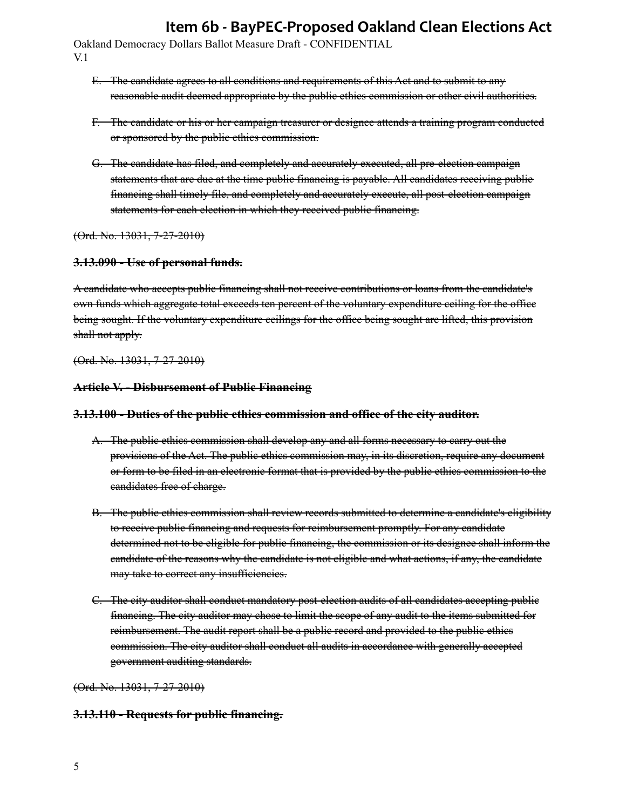Oakland Democracy Dollars Ballot Measure Draft - CONFIDENTIAL V.1

- E. The candidate agrees to all conditions and requirements of this Act and to submit to any reasonable audit deemed appropriate by the public ethics commission or other civil authorities.
- F. The candidate or his or her campaign treasurer or designee attends a training program conducted or sponsored by the public ethics commission.
- G. The candidate has filed, and completely and accurately executed, all pre-election campaign statements that are due at the time public financing is payable. All candidates receiving public financing shall timely file, and completely and accurately execute, all post-election campaign statements for each election in which they received public financing.

(Ord. No. 13031, 7-27-2010)

#### **3.13.090 - Use of personal funds.**

A candidate who accepts public financing shall not receive contributions or loans from the candidate's own funds which aggregate total exceeds ten percent of the voluntary expenditure ceiling for the office being sought. If the voluntary expenditure ecilings for the office being sought are lifted, this provision shall not apply.

(Ord. No. 13031, 7-27-2010)

#### **Article V. - Disbursement of Public Financing**

#### **3.13.100 - Duties of the public ethics commission and office of the city auditor.**

- A. The public ethics commission shall develop any and all forms necessary to carry out the provisions of the Act. The public ethics commission may, in its discretion, require any document or form to be filed in an electronic format that is provided by the public ethics commission to the candidates free of charge.
- B. The public ethics commission shall review records submitted to determine a candidate's eligibility to receive public financing and requests for reimbursement promptly. For any candidate determined not to be eligible for public financing, the commission or its designee shall inform the candidate of the reasons why the candidate is not eligible and what actions, if any, the candidate may take to correct any insufficiencies.
- C. The city auditor shall conduct mandatory post-election audits of all candidates accepting public financing. The city auditor may chose to limit the scope of any audit to the items submitted for reimbursement. The audit report shall be a public record and provided to the public ethics commission. The city auditor shall conduct all audits in accordance with generally accepted government auditing standards.

(Ord. No. 13031, 7-27-2010)

#### **3.13.110 - Requests for public financing.**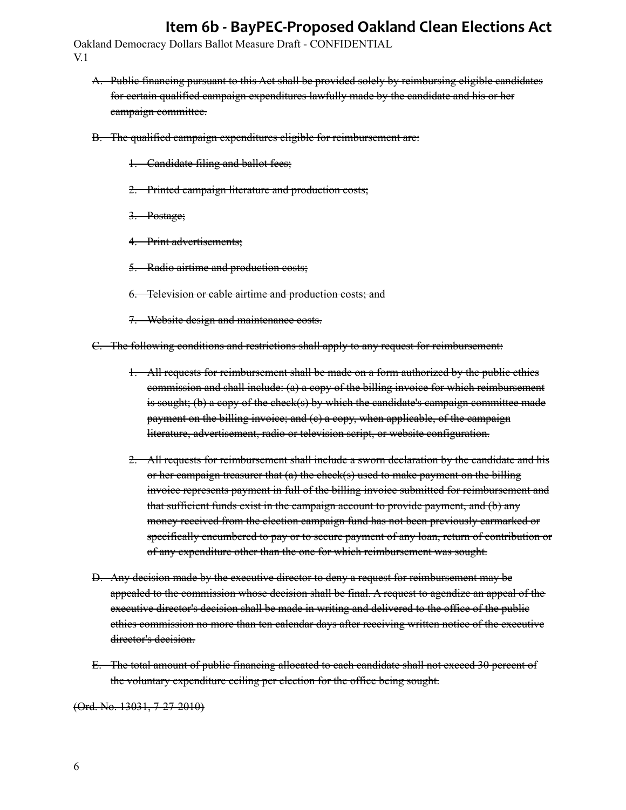Oakland Democracy Dollars Ballot Measure Draft - CONFIDENTIAL V.1

- A. Public financing pursuant to this Act shall be provided solely by reimbursing eligible candidates for certain qualified campaign expenditures lawfully made by the candidate and his or her campaign committee.
- B. The qualified campaign expenditures eligible for reimbursement are:
	- 1. Candidate filing and ballot fees;
	- 2. Printed campaign literature and production costs;
	- 3. Postage;
	- 4. Print advertisements;
	- 5. Radio airtime and production costs;
	- 6. Television or cable airtime and production costs; and
	- 7. Website design and maintenance costs.
- C. The following conditions and restrictions shall apply to any request for reimbursement:
	- 1. All requests for reimbursement shall be made on a form authorized by the public ethics commission and shall include: (a) a copy of the billing invoice for which reimbursement is sought; (b) a copy of the check(s) by which the candidate's campaign committee made payment on the billing invoice; and (e) a copy, when applicable, of the campaign literature, advertisement, radio or television script, or website configuration.
	- 2. All requests for reimbursement shall include a sworn declaration by the candidate and his or her campaign treasurer that  $(a)$  the check $(s)$  used to make payment on the billing invoice represents payment in full of the billing invoice submitted for reimbursement and that sufficient funds exist in the campaign account to provide payment, and (b) any money received from the election campaign fund has not been previously earmarked or specifically encumbered to pay or to secure payment of any loan, return of contribution or of any expenditure other than the one for which reimbursement was sought.
- D. Any decision made by the executive director to deny a request for reimbursement may be appealed to the commission whose decision shall be final. A request to agendize an appeal of the executive director's decision shall be made in writing and delivered to the office of the public ethics commission no more than ten calendar days after receiving written notice of the executive director's decision.
- E. The total amount of public financing allocated to each candidate shall not exceed 30 percent of the voluntary expenditure ceiling per election for the office being sought.

(Ord. No. 13031, 7-27-2010)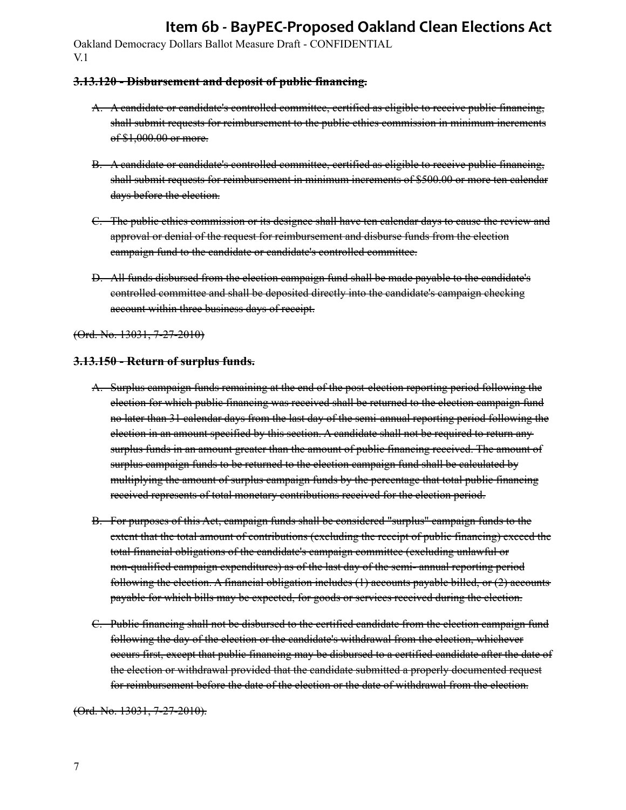Oakland Democracy Dollars Ballot Measure Draft - CONFIDENTIAL V.1

#### **3.13.120 - Disbursement and deposit of public financing.**

- A. A candidate or candidate's controlled committee, certified as eligible to receive public financing, shall submit requests for reimbursement to the public ethics commission in minimum increments of \$1,000.00 or more.
- B. A candidate or candidate's controlled committee, certified as eligible to receive public financing, shall submit requests for reimbursement in minimum increments of \$500.00 or more ten calendar days before the election.
- C. The public ethics commission or its designee shall have ten calendar days to cause the review and approval or denial of the request for reimbursement and disburse funds from the election campaign fund to the candidate or candidate's controlled committee.
- D. All funds disbursed from the election campaign fund shall be made payable to the candidate's controlled committee and shall be deposited directly into the candidate's campaign checking account within three business days of receipt.

(Ord. No. 13031, 7-27-2010)

#### **3.13.150 - Return of surplus funds.**

- A. Surplus campaign funds remaining at the end of the post-election reporting period following the election for which public financing was received shall be returned to the election campaign fund no later than 31 calendar days from the last day of the semi-annual reporting period following the election in an amount specified by this section. A candidate shall not be required to return any surplus funds in an amount greater than the amount of public financing received. The amount of surplus campaign funds to be returned to the election campaign fund shall be calculated by multiplying the amount of surplus campaign funds by the percentage that total public financing received represents of total monetary contributions received for the election period.
- B. For purposes of this Act, campaign funds shall be considered "surplus" campaign funds to the extent that the total amount of contributions (excluding the receipt of public financing) exceed the total financial obligations of the candidate's campaign committee (excluding unlawful or non-qualified campaign expenditures) as of the last day of the semi- annual reporting period following the election. A financial obligation includes (1) accounts payable billed, or (2) accounts payable for which bills may be expected, for goods or services received during the election.
- C. Public financing shall not be disbursed to the certified candidate from the election campaign fund following the day of the election or the candidate's withdrawal from the election, whichever occurs first, except that public financing may be disbursed to a certified candidate after the date of the election or withdrawal provided that the candidate submitted a properly documented request for reimbursement before the date of the election or the date of withdrawal from the election.

(Ord. No. 13031, 7-27-2010).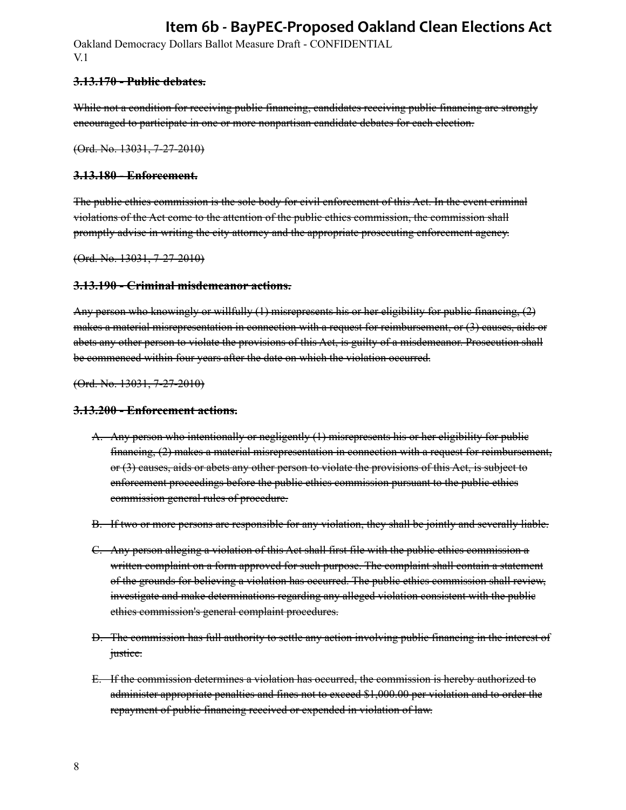Oakland Democracy Dollars Ballot Measure Draft - CONFIDENTIAL V.1

#### **3.13.170 - Public debates.**

While not a condition for receiving public financing, candidates receiving public financing are strongly encouraged to participate in one or more nonpartisan candidate debates for each election.

(Ord. No. 13031, 7-27-2010)

#### **3.13.180 - Enforcement.**

The public ethics commission is the sole body for civil enforcement of this Act. In the event criminal violations of the Act come to the attention of the public ethics commission, the commission shall promptly advise in writing the city attorney and the appropriate prosecuting enforcement agency.

(Ord. No. 13031, 7-27-2010)

#### **3.13.190 - Criminal misdemeanor actions.**

Any person who knowingly or willfully (1) misrepresents his or her eligibility for public financing, (2) makes a material misrepresentation in connection with a request for reimbursement, or (3) causes, aids or abets any other person to violate the provisions of this Act, is guilty of a misdemeanor. Prosecution shall be commenced within four years after the date on which the violation occurred.

(Ord. No. 13031, 7-27-2010)

#### **3.13.200 - Enforcement actions.**

- A. Any person who intentionally or negligently (1) misrepresents his or her eligibility for public financing, (2) makes a material misrepresentation in connection with a request for reimbursement, or (3) causes, aids or abets any other person to violate the provisions of this Act, is subject to enforcement proceedings before the public ethics commission pursuant to the public ethics commission general rules of procedure.
- B. If two or more persons are responsible for any violation, they shall be jointly and severally liable.
- C. Any person alleging a violation of this Act shall first file with the public ethics commission a written complaint on a form approved for such purpose. The complaint shall contain a statement of the grounds for believing a violation has occurred. The public ethics commission shall review, investigate and make determinations regarding any alleged violation consistent with the public ethics commission's general complaint procedures.
- D. The commission has full authority to settle any action involving public financing in the interest of justice.
- E. If the commission determines a violation has occurred, the commission is hereby authorized to administer appropriate penalties and fines not to exceed \$1,000.00 per violation and to order the repayment of public financing received or expended in violation of law.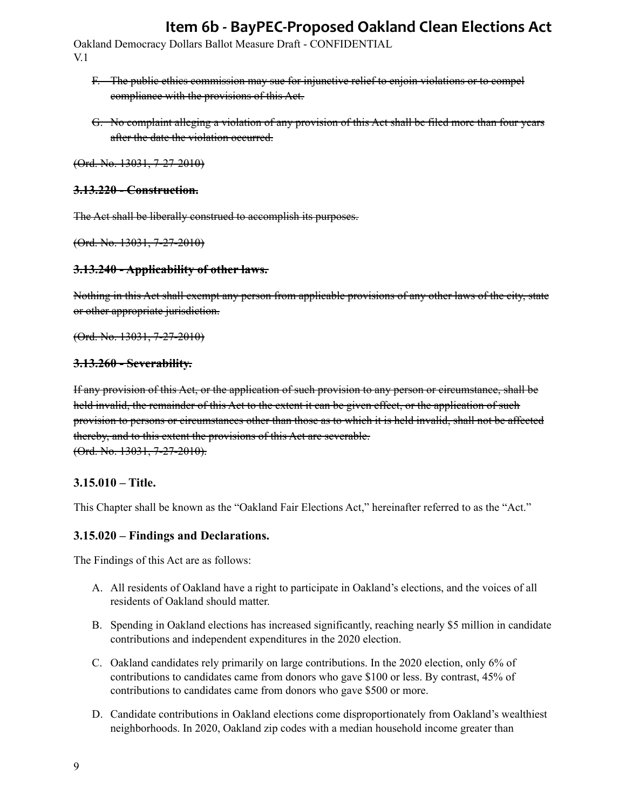Oakland Democracy Dollars Ballot Measure Draft - CONFIDENTIAL V.1

- F. The public ethics commission may sue for injunctive relief to enjoin violations or to compel compliance with the provisions of this Act.
- G. No complaint alleging a violation of any provision of this Act shall be filed more than four years after the date the violation occurred.

(Ord. No. 13031, 7-27-2010)

#### **3.13.220 - Construction.**

The Act shall be liberally construed to accomplish its purposes.

(Ord. No. 13031, 7-27-2010)

#### **3.13.240 - Applicability of other laws.**

Nothing in this Act shall exempt any person from applicable provisions of any other laws of the city, state or other appropriate jurisdiction.

(Ord. No. 13031, 7-27-2010)

#### **3.13.260 - Severability.**

If any provision of this Act, or the application of such provision to any person or circumstance, shall be held invalid, the remainder of this Act to the extent it can be given effect, or the application of such provision to persons or circumstances other than those as to which it is held invalid, shall not be affected thereby, and to this extent the provisions of this Act are severable. (Ord. No. 13031, 7-27-2010).

#### **3.15.010 – Title.**

This Chapter shall be known as the "Oakland Fair Elections Act," hereinafter referred to as the "Act."

#### **3.15.020 – Findings and Declarations.**

The Findings of this Act are as follows:

- A. All residents of Oakland have a right to participate in Oakland's elections, and the voices of all residents of Oakland should matter.
- B. Spending in Oakland elections has increased significantly, reaching nearly \$5 million in candidate contributions and independent expenditures in the 2020 election.
- C. Oakland candidates rely primarily on large contributions. In the 2020 election, only 6% of contributions to candidates came from donors who gave \$100 or less. By contrast, 45% of contributions to candidates came from donors who gave \$500 or more.
- D. Candidate contributions in Oakland elections come disproportionately from Oakland's wealthiest neighborhoods. In 2020, Oakland zip codes with a median household income greater than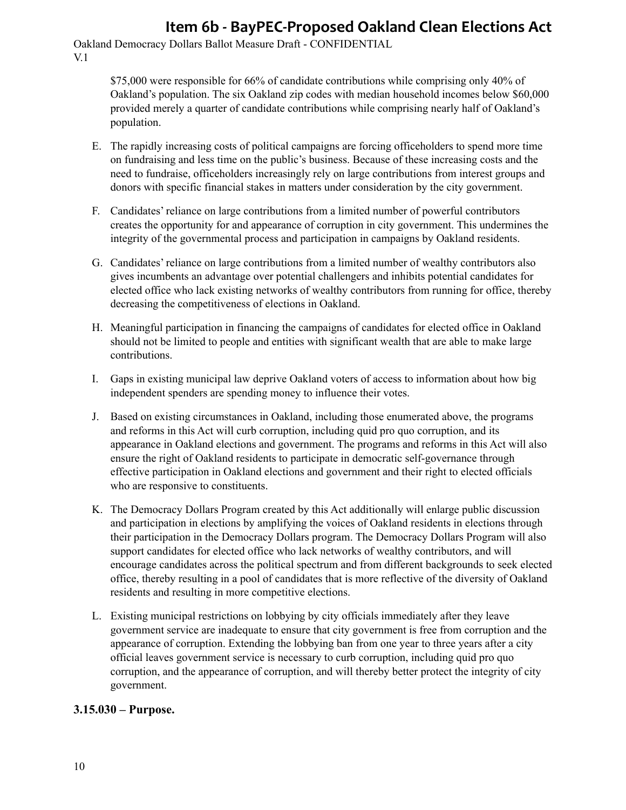Oakland Democracy Dollars Ballot Measure Draft - CONFIDENTIAL V.1

> \$75,000 were responsible for 66% of candidate contributions while comprising only 40% of Oakland's population. The six Oakland zip codes with median household incomes below \$60,000 provided merely a quarter of candidate contributions while comprising nearly half of Oakland's population.

- E. The rapidly increasing costs of political campaigns are forcing officeholders to spend more time on fundraising and less time on the public's business. Because of these increasing costs and the need to fundraise, officeholders increasingly rely on large contributions from interest groups and donors with specific financial stakes in matters under consideration by the city government.
- F. Candidates' reliance on large contributions from a limited number of powerful contributors creates the opportunity for and appearance of corruption in city government. This undermines the integrity of the governmental process and participation in campaigns by Oakland residents.
- G. Candidates' reliance on large contributions from a limited number of wealthy contributors also gives incumbents an advantage over potential challengers and inhibits potential candidates for elected office who lack existing networks of wealthy contributors from running for office, thereby decreasing the competitiveness of elections in Oakland.
- H. Meaningful participation in financing the campaigns of candidates for elected office in Oakland should not be limited to people and entities with significant wealth that are able to make large contributions.
- I. Gaps in existing municipal law deprive Oakland voters of access to information about how big independent spenders are spending money to influence their votes.
- J. Based on existing circumstances in Oakland, including those enumerated above, the programs and reforms in this Act will curb corruption, including quid pro quo corruption, and its appearance in Oakland elections and government. The programs and reforms in this Act will also ensure the right of Oakland residents to participate in democratic self-governance through effective participation in Oakland elections and government and their right to elected officials who are responsive to constituents.
- K. The Democracy Dollars Program created by this Act additionally will enlarge public discussion and participation in elections by amplifying the voices of Oakland residents in elections through their participation in the Democracy Dollars program. The Democracy Dollars Program will also support candidates for elected office who lack networks of wealthy contributors, and will encourage candidates across the political spectrum and from different backgrounds to seek elected office, thereby resulting in a pool of candidates that is more reflective of the diversity of Oakland residents and resulting in more competitive elections.
- L. Existing municipal restrictions on lobbying by city officials immediately after they leave government service are inadequate to ensure that city government is free from corruption and the appearance of corruption. Extending the lobbying ban from one year to three years after a city official leaves government service is necessary to curb corruption, including quid pro quo corruption, and the appearance of corruption, and will thereby better protect the integrity of city government.

### **3.15.030 – Purpose.**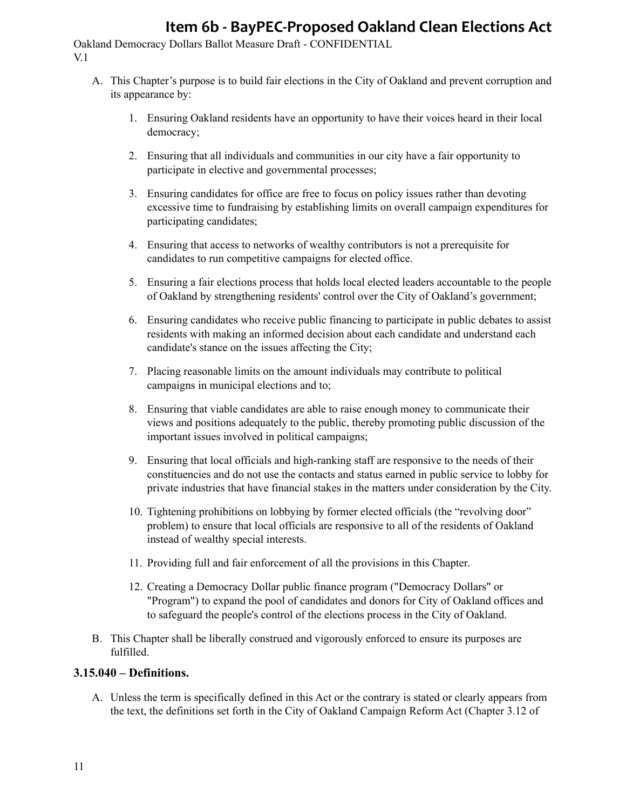Oakland Democracy Dollars Ballot Measure Draft - CONFIDENTIAL V.1

- A. This Chapter's purpose is to build fair elections in the City of Oakland and prevent corruption and its appearance by:
	- 1. Ensuring Oakland residents have an opportunity to have their voices heard in their local democracy;
	- 2. Ensuring that all individuals and communities in our city have a fair opportunity to participate in elective and governmental processes;
	- 3. Ensuring candidates for office are free to focus on policy issues rather than devoting excessive time to fundraising by establishing limits on overall campaign expenditures for participating candidates;
	- 4. Ensuring that access to networks of wealthy contributors is not a prerequisite for candidates to run competitive campaigns for elected office.
	- 5. Ensuring a fair elections process that holds local elected leaders accountable to the people of Oakland by strengthening residents' control over the City of Oakland's government;
	- 6. Ensuring candidates who receive public financing to participate in public debates to assist residents with making an informed decision about each candidate and understand each candidate's stance on the issues affecting the City;
	- 7. Placing reasonable limits on the amount individuals may contribute to political campaigns in municipal elections and to;
	- 8. Ensuring that viable candidates are able to raise enough money to communicate their views and positions adequately to the public, thereby promoting public discussion of the important issues involved in political campaigns;
	- 9. Ensuring that local officials and high-ranking staff are responsive to the needs of their constituencies and do not use the contacts and status earned in public service to lobby for private industries that have financial stakes in the matters under consideration by the City.
	- 10. Tightening prohibitions on lobbying by former elected officials (the "revolving door" problem) to ensure that local officials are responsive to all of the residents of Oakland instead of wealthy special interests.
	- 11. Providing full and fair enforcement of all the provisions in this Chapter.
	- 12. Creating a Democracy Dollar public finance program ("Democracy Dollars" or "Program") to expand the pool of candidates and donors for City of Oakland offices and to safeguard the people's control of the elections process in the City of Oakland.
- B. This Chapter shall be liberally construed and vigorously enforced to ensure its purposes are fulfilled.

#### **3.15.040 – Definitions.**

A. Unless the term is specifically defined in this Act or the contrary is stated or clearly appears from the text, the definitions set forth in the City of Oakland Campaign Reform Act (Chapter 3.12 of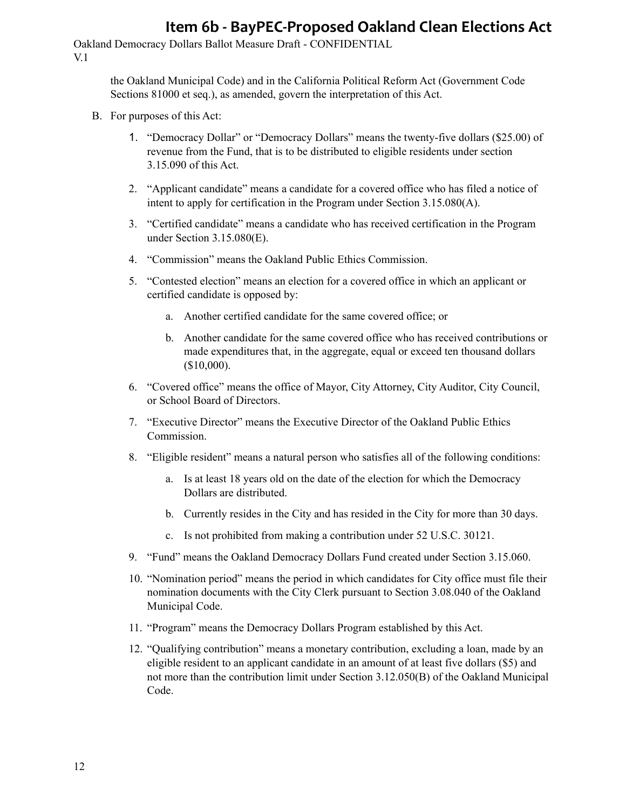Oakland Democracy Dollars Ballot Measure Draft - CONFIDENTIAL V.1

> the Oakland Municipal Code) and in the California Political Reform Act (Government Code Sections 81000 et seq.), as amended, govern the interpretation of this Act.

- B. For purposes of this Act:
	- 1. "Democracy Dollar" or "Democracy Dollars" means the twenty-five dollars (\$25.00) of revenue from the Fund, that is to be distributed to eligible residents under section 3.15.090 of this Act.
	- 2. "Applicant candidate" means a candidate for a covered office who has filed a notice of intent to apply for certification in the Program under Section 3.15.080(A).
	- 3. "Certified candidate" means a candidate who has received certification in the Program under Section 3.15.080(E).
	- 4. "Commission" means the Oakland Public Ethics Commission.
	- 5. "Contested election" means an election for a covered office in which an applicant or certified candidate is opposed by:
		- a. Another certified candidate for the same covered office; or
		- b. Another candidate for the same covered office who has received contributions or made expenditures that, in the aggregate, equal or exceed ten thousand dollars (\$10,000).
	- 6. "Covered office" means the office of Mayor, City Attorney, City Auditor, City Council, or School Board of Directors.
	- 7. "Executive Director" means the Executive Director of the Oakland Public Ethics Commission.
	- 8. "Eligible resident" means a natural person who satisfies all of the following conditions:
		- a. Is at least 18 years old on the date of the election for which the Democracy Dollars are distributed.
		- b. Currently resides in the City and has resided in the City for more than 30 days.
		- c. Is not prohibited from making a contribution under 52 U.S.C. 30121.
	- 9. "Fund" means the Oakland Democracy Dollars Fund created under Section 3.15.060.
	- 10. "Nomination period" means the period in which candidates for City office must file their nomination documents with the City Clerk pursuant to Section 3.08.040 of the Oakland Municipal Code.
	- 11. "Program" means the Democracy Dollars Program established by this Act.
	- 12. "Qualifying contribution" means a monetary contribution, excluding a loan, made by an eligible resident to an applicant candidate in an amount of at least five dollars (\$5) and not more than the contribution limit under Section 3.12.050(B) of the Oakland Municipal Code.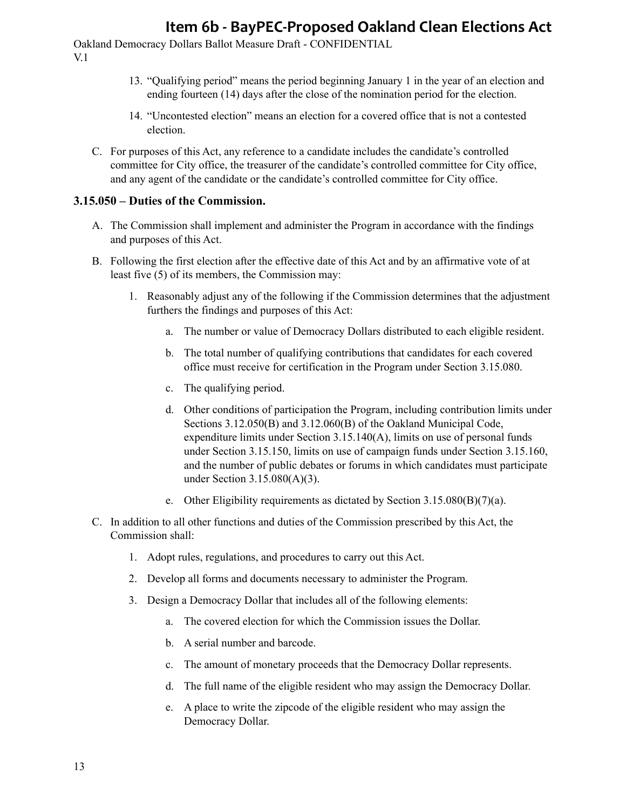Oakland Democracy Dollars Ballot Measure Draft - CONFIDENTIAL V.1

- 13. "Qualifying period" means the period beginning January 1 in the year of an election and ending fourteen (14) days after the close of the nomination period for the election.
- 14. "Uncontested election" means an election for a covered office that is not a contested election.
- C. For purposes of this Act, any reference to a candidate includes the candidate's controlled committee for City office, the treasurer of the candidate's controlled committee for City office, and any agent of the candidate or the candidate's controlled committee for City office.

#### **3.15.050 – Duties of the Commission.**

- A. The Commission shall implement and administer the Program in accordance with the findings and purposes of this Act.
- B. Following the first election after the effective date of this Act and by an affirmative vote of at least five (5) of its members, the Commission may:
	- 1. Reasonably adjust any of the following if the Commission determines that the adjustment furthers the findings and purposes of this Act:
		- a. The number or value of Democracy Dollars distributed to each eligible resident.
		- b. The total number of qualifying contributions that candidates for each covered office must receive for certification in the Program under Section 3.15.080.
		- c. The qualifying period.
		- d. Other conditions of participation the Program, including contribution limits under Sections 3.12.050(B) and 3.12.060(B) of the Oakland Municipal Code, expenditure limits under Section 3.15.140(A), limits on use of personal funds under Section 3.15.150, limits on use of campaign funds under Section 3.15.160, and the number of public debates or forums in which candidates must participate under Section 3.15.080(A)(3).
		- e. Other Eligibility requirements as dictated by Section 3.15.080(B)(7)(a).
- C. In addition to all other functions and duties of the Commission prescribed by this Act, the Commission shall:
	- 1. Adopt rules, regulations, and procedures to carry out this Act.
	- 2. Develop all forms and documents necessary to administer the Program.
	- 3. Design a Democracy Dollar that includes all of the following elements:
		- a. The covered election for which the Commission issues the Dollar.
		- b. A serial number and barcode.
		- c. The amount of monetary proceeds that the Democracy Dollar represents.
		- d. The full name of the eligible resident who may assign the Democracy Dollar.
		- e. A place to write the zipcode of the eligible resident who may assign the Democracy Dollar.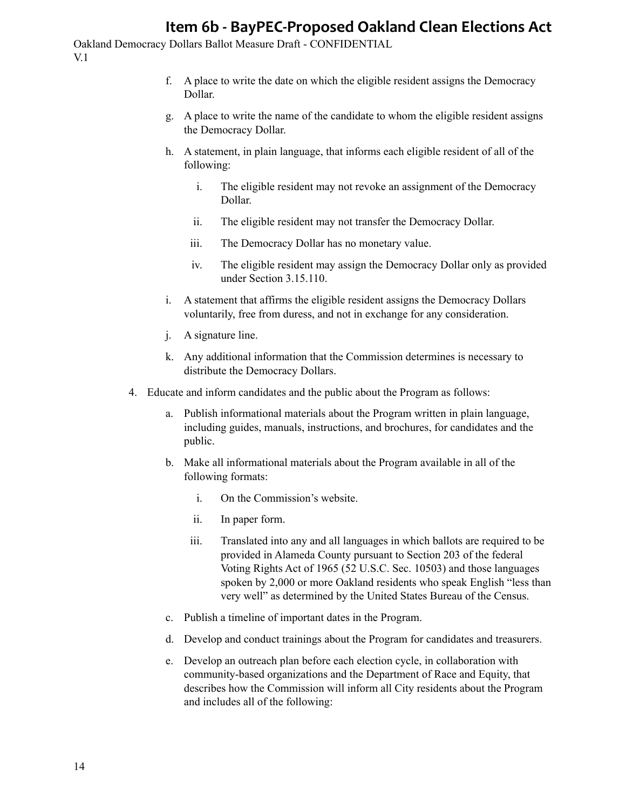- f. A place to write the date on which the eligible resident assigns the Democracy Dollar.
- g. A place to write the name of the candidate to whom the eligible resident assigns the Democracy Dollar.
- h. A statement, in plain language, that informs each eligible resident of all of the following:
	- i. The eligible resident may not revoke an assignment of the Democracy Dollar.
	- ii. The eligible resident may not transfer the Democracy Dollar.
	- iii. The Democracy Dollar has no monetary value.
	- iv. The eligible resident may assign the Democracy Dollar only as provided under Section 3.15.110.
- i. A statement that affirms the eligible resident assigns the Democracy Dollars voluntarily, free from duress, and not in exchange for any consideration.
- j. A signature line.
- k. Any additional information that the Commission determines is necessary to distribute the Democracy Dollars.
- 4. Educate and inform candidates and the public about the Program as follows:
	- a. Publish informational materials about the Program written in plain language, including guides, manuals, instructions, and brochures, for candidates and the public.
	- b. Make all informational materials about the Program available in all of the following formats:
		- i. On the Commission's website.
		- ii. In paper form.
		- iii. Translated into any and all languages in which ballots are required to be provided in Alameda County pursuant to Section 203 of the federal Voting Rights Act of 1965 (52 U.S.C. Sec. 10503) and those languages spoken by 2,000 or more Oakland residents who speak English "less than very well" as determined by the United States Bureau of the Census.
	- c. Publish a timeline of important dates in the Program.
	- d. Develop and conduct trainings about the Program for candidates and treasurers.
	- e. Develop an outreach plan before each election cycle, in collaboration with community-based organizations and the Department of Race and Equity, that describes how the Commission will inform all City residents about the Program and includes all of the following: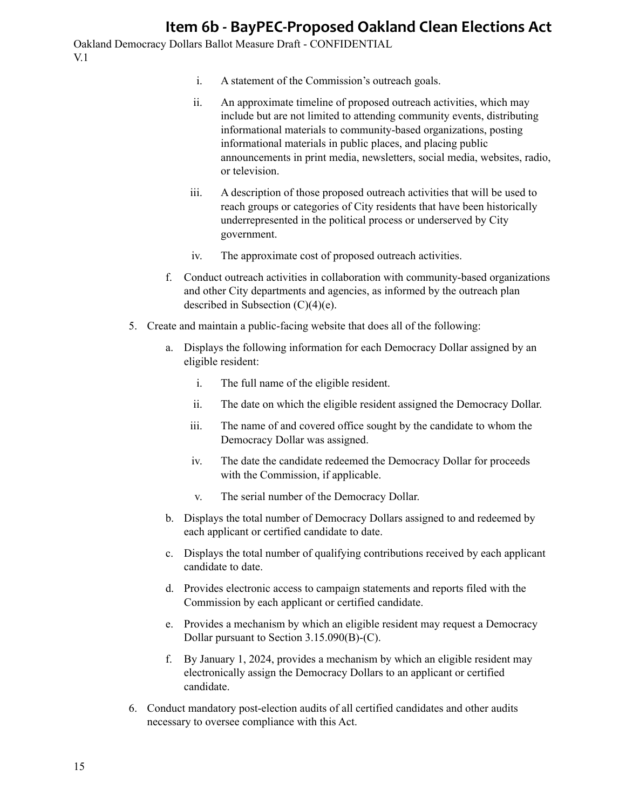- i. A statement of the Commission's outreach goals.
- ii. An approximate timeline of proposed outreach activities, which may include but are not limited to attending community events, distributing informational materials to community-based organizations, posting informational materials in public places, and placing public announcements in print media, newsletters, social media, websites, radio, or television.
- iii. A description of those proposed outreach activities that will be used to reach groups or categories of City residents that have been historically underrepresented in the political process or underserved by City government.
- iv. The approximate cost of proposed outreach activities.
- f. Conduct outreach activities in collaboration with community-based organizations and other City departments and agencies, as informed by the outreach plan described in Subsection (C)(4)(e).
- 5. Create and maintain a public-facing website that does all of the following:
	- a. Displays the following information for each Democracy Dollar assigned by an eligible resident:
		- i. The full name of the eligible resident.
		- ii. The date on which the eligible resident assigned the Democracy Dollar.
		- iii. The name of and covered office sought by the candidate to whom the Democracy Dollar was assigned.
		- iv. The date the candidate redeemed the Democracy Dollar for proceeds with the Commission, if applicable.
		- v. The serial number of the Democracy Dollar.
	- b. Displays the total number of Democracy Dollars assigned to and redeemed by each applicant or certified candidate to date.
	- c. Displays the total number of qualifying contributions received by each applicant candidate to date.
	- d. Provides electronic access to campaign statements and reports filed with the Commission by each applicant or certified candidate.
	- e. Provides a mechanism by which an eligible resident may request a Democracy Dollar pursuant to Section 3.15.090(B)-(C).
	- f. By January 1, 2024, provides a mechanism by which an eligible resident may electronically assign the Democracy Dollars to an applicant or certified candidate.
- 6. Conduct mandatory post-election audits of all certified candidates and other audits necessary to oversee compliance with this Act.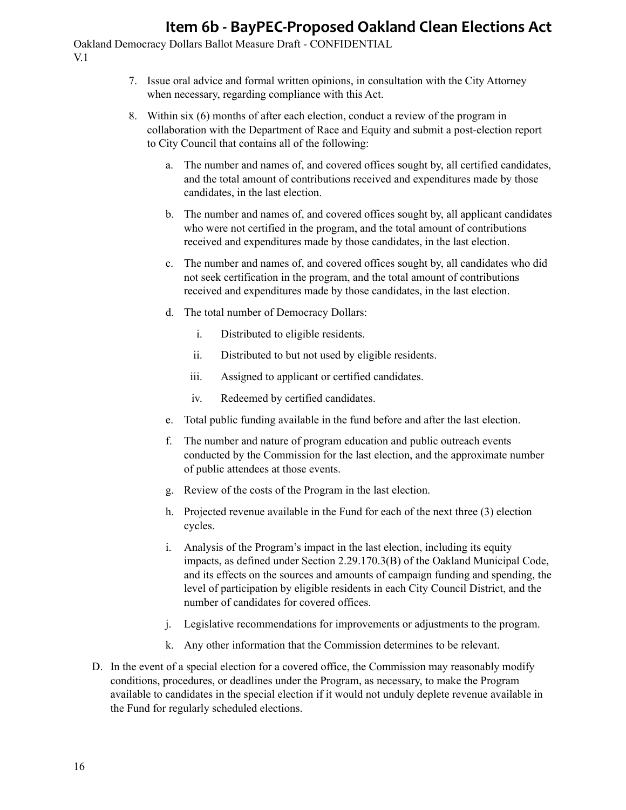- 7. Issue oral advice and formal written opinions, in consultation with the City Attorney when necessary, regarding compliance with this Act.
- 8. Within six (6) months of after each election, conduct a review of the program in collaboration with the Department of Race and Equity and submit a post-election report to City Council that contains all of the following:
	- a. The number and names of, and covered offices sought by, all certified candidates, and the total amount of contributions received and expenditures made by those candidates, in the last election.
	- b. The number and names of, and covered offices sought by, all applicant candidates who were not certified in the program, and the total amount of contributions received and expenditures made by those candidates, in the last election.
	- c. The number and names of, and covered offices sought by, all candidates who did not seek certification in the program, and the total amount of contributions received and expenditures made by those candidates, in the last election.
	- d. The total number of Democracy Dollars:
		- i. Distributed to eligible residents.
		- ii. Distributed to but not used by eligible residents.
		- iii. Assigned to applicant or certified candidates.
		- iv. Redeemed by certified candidates.
	- e. Total public funding available in the fund before and after the last election.
	- f. The number and nature of program education and public outreach events conducted by the Commission for the last election, and the approximate number of public attendees at those events.
	- g. Review of the costs of the Program in the last election.
	- h. Projected revenue available in the Fund for each of the next three (3) election cycles.
	- i. Analysis of the Program's impact in the last election, including its equity impacts, as defined under Section 2.29.170.3(B) of the Oakland Municipal Code, and its effects on the sources and amounts of campaign funding and spending, the level of participation by eligible residents in each City Council District, and the number of candidates for covered offices.
	- j. Legislative recommendations for improvements or adjustments to the program.
	- k. Any other information that the Commission determines to be relevant.
- D. In the event of a special election for a covered office, the Commission may reasonably modify conditions, procedures, or deadlines under the Program, as necessary, to make the Program available to candidates in the special election if it would not unduly deplete revenue available in the Fund for regularly scheduled elections.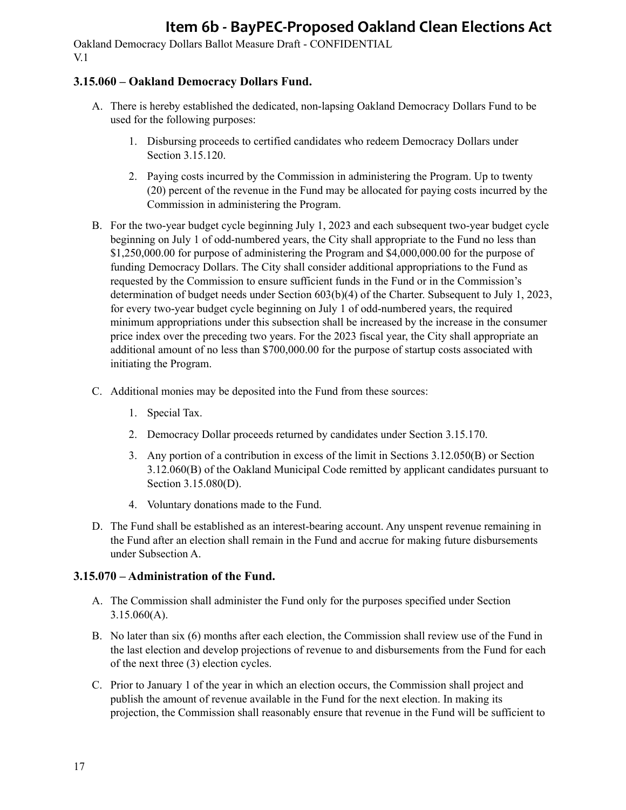Oakland Democracy Dollars Ballot Measure Draft - CONFIDENTIAL V.1

### **3.15.060 – Oakland Democracy Dollars Fund.**

- A. There is hereby established the dedicated, non-lapsing Oakland Democracy Dollars Fund to be used for the following purposes:
	- 1. Disbursing proceeds to certified candidates who redeem Democracy Dollars under Section 3.15.120.
	- 2. Paying costs incurred by the Commission in administering the Program. Up to twenty (20) percent of the revenue in the Fund may be allocated for paying costs incurred by the Commission in administering the Program.
- B. For the two-year budget cycle beginning July 1, 2023 and each subsequent two-year budget cycle beginning on July 1 of odd-numbered years, the City shall appropriate to the Fund no less than \$1,250,000.00 for purpose of administering the Program and \$4,000,000.00 for the purpose of funding Democracy Dollars. The City shall consider additional appropriations to the Fund as requested by the Commission to ensure sufficient funds in the Fund or in the Commission's determination of budget needs under Section 603(b)(4) of the Charter. Subsequent to July 1, 2023, for every two-year budget cycle beginning on July 1 of odd-numbered years, the required minimum appropriations under this subsection shall be increased by the increase in the consumer price index over the preceding two years. For the 2023 fiscal year, the City shall appropriate an additional amount of no less than \$700,000.00 for the purpose of startup costs associated with initiating the Program.
- C. Additional monies may be deposited into the Fund from these sources:
	- 1. Special Tax.
	- 2. Democracy Dollar proceeds returned by candidates under Section 3.15.170.
	- 3. Any portion of a contribution in excess of the limit in Sections 3.12.050(B) or Section 3.12.060(B) of the Oakland Municipal Code remitted by applicant candidates pursuant to Section 3.15.080(D).
	- 4. Voluntary donations made to the Fund.
- D. The Fund shall be established as an interest-bearing account. Any unspent revenue remaining in the Fund after an election shall remain in the Fund and accrue for making future disbursements under Subsection A.

### **3.15.070 – Administration of the Fund.**

- A. The Commission shall administer the Fund only for the purposes specified under Section 3.15.060(A).
- B. No later than six (6) months after each election, the Commission shall review use of the Fund in the last election and develop projections of revenue to and disbursements from the Fund for each of the next three (3) election cycles.
- C. Prior to January 1 of the year in which an election occurs, the Commission shall project and publish the amount of revenue available in the Fund for the next election. In making its projection, the Commission shall reasonably ensure that revenue in the Fund will be sufficient to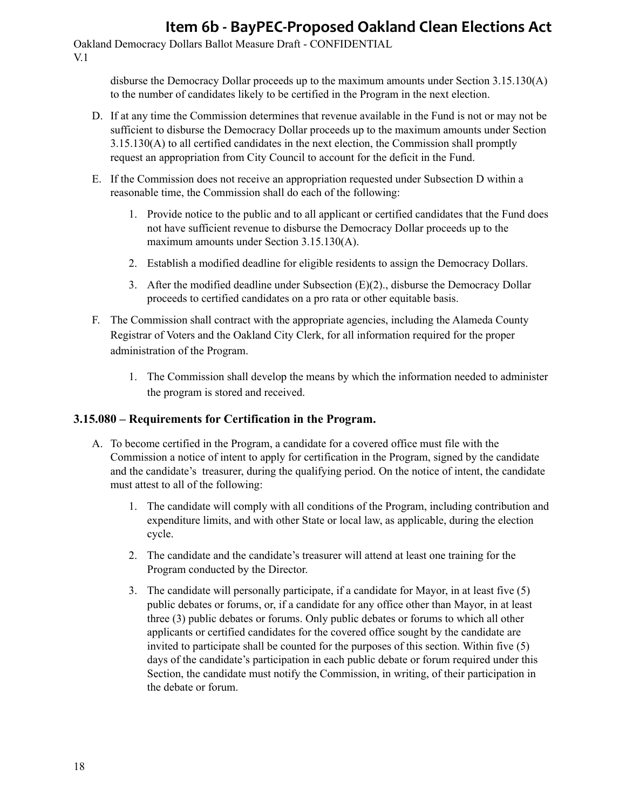Oakland Democracy Dollars Ballot Measure Draft - CONFIDENTIAL V.1

> disburse the Democracy Dollar proceeds up to the maximum amounts under Section 3.15.130(A) to the number of candidates likely to be certified in the Program in the next election.

- D. If at any time the Commission determines that revenue available in the Fund is not or may not be sufficient to disburse the Democracy Dollar proceeds up to the maximum amounts under Section 3.15.130(A) to all certified candidates in the next election, the Commission shall promptly request an appropriation from City Council to account for the deficit in the Fund.
- E. If the Commission does not receive an appropriation requested under Subsection D within a reasonable time, the Commission shall do each of the following:
	- 1. Provide notice to the public and to all applicant or certified candidates that the Fund does not have sufficient revenue to disburse the Democracy Dollar proceeds up to the maximum amounts under Section 3.15.130(A).
	- 2. Establish a modified deadline for eligible residents to assign the Democracy Dollars.
	- 3. After the modified deadline under Subsection (E)(2)., disburse the Democracy Dollar proceeds to certified candidates on a pro rata or other equitable basis.
- F. The Commission shall contract with the appropriate agencies, including the Alameda County Registrar of Voters and the Oakland City Clerk, for all information required for the proper administration of the Program.
	- 1. The Commission shall develop the means by which the information needed to administer the program is stored and received.

#### **3.15.080 – Requirements for Certification in the Program.**

- A. To become certified in the Program, a candidate for a covered office must file with the Commission a notice of intent to apply for certification in the Program, signed by the candidate and the candidate's treasurer, during the qualifying period. On the notice of intent, the candidate must attest to all of the following:
	- 1. The candidate will comply with all conditions of the Program, including contribution and expenditure limits, and with other State or local law, as applicable, during the election cycle.
	- 2. The candidate and the candidate's treasurer will attend at least one training for the Program conducted by the Director.
	- 3. The candidate will personally participate, if a candidate for Mayor, in at least five (5) public debates or forums, or, if a candidate for any office other than Mayor, in at least three (3) public debates or forums. Only public debates or forums to which all other applicants or certified candidates for the covered office sought by the candidate are invited to participate shall be counted for the purposes of this section. Within five (5) days of the candidate's participation in each public debate or forum required under this Section, the candidate must notify the Commission, in writing, of their participation in the debate or forum.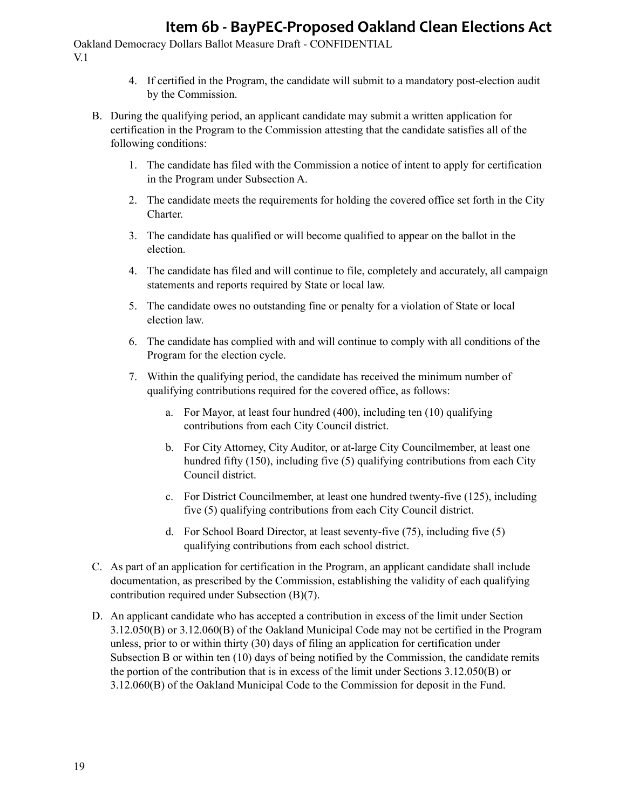- 4. If certified in the Program, the candidate will submit to a mandatory post-election audit by the Commission.
- B. During the qualifying period, an applicant candidate may submit a written application for certification in the Program to the Commission attesting that the candidate satisfies all of the following conditions:
	- 1. The candidate has filed with the Commission a notice of intent to apply for certification in the Program under Subsection A.
	- 2. The candidate meets the requirements for holding the covered office set forth in the City Charter.
	- 3. The candidate has qualified or will become qualified to appear on the ballot in the election.
	- 4. The candidate has filed and will continue to file, completely and accurately, all campaign statements and reports required by State or local law.
	- 5. The candidate owes no outstanding fine or penalty for a violation of State or local election law.
	- 6. The candidate has complied with and will continue to comply with all conditions of the Program for the election cycle.
	- 7. Within the qualifying period, the candidate has received the minimum number of qualifying contributions required for the covered office, as follows:
		- a. For Mayor, at least four hundred (400), including ten (10) qualifying contributions from each City Council district.
		- b. For City Attorney, City Auditor, or at-large City Councilmember, at least one hundred fifty (150), including five (5) qualifying contributions from each City Council district.
		- c. For District Councilmember, at least one hundred twenty-five (125), including five (5) qualifying contributions from each City Council district.
		- d. For School Board Director, at least seventy-five (75), including five (5) qualifying contributions from each school district.
- C. As part of an application for certification in the Program, an applicant candidate shall include documentation, as prescribed by the Commission, establishing the validity of each qualifying contribution required under Subsection (B)(7).
- D. An applicant candidate who has accepted a contribution in excess of the limit under Section 3.12.050(B) or 3.12.060(B) of the Oakland Municipal Code may not be certified in the Program unless, prior to or within thirty (30) days of filing an application for certification under Subsection B or within ten (10) days of being notified by the Commission, the candidate remits the portion of the contribution that is in excess of the limit under Sections 3.12.050(B) or 3.12.060(B) of the Oakland Municipal Code to the Commission for deposit in the Fund.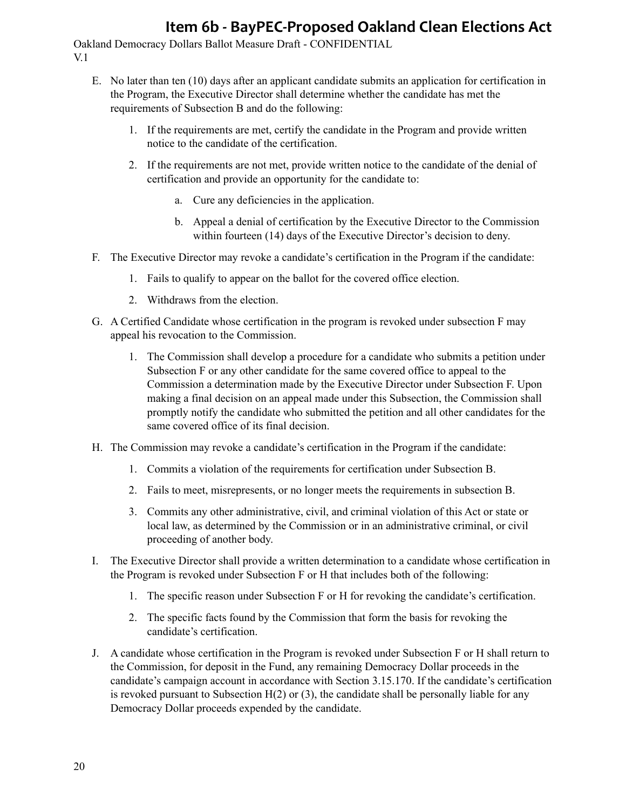- E. No later than ten (10) days after an applicant candidate submits an application for certification in the Program, the Executive Director shall determine whether the candidate has met the requirements of Subsection B and do the following:
	- 1. If the requirements are met, certify the candidate in the Program and provide written notice to the candidate of the certification.
	- 2. If the requirements are not met, provide written notice to the candidate of the denial of certification and provide an opportunity for the candidate to:
		- a. Cure any deficiencies in the application.
		- b. Appeal a denial of certification by the Executive Director to the Commission within fourteen (14) days of the Executive Director's decision to deny.
- F. The Executive Director may revoke a candidate's certification in the Program if the candidate:
	- 1. Fails to qualify to appear on the ballot for the covered office election.
	- 2. Withdraws from the election.
- G. A Certified Candidate whose certification in the program is revoked under subsection F may appeal his revocation to the Commission.
	- 1. The Commission shall develop a procedure for a candidate who submits a petition under Subsection F or any other candidate for the same covered office to appeal to the Commission a determination made by the Executive Director under Subsection F. Upon making a final decision on an appeal made under this Subsection, the Commission shall promptly notify the candidate who submitted the petition and all other candidates for the same covered office of its final decision.
- H. The Commission may revoke a candidate's certification in the Program if the candidate:
	- 1. Commits a violation of the requirements for certification under Subsection B.
	- 2. Fails to meet, misrepresents, or no longer meets the requirements in subsection B.
	- 3. Commits any other administrative, civil, and criminal violation of this Act or state or local law, as determined by the Commission or in an administrative criminal, or civil proceeding of another body.
- I. The Executive Director shall provide a written determination to a candidate whose certification in the Program is revoked under Subsection F or H that includes both of the following:
	- 1. The specific reason under Subsection F or H for revoking the candidate's certification.
	- 2. The specific facts found by the Commission that form the basis for revoking the candidate's certification.
- J. A candidate whose certification in the Program is revoked under Subsection F or H shall return to the Commission, for deposit in the Fund, any remaining Democracy Dollar proceeds in the candidate's campaign account in accordance with Section 3.15.170. If the candidate's certification is revoked pursuant to Subsection  $H(2)$  or (3), the candidate shall be personally liable for any Democracy Dollar proceeds expended by the candidate.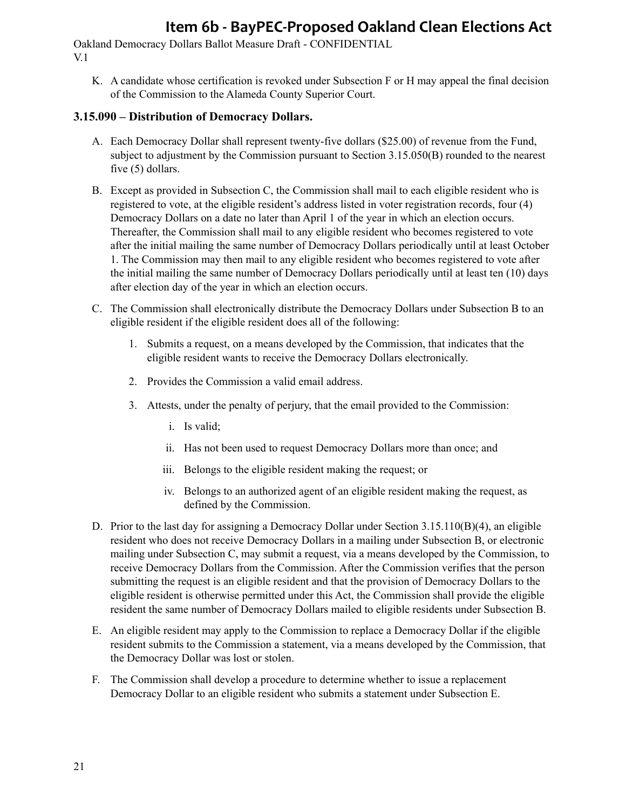Oakland Democracy Dollars Ballot Measure Draft - CONFIDENTIAL V.1

K. A candidate whose certification is revoked under Subsection F or H may appeal the final decision of the Commission to the Alameda County Superior Court.

#### **3.15.090 – Distribution of Democracy Dollars.**

- A. Each Democracy Dollar shall represent twenty-five dollars (\$25.00) of revenue from the Fund, subject to adjustment by the Commission pursuant to Section 3.15.050(B) rounded to the nearest five (5) dollars.
- B. Except as provided in Subsection C, the Commission shall mail to each eligible resident who is registered to vote, at the eligible resident's address listed in voter registration records, four (4) Democracy Dollars on a date no later than April 1 of the year in which an election occurs. Thereafter, the Commission shall mail to any eligible resident who becomes registered to vote after the initial mailing the same number of Democracy Dollars periodically until at least October 1. The Commission may then mail to any eligible resident who becomes registered to vote after the initial mailing the same number of Democracy Dollars periodically until at least ten (10) days after election day of the year in which an election occurs.
- C. The Commission shall electronically distribute the Democracy Dollars under Subsection B to an eligible resident if the eligible resident does all of the following:
	- 1. Submits a request, on a means developed by the Commission, that indicates that the eligible resident wants to receive the Democracy Dollars electronically.
	- 2. Provides the Commission a valid email address.
	- 3. Attests, under the penalty of perjury, that the email provided to the Commission:
		- i. Is valid;
		- ii. Has not been used to request Democracy Dollars more than once; and
		- iii. Belongs to the eligible resident making the request; or
		- iv. Belongs to an authorized agent of an eligible resident making the request, as defined by the Commission.
- D. Prior to the last day for assigning a Democracy Dollar under Section 3.15.110(B)(4), an eligible resident who does not receive Democracy Dollars in a mailing under Subsection B, or electronic mailing under Subsection C, may submit a request, via a means developed by the Commission, to receive Democracy Dollars from the Commission. After the Commission verifies that the person submitting the request is an eligible resident and that the provision of Democracy Dollars to the eligible resident is otherwise permitted under this Act, the Commission shall provide the eligible resident the same number of Democracy Dollars mailed to eligible residents under Subsection B.
- E. An eligible resident may apply to the Commission to replace a Democracy Dollar if the eligible resident submits to the Commission a statement, via a means developed by the Commission, that the Democracy Dollar was lost or stolen.
- F. The Commission shall develop a procedure to determine whether to issue a replacement Democracy Dollar to an eligible resident who submits a statement under Subsection E.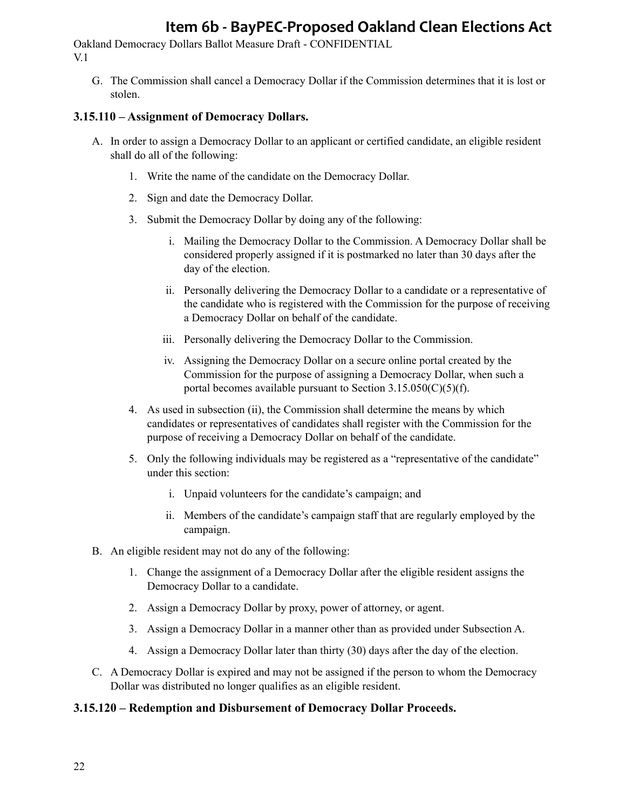Oakland Democracy Dollars Ballot Measure Draft - CONFIDENTIAL V.1

G. The Commission shall cancel a Democracy Dollar if the Commission determines that it is lost or stolen.

#### **3.15.110 – Assignment of Democracy Dollars.**

- A. In order to assign a Democracy Dollar to an applicant or certified candidate, an eligible resident shall do all of the following:
	- 1. Write the name of the candidate on the Democracy Dollar.
	- 2. Sign and date the Democracy Dollar.
	- 3. Submit the Democracy Dollar by doing any of the following:
		- i. Mailing the Democracy Dollar to the Commission. A Democracy Dollar shall be considered properly assigned if it is postmarked no later than 30 days after the day of the election.
		- ii. Personally delivering the Democracy Dollar to a candidate or a representative of the candidate who is registered with the Commission for the purpose of receiving a Democracy Dollar on behalf of the candidate.
		- iii. Personally delivering the Democracy Dollar to the Commission.
		- iv. Assigning the Democracy Dollar on a secure online portal created by the Commission for the purpose of assigning a Democracy Dollar, when such a portal becomes available pursuant to Section  $3.15.050(C)(5)(f)$ .
	- 4. As used in subsection (ii), the Commission shall determine the means by which candidates or representatives of candidates shall register with the Commission for the purpose of receiving a Democracy Dollar on behalf of the candidate.
	- 5. Only the following individuals may be registered as a "representative of the candidate" under this section:
		- i. Unpaid volunteers for the candidate's campaign; and
		- ii. Members of the candidate's campaign staff that are regularly employed by the campaign.
- B. An eligible resident may not do any of the following:
	- 1. Change the assignment of a Democracy Dollar after the eligible resident assigns the Democracy Dollar to a candidate.
	- 2. Assign a Democracy Dollar by proxy, power of attorney, or agent.
	- 3. Assign a Democracy Dollar in a manner other than as provided under Subsection A.
	- 4. Assign a Democracy Dollar later than thirty (30) days after the day of the election.
- C. A Democracy Dollar is expired and may not be assigned if the person to whom the Democracy Dollar was distributed no longer qualifies as an eligible resident.

#### **3.15.120 – Redemption and Disbursement of Democracy Dollar Proceeds.**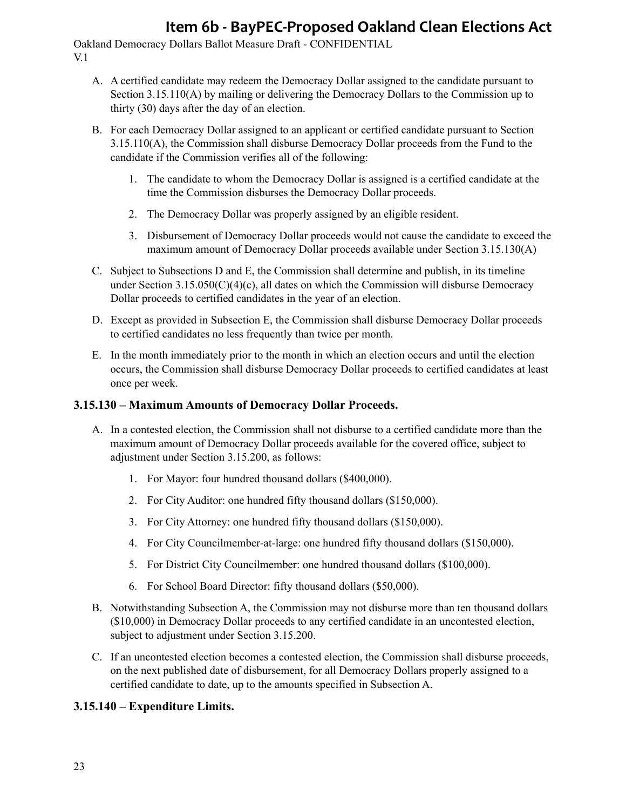Oakland Democracy Dollars Ballot Measure Draft - CONFIDENTIAL V.1

- A. A certified candidate may redeem the Democracy Dollar assigned to the candidate pursuant to Section 3.15.110(A) by mailing or delivering the Democracy Dollars to the Commission up to thirty (30) days after the day of an election.
- B. For each Democracy Dollar assigned to an applicant or certified candidate pursuant to Section 3.15.110(A), the Commission shall disburse Democracy Dollar proceeds from the Fund to the candidate if the Commission verifies all of the following:
	- 1. The candidate to whom the Democracy Dollar is assigned is a certified candidate at the time the Commission disburses the Democracy Dollar proceeds.
	- 2. The Democracy Dollar was properly assigned by an eligible resident.
	- 3. Disbursement of Democracy Dollar proceeds would not cause the candidate to exceed the maximum amount of Democracy Dollar proceeds available under Section 3.15.130(A)
- C. Subject to Subsections D and E, the Commission shall determine and publish, in its timeline under Section  $3.15.050(C)(4)(c)$ , all dates on which the Commission will disburse Democracy Dollar proceeds to certified candidates in the year of an election.
- D. Except as provided in Subsection E, the Commission shall disburse Democracy Dollar proceeds to certified candidates no less frequently than twice per month.
- E. In the month immediately prior to the month in which an election occurs and until the election occurs, the Commission shall disburse Democracy Dollar proceeds to certified candidates at least once per week.

### **3.15.130 – Maximum Amounts of Democracy Dollar Proceeds.**

- A. In a contested election, the Commission shall not disburse to a certified candidate more than the maximum amount of Democracy Dollar proceeds available for the covered office, subject to adjustment under Section 3.15.200, as follows:
	- 1. For Mayor: four hundred thousand dollars (\$400,000).
	- 2. For City Auditor: one hundred fifty thousand dollars (\$150,000).
	- 3. For City Attorney: one hundred fifty thousand dollars (\$150,000).
	- 4. For City Councilmember-at-large: one hundred fifty thousand dollars (\$150,000).
	- 5. For District City Councilmember: one hundred thousand dollars (\$100,000).
	- 6. For School Board Director: fifty thousand dollars (\$50,000).
- B. Notwithstanding Subsection A, the Commission may not disburse more than ten thousand dollars (\$10,000) in Democracy Dollar proceeds to any certified candidate in an uncontested election, subject to adjustment under Section 3.15.200.
- C. If an uncontested election becomes a contested election, the Commission shall disburse proceeds, on the next published date of disbursement, for all Democracy Dollars properly assigned to a certified candidate to date, up to the amounts specified in Subsection A.

### **3.15.140 – Expenditure Limits.**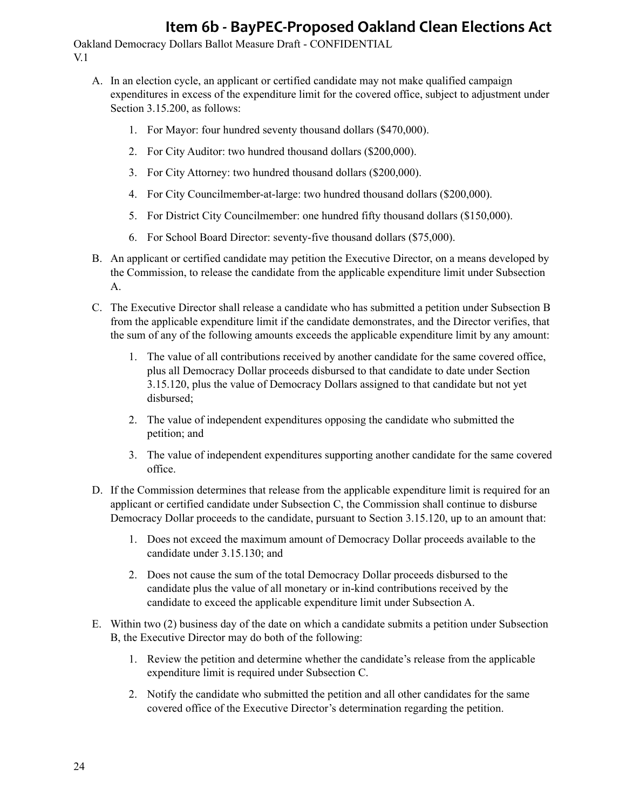- A. In an election cycle, an applicant or certified candidate may not make qualified campaign expenditures in excess of the expenditure limit for the covered office, subject to adjustment under Section 3.15.200, as follows:
	- 1. For Mayor: four hundred seventy thousand dollars (\$470,000).
	- 2. For City Auditor: two hundred thousand dollars (\$200,000).
	- 3. For City Attorney: two hundred thousand dollars (\$200,000).
	- 4. For City Councilmember-at-large: two hundred thousand dollars (\$200,000).
	- 5. For District City Councilmember: one hundred fifty thousand dollars (\$150,000).
	- 6. For School Board Director: seventy-five thousand dollars (\$75,000).
- B. An applicant or certified candidate may petition the Executive Director, on a means developed by the Commission, to release the candidate from the applicable expenditure limit under Subsection A.
- C. The Executive Director shall release a candidate who has submitted a petition under Subsection B from the applicable expenditure limit if the candidate demonstrates, and the Director verifies, that the sum of any of the following amounts exceeds the applicable expenditure limit by any amount:
	- 1. The value of all contributions received by another candidate for the same covered office, plus all Democracy Dollar proceeds disbursed to that candidate to date under Section 3.15.120, plus the value of Democracy Dollars assigned to that candidate but not yet disbursed;
	- 2. The value of independent expenditures opposing the candidate who submitted the petition; and
	- 3. The value of independent expenditures supporting another candidate for the same covered office.
- D. If the Commission determines that release from the applicable expenditure limit is required for an applicant or certified candidate under Subsection C, the Commission shall continue to disburse Democracy Dollar proceeds to the candidate, pursuant to Section 3.15.120, up to an amount that:
	- 1. Does not exceed the maximum amount of Democracy Dollar proceeds available to the candidate under 3.15.130; and
	- 2. Does not cause the sum of the total Democracy Dollar proceeds disbursed to the candidate plus the value of all monetary or in-kind contributions received by the candidate to exceed the applicable expenditure limit under Subsection A.
- E. Within two (2) business day of the date on which a candidate submits a petition under Subsection B, the Executive Director may do both of the following:
	- 1. Review the petition and determine whether the candidate's release from the applicable expenditure limit is required under Subsection C.
	- 2. Notify the candidate who submitted the petition and all other candidates for the same covered office of the Executive Director's determination regarding the petition.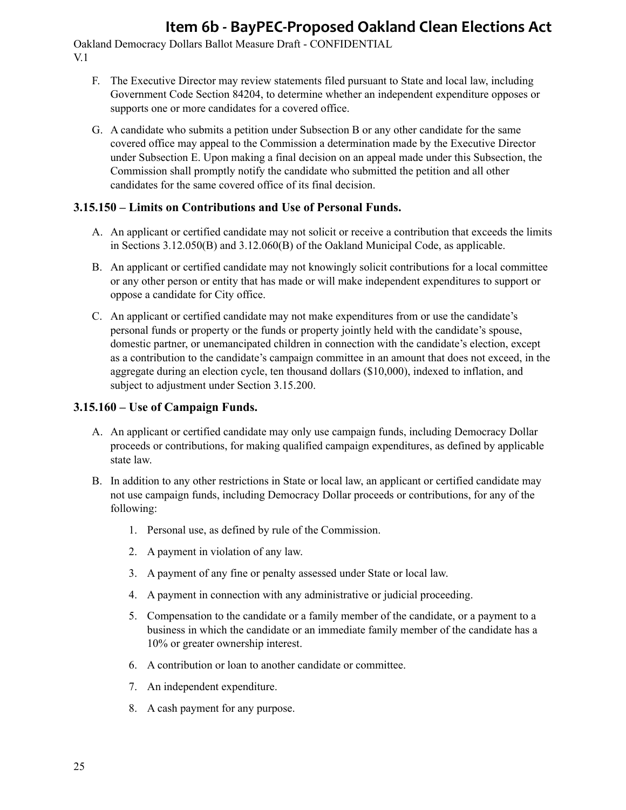Oakland Democracy Dollars Ballot Measure Draft - CONFIDENTIAL V.1

- F. The Executive Director may review statements filed pursuant to State and local law, including Government Code Section 84204, to determine whether an independent expenditure opposes or supports one or more candidates for a covered office.
- G. A candidate who submits a petition under Subsection B or any other candidate for the same covered office may appeal to the Commission a determination made by the Executive Director under Subsection E. Upon making a final decision on an appeal made under this Subsection, the Commission shall promptly notify the candidate who submitted the petition and all other candidates for the same covered office of its final decision.

### **3.15.150 – Limits on Contributions and Use of Personal Funds.**

- A. An applicant or certified candidate may not solicit or receive a contribution that exceeds the limits in Sections 3.12.050(B) and 3.12.060(B) of the Oakland Municipal Code, as applicable.
- B. An applicant or certified candidate may not knowingly solicit contributions for a local committee or any other person or entity that has made or will make independent expenditures to support or oppose a candidate for City office.
- C. An applicant or certified candidate may not make expenditures from or use the candidate's personal funds or property or the funds or property jointly held with the candidate's spouse, domestic partner, or unemancipated children in connection with the candidate's election, except as a contribution to the candidate's campaign committee in an amount that does not exceed, in the aggregate during an election cycle, ten thousand dollars (\$10,000), indexed to inflation, and subject to adjustment under Section 3.15.200.

### **3.15.160 – Use of Campaign Funds.**

- A. An applicant or certified candidate may only use campaign funds, including Democracy Dollar proceeds or contributions, for making qualified campaign expenditures, as defined by applicable state law.
- B. In addition to any other restrictions in State or local law, an applicant or certified candidate may not use campaign funds, including Democracy Dollar proceeds or contributions, for any of the following:
	- 1. Personal use, as defined by rule of the Commission.
	- 2. A payment in violation of any law.
	- 3. A payment of any fine or penalty assessed under State or local law.
	- 4. A payment in connection with any administrative or judicial proceeding.
	- 5. Compensation to the candidate or a family member of the candidate, or a payment to a business in which the candidate or an immediate family member of the candidate has a 10% or greater ownership interest.
	- 6. A contribution or loan to another candidate or committee.
	- 7. An independent expenditure.
	- 8. A cash payment for any purpose.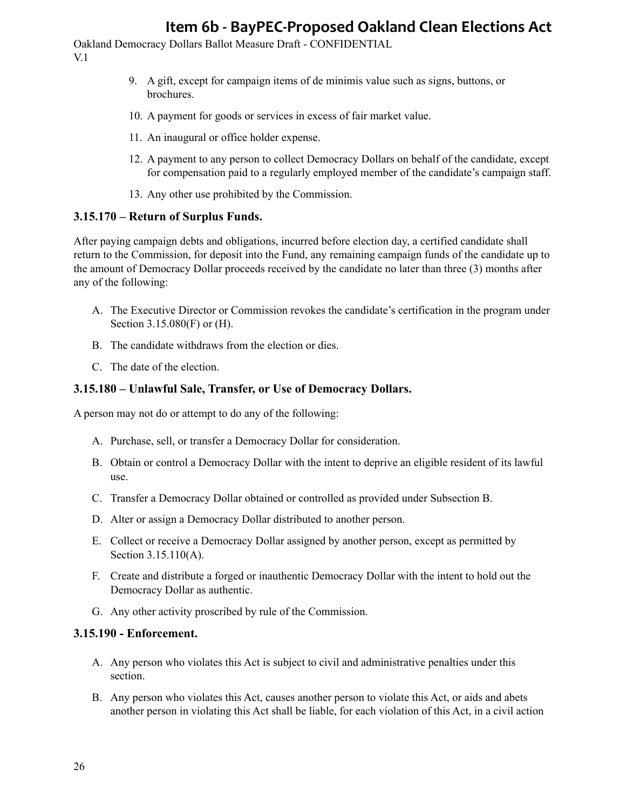Oakland Democracy Dollars Ballot Measure Draft - CONFIDENTIAL V.1

- 9. A gift, except for campaign items of de minimis value such as signs, buttons, or brochures.
- 10. A payment for goods or services in excess of fair market value.
- 11. An inaugural or office holder expense.
- 12. A payment to any person to collect Democracy Dollars on behalf of the candidate, except for compensation paid to a regularly employed member of the candidate's campaign staff.
- 13. Any other use prohibited by the Commission.

#### **3.15.170 – Return of Surplus Funds.**

After paying campaign debts and obligations, incurred before election day, a certified candidate shall return to the Commission, for deposit into the Fund, any remaining campaign funds of the candidate up to the amount of Democracy Dollar proceeds received by the candidate no later than three (3) months after any of the following:

- A. The Executive Director or Commission revokes the candidate's certification in the program under Section 3.15.080(F) or (H).
- B. The candidate withdraws from the election or dies.
- C. The date of the election.

#### **3.15.180 – Unlawful Sale, Transfer, or Use of Democracy Dollars.**

A person may not do or attempt to do any of the following:

- A. Purchase, sell, or transfer a Democracy Dollar for consideration.
- B. Obtain or control a Democracy Dollar with the intent to deprive an eligible resident of its lawful use.
- C. Transfer a Democracy Dollar obtained or controlled as provided under Subsection B.
- D. Alter or assign a Democracy Dollar distributed to another person.
- E. Collect or receive a Democracy Dollar assigned by another person, except as permitted by Section 3.15.110(A).
- F. Create and distribute a forged or inauthentic Democracy Dollar with the intent to hold out the Democracy Dollar as authentic.
- G. Any other activity proscribed by rule of the Commission.

#### **3.15.190 - Enforcement.**

- A. Any person who violates this Act is subject to civil and administrative penalties under this section.
- B. Any person who violates this Act, causes another person to violate this Act, or aids and abets another person in violating this Act shall be liable, for each violation of this Act, in a civil action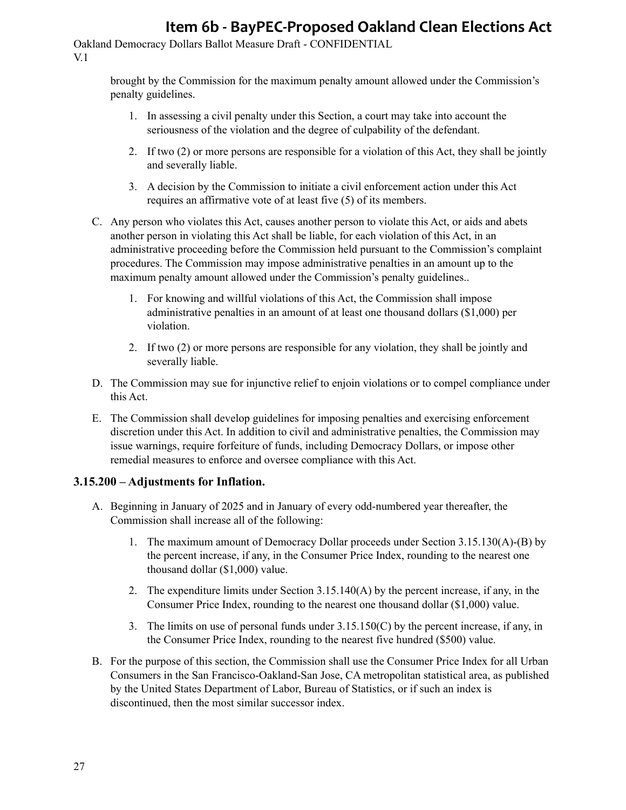Oakland Democracy Dollars Ballot Measure Draft - CONFIDENTIAL V.1

> brought by the Commission for the maximum penalty amount allowed under the Commission's penalty guidelines.

- 1. In assessing a civil penalty under this Section, a court may take into account the seriousness of the violation and the degree of culpability of the defendant.
- 2. If two (2) or more persons are responsible for a violation of this Act, they shall be jointly and severally liable.
- 3. A decision by the Commission to initiate a civil enforcement action under this Act requires an affirmative vote of at least five (5) of its members.
- C. Any person who violates this Act, causes another person to violate this Act, or aids and abets another person in violating this Act shall be liable, for each violation of this Act, in an administrative proceeding before the Commission held pursuant to the Commission's complaint procedures. The Commission may impose administrative penalties in an amount up to the maximum penalty amount allowed under the Commission's penalty guidelines..
	- 1. For knowing and willful violations of this Act, the Commission shall impose administrative penalties in an amount of at least one thousand dollars (\$1,000) per violation.
	- 2. If two (2) or more persons are responsible for any violation, they shall be jointly and severally liable.
- D. The Commission may sue for injunctive relief to enjoin violations or to compel compliance under this Act.
- E. The Commission shall develop guidelines for imposing penalties and exercising enforcement discretion under this Act. In addition to civil and administrative penalties, the Commission may issue warnings, require forfeiture of funds, including Democracy Dollars, or impose other remedial measures to enforce and oversee compliance with this Act.

### **3.15.200 – Adjustments for Inflation.**

- A. Beginning in January of 2025 and in January of every odd-numbered year thereafter, the Commission shall increase all of the following:
	- 1. The maximum amount of Democracy Dollar proceeds under Section 3.15.130(A)-(B) by the percent increase, if any, in the Consumer Price Index, rounding to the nearest one thousand dollar (\$1,000) value.
	- 2. The expenditure limits under Section 3.15.140(A) by the percent increase, if any, in the Consumer Price Index, rounding to the nearest one thousand dollar (\$1,000) value.
	- 3. The limits on use of personal funds under 3.15.150(C) by the percent increase, if any, in the Consumer Price Index, rounding to the nearest five hundred (\$500) value.
- B. For the purpose of this section, the Commission shall use the Consumer Price Index for all Urban Consumers in the San Francisco-Oakland-San Jose, CA metropolitan statistical area, as published by the United States Department of Labor, Bureau of Statistics, or if such an index is discontinued, then the most similar successor index.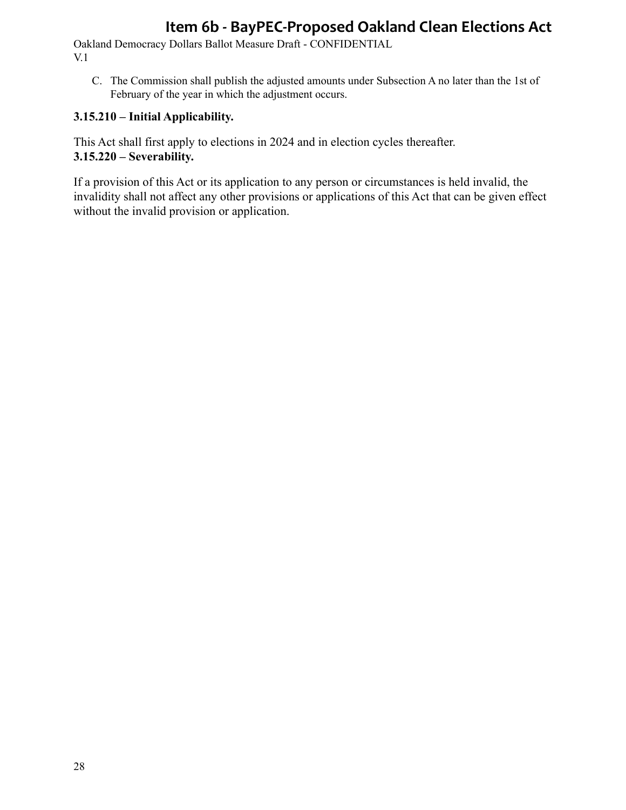Oakland Democracy Dollars Ballot Measure Draft - CONFIDENTIAL V.1

C. The Commission shall publish the adjusted amounts under Subsection A no later than the 1st of February of the year in which the adjustment occurs.

### **3.15.210 – Initial Applicability.**

This Act shall first apply to elections in 2024 and in election cycles thereafter. **3.15.220 – Severability.**

If a provision of this Act or its application to any person or circumstances is held invalid, the invalidity shall not affect any other provisions or applications of this Act that can be given effect without the invalid provision or application.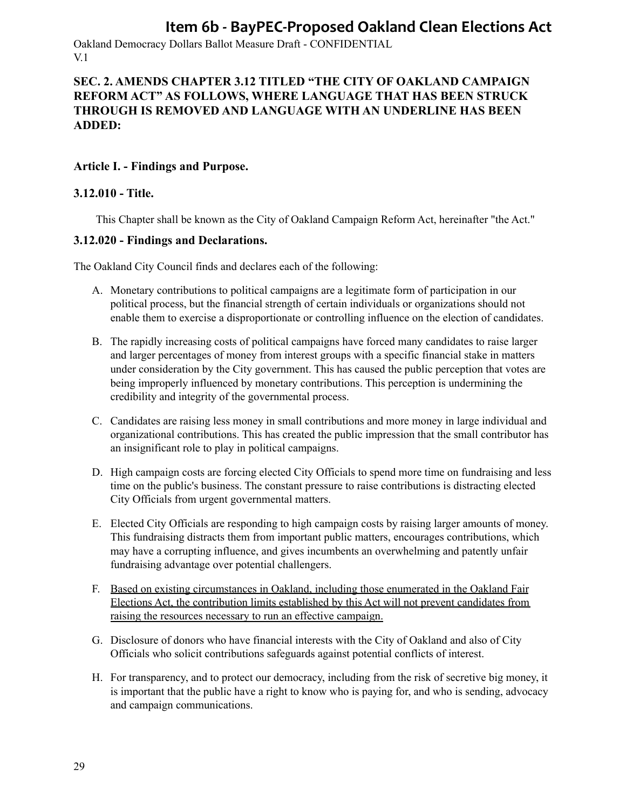Oakland Democracy Dollars Ballot Measure Draft - CONFIDENTIAL V.1

## **SEC. 2. AMENDS CHAPTER 3.12 TITLED "THE CITY OF OAKLAND CAMPAIGN REFORM ACT" AS FOLLOWS, WHERE LANGUAGE THAT HAS BEEN STRUCK THROUGH IS REMOVED AND LANGUAGE WITH AN UNDERLINE HAS BEEN ADDED:**

#### **Article I. - Findings and Purpose.**

#### **3.12.010 - Title.**

This Chapter shall be known as the City of Oakland Campaign Reform Act, hereinafter "the Act."

#### **3.12.020 - Findings and Declarations.**

The Oakland City Council finds and declares each of the following:

- A. Monetary contributions to political campaigns are a legitimate form of participation in our political process, but the financial strength of certain individuals or organizations should not enable them to exercise a disproportionate or controlling influence on the election of candidates.
- B. The rapidly increasing costs of political campaigns have forced many candidates to raise larger and larger percentages of money from interest groups with a specific financial stake in matters under consideration by the City government. This has caused the public perception that votes are being improperly influenced by monetary contributions. This perception is undermining the credibility and integrity of the governmental process.
- C. Candidates are raising less money in small contributions and more money in large individual and organizational contributions. This has created the public impression that the small contributor has an insignificant role to play in political campaigns.
- D. High campaign costs are forcing elected City Officials to spend more time on fundraising and less time on the public's business. The constant pressure to raise contributions is distracting elected City Officials from urgent governmental matters.
- E. Elected City Officials are responding to high campaign costs by raising larger amounts of money. This fundraising distracts them from important public matters, encourages contributions, which may have a corrupting influence, and gives incumbents an overwhelming and patently unfair fundraising advantage over potential challengers.
- F. Based on existing circumstances in Oakland, including those enumerated in the Oakland Fair Elections Act, the contribution limits established by this Act will not prevent candidates from raising the resources necessary to run an effective campaign.
- G. Disclosure of donors who have financial interests with the City of Oakland and also of City Officials who solicit contributions safeguards against potential conflicts of interest.
- H. For transparency, and to protect our democracy, including from the risk of secretive big money, it is important that the public have a right to know who is paying for, and who is sending, advocacy and campaign communications.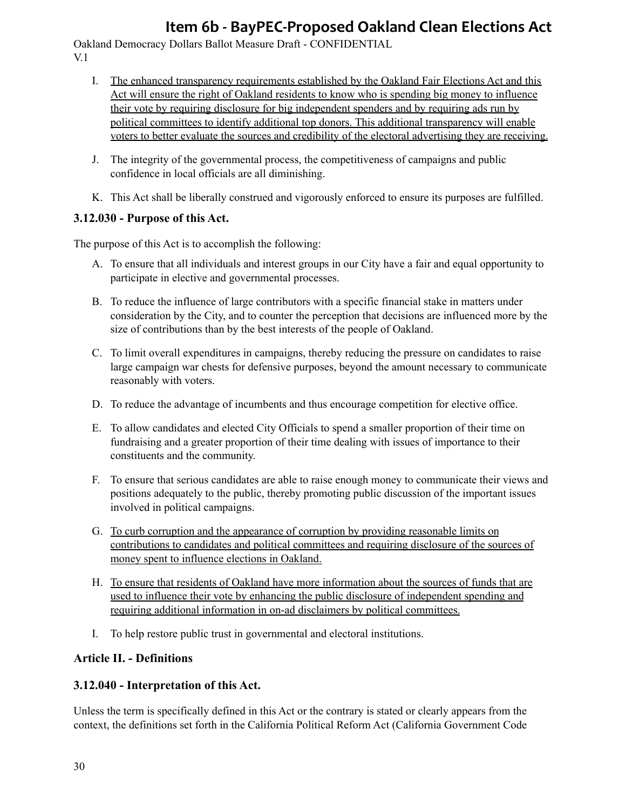Oakland Democracy Dollars Ballot Measure Draft - CONFIDENTIAL V.1

- I. The enhanced transparency requirements established by the Oakland Fair Elections Act and this Act will ensure the right of Oakland residents to know who is spending big money to influence their vote by requiring disclosure for big independent spenders and by requiring ads run by political committees to identify additional top donors. This additional transparency will enable voters to better evaluate the sources and credibility of the electoral advertising they are receiving.
- J. The integrity of the governmental process, the competitiveness of campaigns and public confidence in local officials are all diminishing.
- K. This Act shall be liberally construed and vigorously enforced to ensure its purposes are fulfilled.

## **3.12.030 - Purpose of this Act.**

The purpose of this Act is to accomplish the following:

- A. To ensure that all individuals and interest groups in our City have a fair and equal opportunity to participate in elective and governmental processes.
- B. To reduce the influence of large contributors with a specific financial stake in matters under consideration by the City, and to counter the perception that decisions are influenced more by the size of contributions than by the best interests of the people of Oakland.
- C. To limit overall expenditures in campaigns, thereby reducing the pressure on candidates to raise large campaign war chests for defensive purposes, beyond the amount necessary to communicate reasonably with voters.
- D. To reduce the advantage of incumbents and thus encourage competition for elective office.
- E. To allow candidates and elected City Officials to spend a smaller proportion of their time on fundraising and a greater proportion of their time dealing with issues of importance to their constituents and the community.
- F. To ensure that serious candidates are able to raise enough money to communicate their views and positions adequately to the public, thereby promoting public discussion of the important issues involved in political campaigns.
- G. To curb corruption and the appearance of corruption by providing reasonable limits on contributions to candidates and political committees and requiring disclosure of the sources of money spent to influence elections in Oakland.
- H. To ensure that residents of Oakland have more information about the sources of funds that are used to influence their vote by enhancing the public disclosure of independent spending and requiring additional information in on-ad disclaimers by political committees.
- I. To help restore public trust in governmental and electoral institutions.

## **Article II. - Definitions**

## **3.12.040 - Interpretation of this Act.**

Unless the term is specifically defined in this Act or the contrary is stated or clearly appears from the context, the definitions set forth in the California Political Reform Act (California Government Code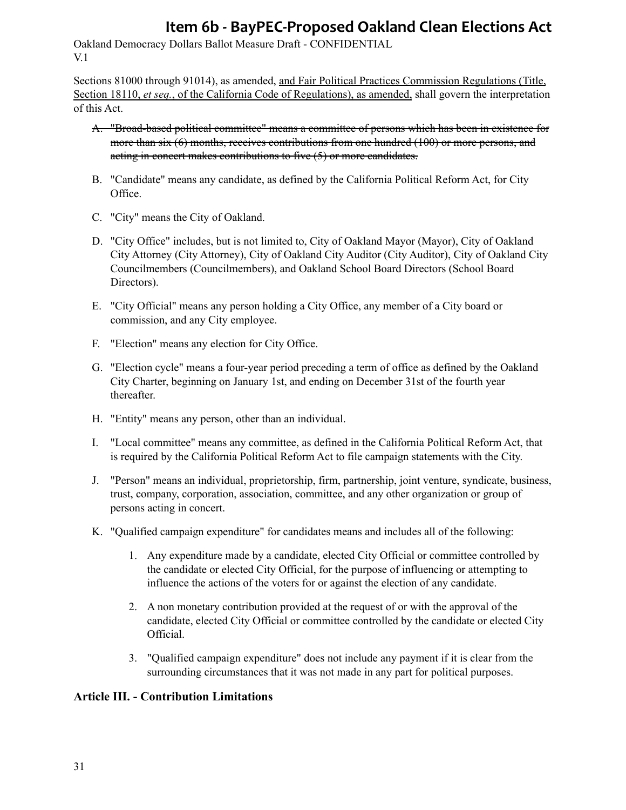Oakland Democracy Dollars Ballot Measure Draft - CONFIDENTIAL V.1

Sections 81000 through 91014), as amended, and Fair Political Practices Commission Regulations (Title, Section 18110, *et seq.*, of the California Code of Regulations), as amended, shall govern the interpretation of this Act.

- A. "Broad-based political committee" means a committee of persons which has been in existence for more than six (6) months, receives contributions from one hundred (100) or more persons, and acting in concert makes contributions to five (5) or more candidates.
- B. "Candidate" means any candidate, as defined by the California Political Reform Act, for City Office.
- C. "City" means the City of Oakland.
- D. "City Office" includes, but is not limited to, City of Oakland Mayor (Mayor), City of Oakland City Attorney (City Attorney), City of Oakland City Auditor (City Auditor), City of Oakland City Councilmembers (Councilmembers), and Oakland School Board Directors (School Board Directors).
- E. "City Official" means any person holding a City Office, any member of a City board or commission, and any City employee.
- F. "Election" means any election for City Office.
- G. "Election cycle" means a four-year period preceding a term of office as defined by the Oakland City Charter, beginning on January 1st, and ending on December 31st of the fourth year thereafter.
- H. "Entity" means any person, other than an individual.
- I. "Local committee" means any committee, as defined in the California Political Reform Act, that is required by the California Political Reform Act to file campaign statements with the City.
- J. "Person" means an individual, proprietorship, firm, partnership, joint venture, syndicate, business, trust, company, corporation, association, committee, and any other organization or group of persons acting in concert.
- K. "Qualified campaign expenditure" for candidates means and includes all of the following:
	- 1. Any expenditure made by a candidate, elected City Official or committee controlled by the candidate or elected City Official, for the purpose of influencing or attempting to influence the actions of the voters for or against the election of any candidate.
	- 2. A non monetary contribution provided at the request of or with the approval of the candidate, elected City Official or committee controlled by the candidate or elected City Official.
	- 3. "Qualified campaign expenditure" does not include any payment if it is clear from the surrounding circumstances that it was not made in any part for political purposes.

## **Article III. - Contribution Limitations**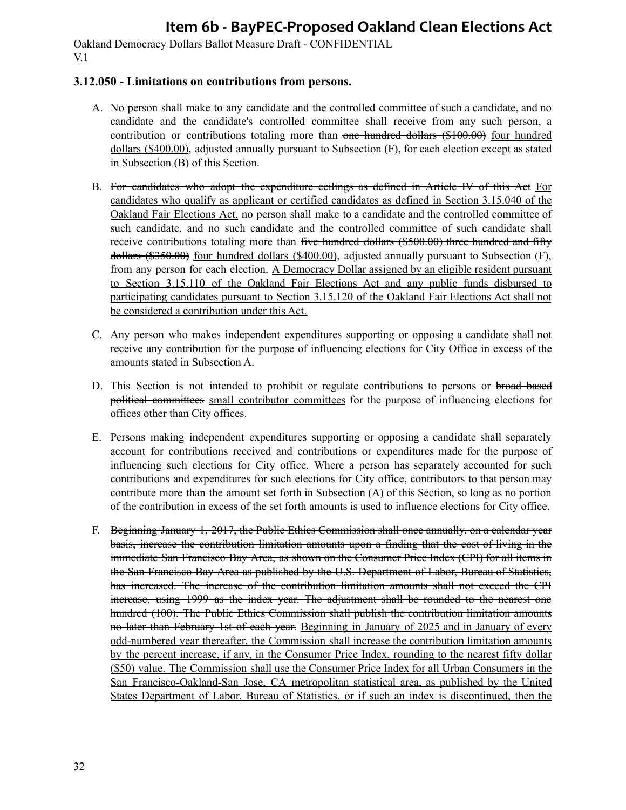Oakland Democracy Dollars Ballot Measure Draft - CONFIDENTIAL V.1

#### **3.12.050 - Limitations on contributions from persons.**

- A. No person shall make to any candidate and the controlled committee of such a candidate, and no candidate and the candidate's controlled committee shall receive from any such person, a contribution or contributions totaling more than one hundred dollars (\$100.00) four hundred dollars (\$400.00), adjusted annually pursuant to Subsection (F), for each election except as stated in Subsection (B) of this Section.
- B. For candidates who adopt the expenditure ecilings as defined in Article IV of this Act For candidates who qualify as applicant or certified candidates as defined in Section 3.15.040 of the Oakland Fair Elections Act, no person shall make to a candidate and the controlled committee of such candidate, and no such candidate and the controlled committee of such candidate shall receive contributions totaling more than five hundred dollars (\$500.00) three hundred and fifty dollars (\$350.00) four hundred dollars (\$400.00), adjusted annually pursuant to Subsection (F), from any person for each election. A Democracy Dollar assigned by an eligible resident pursuant to Section 3.15.110 of the Oakland Fair Elections Act and any public funds disbursed to participating candidates pursuant to Section 3.15.120 of the Oakland Fair Elections Act shall not be considered a contribution under this Act.
- C. Any person who makes independent expenditures supporting or opposing a candidate shall not receive any contribution for the purpose of influencing elections for City Office in excess of the amounts stated in Subsection A.
- D. This Section is not intended to prohibit or regulate contributions to persons or broad based political committees small contributor committees for the purpose of influencing elections for offices other than City offices.
- E. Persons making independent expenditures supporting or opposing a candidate shall separately account for contributions received and contributions or expenditures made for the purpose of influencing such elections for City office. Where a person has separately accounted for such contributions and expenditures for such elections for City office, contributors to that person may contribute more than the amount set forth in Subsection (A) of this Section, so long as no portion of the contribution in excess of the set forth amounts is used to influence elections for City office.
- F. Beginning January 1, 2017, the Public Ethics Commission shall once annually, on a calendar year basis, increase the contribution limitation amounts upon a finding that the cost of living in the immediate San Francisco Bay Area, as shown on the Consumer Price Index (CPI) for all items in the San Francisco Bay Area as published by the U.S. Department of Labor, Bureau of Statistics, has increased. The increase of the contribution limitation amounts shall not exceed the CPI increase, using 1999 as the index year. The adjustment shall be rounded to the nearest one hundred (100). The Public Ethics Commission shall publish the contribution limitation amounts no later than February 1st of each year. Beginning in January of 2025 and in January of every odd-numbered year thereafter, the Commission shall increase the contribution limitation amounts by the percent increase, if any, in the Consumer Price Index, rounding to the nearest fifty dollar (\$50) value. The Commission shall use the Consumer Price Index for all Urban Consumers in the San Francisco-Oakland-San Jose, CA metropolitan statistical area, as published by the United States Department of Labor, Bureau of Statistics, or if such an index is discontinued, then the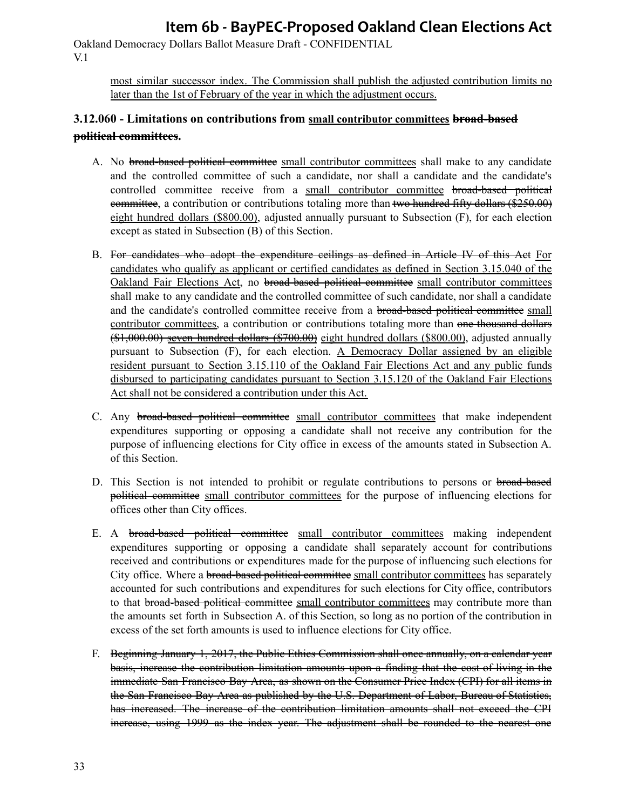Oakland Democracy Dollars Ballot Measure Draft - CONFIDENTIAL V.1

> most similar successor index. The Commission shall publish the adjusted contribution limits no later than the 1st of February of the year in which the adjustment occurs.

## **3.12.060 - Limitations on contributions from small contributor committees broad-based political committees.**

- A. No **broad-based political committee** small contributor committees shall make to any candidate and the controlled committee of such a candidate, nor shall a candidate and the candidate's controlled committee receive from a small contributor committee broad-based political eommittee, a contribution or contributions totaling more than two hundred fifty dollars (\$250.00) eight hundred dollars (\$800.00), adjusted annually pursuant to Subsection (F), for each election except as stated in Subsection (B) of this Section.
- B. For candidates who adopt the expenditure ecilings as defined in Article IV of this Act For candidates who qualify as applicant or certified candidates as defined in Section 3.15.040 of the Oakland Fair Elections Act, no broad-based political committee small contributor committees shall make to any candidate and the controlled committee of such candidate, nor shall a candidate and the candidate's controlled committee receive from a broad-based political committee small contributor committees, a contribution or contributions totaling more than one thousand dollars (\$1,000.00) seven hundred dollars (\$700.00) eight hundred dollars (\$800.00), adjusted annually pursuant to Subsection (F), for each election. A Democracy Dollar assigned by an eligible resident pursuant to Section 3.15.110 of the Oakland Fair Elections Act and any public funds disbursed to participating candidates pursuant to Section 3.15.120 of the Oakland Fair Elections Act shall not be considered a contribution under this Act.
- C. Any broad-based political committee small contributor committees that make independent expenditures supporting or opposing a candidate shall not receive any contribution for the purpose of influencing elections for City office in excess of the amounts stated in Subsection A. of this Section.
- D. This Section is not intended to prohibit or regulate contributions to persons or broad-based political committee small contributor committees for the purpose of influencing elections for offices other than City offices.
- E. A broad-based political committee small contributor committees making independent expenditures supporting or opposing a candidate shall separately account for contributions received and contributions or expenditures made for the purpose of influencing such elections for City office. Where a broad-based political committee small contributor committees has separately accounted for such contributions and expenditures for such elections for City office, contributors to that broad-based political committee small contributor committees may contribute more than the amounts set forth in Subsection A. of this Section, so long as no portion of the contribution in excess of the set forth amounts is used to influence elections for City office.
- F. Beginning January 1, 2017, the Public Ethics Commission shall once annually, on a calendar year basis, increase the contribution limitation amounts upon a finding that the cost of living in the immediate San Francisco Bay Area, as shown on the Consumer Price Index (CPI) for all items in the San Francisco Bay Area as published by the U.S. Department of Labor, Bureau of Statistics, has increased. The increase of the contribution limitation amounts shall not exceed the CPI increase, using 1999 as the index year. The adjustment shall be rounded to the nearest one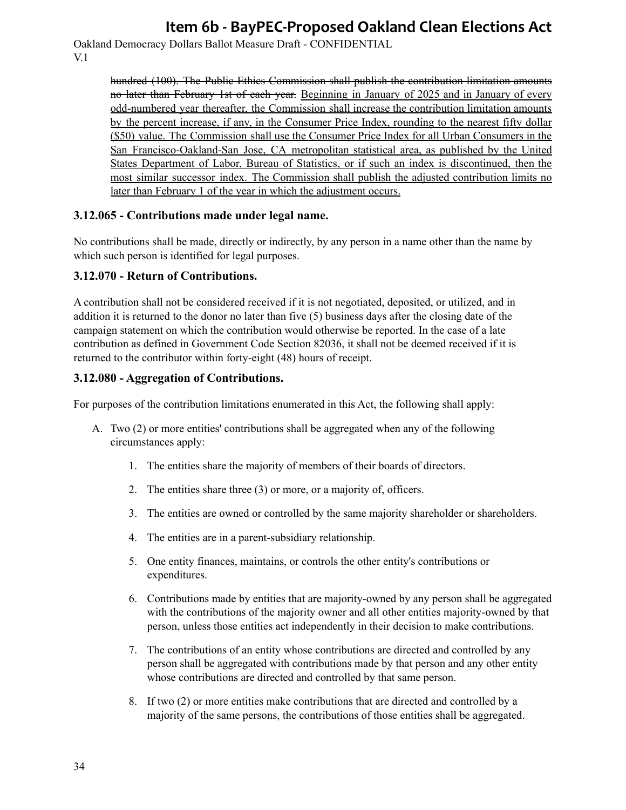Oakland Democracy Dollars Ballot Measure Draft - CONFIDENTIAL V.1

> hundred (100). The Public Ethics Commission shall publish the contribution limitation amounts no later than February 1st of each year. Beginning in January of 2025 and in January of every odd-numbered year thereafter, the Commission shall increase the contribution limitation amounts by the percent increase, if any, in the Consumer Price Index, rounding to the nearest fifty dollar (\$50) value. The Commission shall use the Consumer Price Index for all Urban Consumers in the San Francisco-Oakland-San Jose, CA metropolitan statistical area, as published by the United States Department of Labor, Bureau of Statistics, or if such an index is discontinued, then the most similar successor index. The Commission shall publish the adjusted contribution limits no later than February 1 of the year in which the adjustment occurs.

#### **3.12.065 - Contributions made under legal name.**

No contributions shall be made, directly or indirectly, by any person in a name other than the name by which such person is identified for legal purposes.

#### **3.12.070 - Return of Contributions.**

A contribution shall not be considered received if it is not negotiated, deposited, or utilized, and in addition it is returned to the donor no later than five (5) business days after the closing date of the campaign statement on which the contribution would otherwise be reported. In the case of a late contribution as defined in Government Code Section 82036, it shall not be deemed received if it is returned to the contributor within forty-eight (48) hours of receipt.

#### **3.12.080 - Aggregation of Contributions.**

For purposes of the contribution limitations enumerated in this Act, the following shall apply:

- A. Two (2) or more entities' contributions shall be aggregated when any of the following circumstances apply:
	- 1. The entities share the majority of members of their boards of directors.
	- 2. The entities share three (3) or more, or a majority of, officers.
	- 3. The entities are owned or controlled by the same majority shareholder or shareholders.
	- 4. The entities are in a parent-subsidiary relationship.
	- 5. One entity finances, maintains, or controls the other entity's contributions or expenditures.
	- 6. Contributions made by entities that are majority-owned by any person shall be aggregated with the contributions of the majority owner and all other entities majority-owned by that person, unless those entities act independently in their decision to make contributions.
	- 7. The contributions of an entity whose contributions are directed and controlled by any person shall be aggregated with contributions made by that person and any other entity whose contributions are directed and controlled by that same person.
	- 8. If two (2) or more entities make contributions that are directed and controlled by a majority of the same persons, the contributions of those entities shall be aggregated.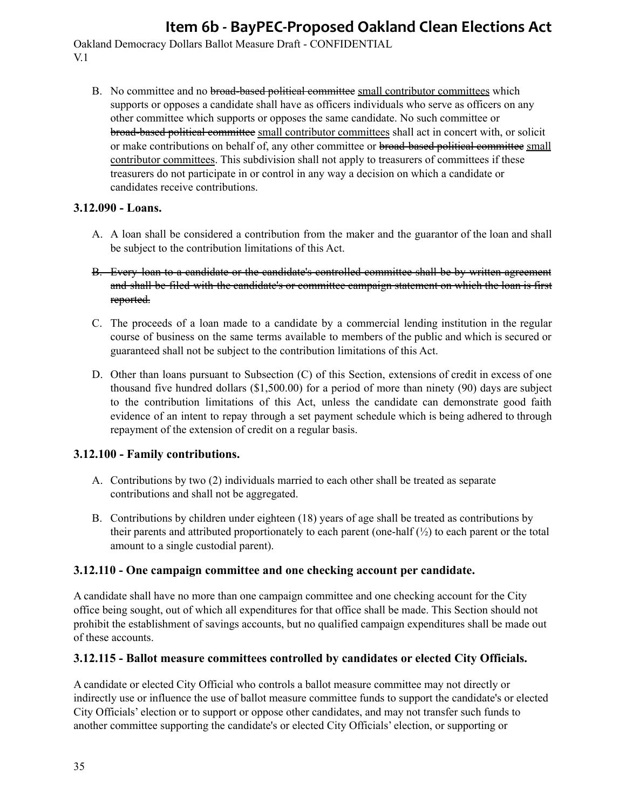Oakland Democracy Dollars Ballot Measure Draft - CONFIDENTIAL V.1

B. No committee and no broad-based political committee small contributor committees which supports or opposes a candidate shall have as officers individuals who serve as officers on any other committee which supports or opposes the same candidate. No such committee or broad-based political committee small contributor committees shall act in concert with, or solicit or make contributions on behalf of, any other committee or broad-based political committee small contributor committees. This subdivision shall not apply to treasurers of committees if these treasurers do not participate in or control in any way a decision on which a candidate or candidates receive contributions.

### **3.12.090 - Loans.**

- A. A loan shall be considered a contribution from the maker and the guarantor of the loan and shall be subject to the contribution limitations of this Act.
- B. Every loan to a candidate or the candidate's controlled committee shall be by written agreement and shall be filed with the candidate's or committee campaign statement on which the loan is first reported.
- C. The proceeds of a loan made to a candidate by a commercial lending institution in the regular course of business on the same terms available to members of the public and which is secured or guaranteed shall not be subject to the contribution limitations of this Act.
- D. Other than loans pursuant to Subsection (C) of this Section, extensions of credit in excess of one thousand five hundred dollars (\$1,500.00) for a period of more than ninety (90) days are subject to the contribution limitations of this Act, unless the candidate can demonstrate good faith evidence of an intent to repay through a set payment schedule which is being adhered to through repayment of the extension of credit on a regular basis.

### **3.12.100 - Family contributions.**

- A. Contributions by two (2) individuals married to each other shall be treated as separate contributions and shall not be aggregated.
- B. Contributions by children under eighteen (18) years of age shall be treated as contributions by their parents and attributed proportionately to each parent (one-half  $\binom{1}{2}$ ) to each parent or the total amount to a single custodial parent).

### **3.12.110 - One campaign committee and one checking account per candidate.**

A candidate shall have no more than one campaign committee and one checking account for the City office being sought, out of which all expenditures for that office shall be made. This Section should not prohibit the establishment of savings accounts, but no qualified campaign expenditures shall be made out of these accounts.

### **3.12.115 - Ballot measure committees controlled by candidates or elected City Officials.**

A candidate or elected City Official who controls a ballot measure committee may not directly or indirectly use or influence the use of ballot measure committee funds to support the candidate's or elected City Officials' election or to support or oppose other candidates, and may not transfer such funds to another committee supporting the candidate's or elected City Officials' election, or supporting or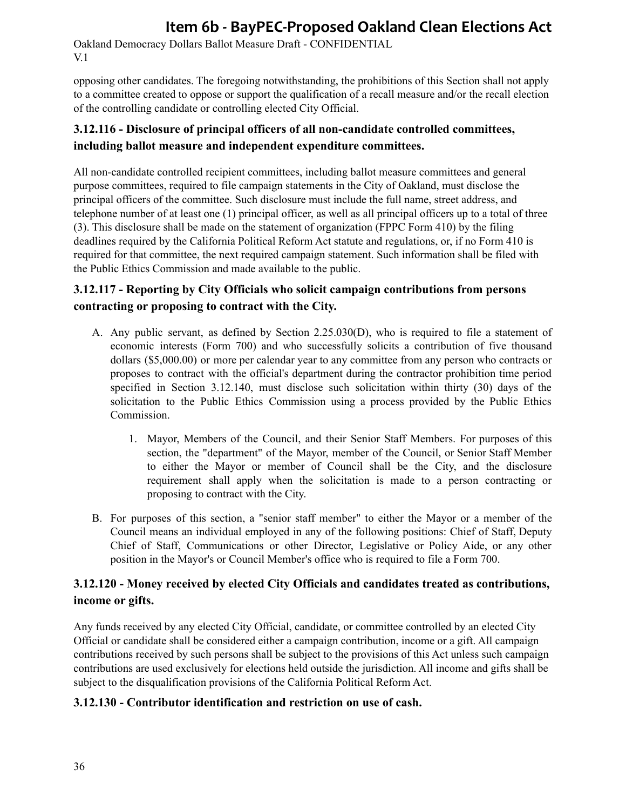Oakland Democracy Dollars Ballot Measure Draft - CONFIDENTIAL V.1

opposing other candidates. The foregoing notwithstanding, the prohibitions of this Section shall not apply to a committee created to oppose or support the qualification of a recall measure and/or the recall election of the controlling candidate or controlling elected City Official.

## **3.12.116 - Disclosure of principal officers of all non-candidate controlled committees, including ballot measure and independent expenditure committees.**

All non-candidate controlled recipient committees, including ballot measure committees and general purpose committees, required to file campaign statements in the City of Oakland, must disclose the principal officers of the committee. Such disclosure must include the full name, street address, and telephone number of at least one (1) principal officer, as well as all principal officers up to a total of three (3). This disclosure shall be made on the statement of organization (FPPC Form 410) by the filing deadlines required by the California Political Reform Act statute and regulations, or, if no Form 410 is required for that committee, the next required campaign statement. Such information shall be filed with the Public Ethics Commission and made available to the public.

## **3.12.117 - Reporting by City Officials who solicit campaign contributions from persons contracting or proposing to contract with the City.**

- A. Any public servant, as defined by Section 2.25.030(D), who is required to file a statement of economic interests (Form 700) and who successfully solicits a contribution of five thousand dollars (\$5,000.00) or more per calendar year to any committee from any person who contracts or proposes to contract with the official's department during the contractor prohibition time period specified in Section 3.12.140, must disclose such solicitation within thirty (30) days of the solicitation to the Public Ethics Commission using a process provided by the Public Ethics Commission.
	- 1. Mayor, Members of the Council, and their Senior Staff Members. For purposes of this section, the "department" of the Mayor, member of the Council, or Senior Staff Member to either the Mayor or member of Council shall be the City, and the disclosure requirement shall apply when the solicitation is made to a person contracting or proposing to contract with the City.
- B. For purposes of this section, a "senior staff member" to either the Mayor or a member of the Council means an individual employed in any of the following positions: Chief of Staff, Deputy Chief of Staff, Communications or other Director, Legislative or Policy Aide, or any other position in the Mayor's or Council Member's office who is required to file a Form 700.

## **3.12.120 - Money received by elected City Officials and candidates treated as contributions, income or gifts.**

Any funds received by any elected City Official, candidate, or committee controlled by an elected City Official or candidate shall be considered either a campaign contribution, income or a gift. All campaign contributions received by such persons shall be subject to the provisions of this Act unless such campaign contributions are used exclusively for elections held outside the jurisdiction. All income and gifts shall be subject to the disqualification provisions of the California Political Reform Act.

### **3.12.130 - Contributor identification and restriction on use of cash.**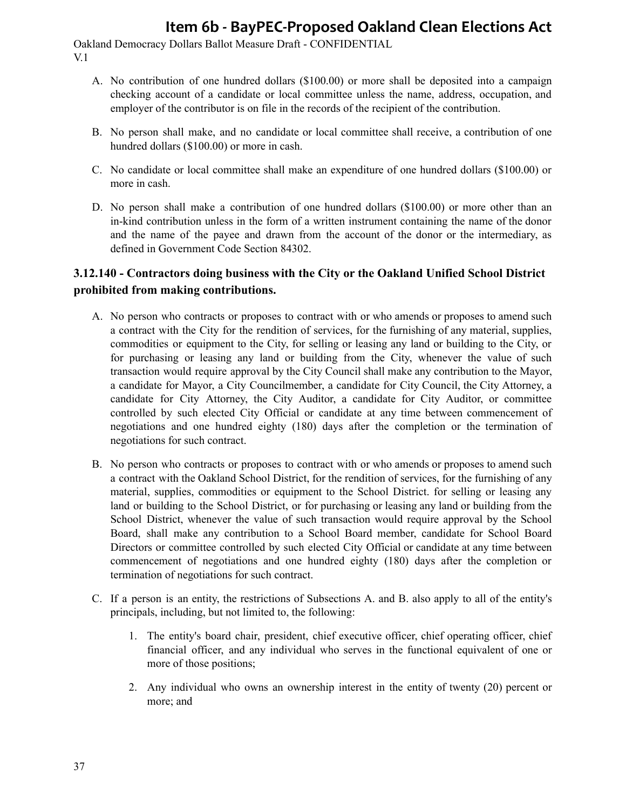Oakland Democracy Dollars Ballot Measure Draft - CONFIDENTIAL V.1

- A. No contribution of one hundred dollars (\$100.00) or more shall be deposited into a campaign checking account of a candidate or local committee unless the name, address, occupation, and employer of the contributor is on file in the records of the recipient of the contribution.
- B. No person shall make, and no candidate or local committee shall receive, a contribution of one hundred dollars (\$100.00) or more in cash.
- C. No candidate or local committee shall make an expenditure of one hundred dollars (\$100.00) or more in cash.
- D. No person shall make a contribution of one hundred dollars (\$100.00) or more other than an in-kind contribution unless in the form of a written instrument containing the name of the donor and the name of the payee and drawn from the account of the donor or the intermediary, as defined in Government Code Section 84302.

## **3.12.140 - Contractors doing business with the City or the Oakland Unified School District prohibited from making contributions.**

- A. No person who contracts or proposes to contract with or who amends or proposes to amend such a contract with the City for the rendition of services, for the furnishing of any material, supplies, commodities or equipment to the City, for selling or leasing any land or building to the City, or for purchasing or leasing any land or building from the City, whenever the value of such transaction would require approval by the City Council shall make any contribution to the Mayor, a candidate for Mayor, a City Councilmember, a candidate for City Council, the City Attorney, a candidate for City Attorney, the City Auditor, a candidate for City Auditor, or committee controlled by such elected City Official or candidate at any time between commencement of negotiations and one hundred eighty (180) days after the completion or the termination of negotiations for such contract.
- B. No person who contracts or proposes to contract with or who amends or proposes to amend such a contract with the Oakland School District, for the rendition of services, for the furnishing of any material, supplies, commodities or equipment to the School District. for selling or leasing any land or building to the School District, or for purchasing or leasing any land or building from the School District, whenever the value of such transaction would require approval by the School Board, shall make any contribution to a School Board member, candidate for School Board Directors or committee controlled by such elected City Official or candidate at any time between commencement of negotiations and one hundred eighty (180) days after the completion or termination of negotiations for such contract.
- C. If a person is an entity, the restrictions of Subsections A. and B. also apply to all of the entity's principals, including, but not limited to, the following:
	- 1. The entity's board chair, president, chief executive officer, chief operating officer, chief financial officer, and any individual who serves in the functional equivalent of one or more of those positions;
	- 2. Any individual who owns an ownership interest in the entity of twenty (20) percent or more; and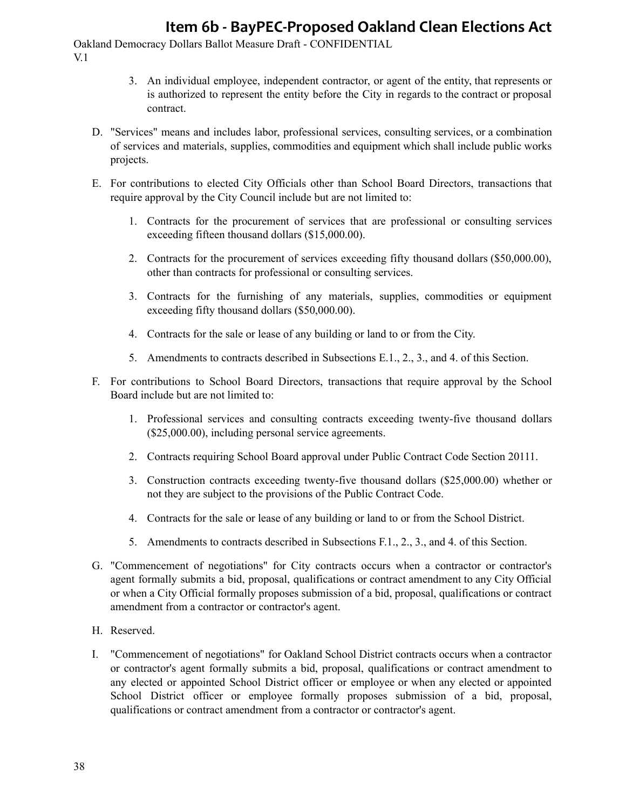- 3. An individual employee, independent contractor, or agent of the entity, that represents or is authorized to represent the entity before the City in regards to the contract or proposal contract.
- D. "Services" means and includes labor, professional services, consulting services, or a combination of services and materials, supplies, commodities and equipment which shall include public works projects.
- E. For contributions to elected City Officials other than School Board Directors, transactions that require approval by the City Council include but are not limited to:
	- 1. Contracts for the procurement of services that are professional or consulting services exceeding fifteen thousand dollars (\$15,000.00).
	- 2. Contracts for the procurement of services exceeding fifty thousand dollars (\$50,000.00), other than contracts for professional or consulting services.
	- 3. Contracts for the furnishing of any materials, supplies, commodities or equipment exceeding fifty thousand dollars (\$50,000.00).
	- 4. Contracts for the sale or lease of any building or land to or from the City.
	- 5. Amendments to contracts described in Subsections E.1., 2., 3., and 4. of this Section.
- F. For contributions to School Board Directors, transactions that require approval by the School Board include but are not limited to:
	- 1. Professional services and consulting contracts exceeding twenty-five thousand dollars (\$25,000.00), including personal service agreements.
	- 2. Contracts requiring School Board approval under Public Contract Code Section 20111.
	- 3. Construction contracts exceeding twenty-five thousand dollars (\$25,000.00) whether or not they are subject to the provisions of the Public Contract Code.
	- 4. Contracts for the sale or lease of any building or land to or from the School District.
	- 5. Amendments to contracts described in Subsections F.1., 2., 3., and 4. of this Section.
- G. "Commencement of negotiations" for City contracts occurs when a contractor or contractor's agent formally submits a bid, proposal, qualifications or contract amendment to any City Official or when a City Official formally proposes submission of a bid, proposal, qualifications or contract amendment from a contractor or contractor's agent.
- H. Reserved.
- I. "Commencement of negotiations" for Oakland School District contracts occurs when a contractor or contractor's agent formally submits a bid, proposal, qualifications or contract amendment to any elected or appointed School District officer or employee or when any elected or appointed School District officer or employee formally proposes submission of a bid, proposal, qualifications or contract amendment from a contractor or contractor's agent.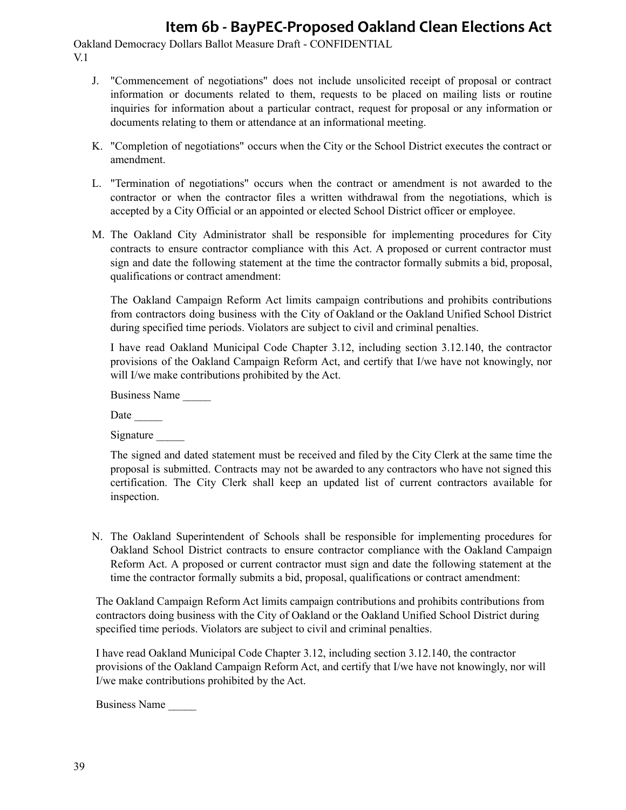Oakland Democracy Dollars Ballot Measure Draft - CONFIDENTIAL V.1

- J. "Commencement of negotiations" does not include unsolicited receipt of proposal or contract information or documents related to them, requests to be placed on mailing lists or routine inquiries for information about a particular contract, request for proposal or any information or documents relating to them or attendance at an informational meeting.
- K. "Completion of negotiations" occurs when the City or the School District executes the contract or amendment.
- L. "Termination of negotiations" occurs when the contract or amendment is not awarded to the contractor or when the contractor files a written withdrawal from the negotiations, which is accepted by a City Official or an appointed or elected School District officer or employee.
- M. The Oakland City Administrator shall be responsible for implementing procedures for City contracts to ensure contractor compliance with this Act. A proposed or current contractor must sign and date the following statement at the time the contractor formally submits a bid, proposal, qualifications or contract amendment:

The Oakland Campaign Reform Act limits campaign contributions and prohibits contributions from contractors doing business with the City of Oakland or the Oakland Unified School District during specified time periods. Violators are subject to civil and criminal penalties.

I have read Oakland Municipal Code Chapter 3.12, including section 3.12.140, the contractor provisions of the Oakland Campaign Reform Act, and certify that I/we have not knowingly, nor will I/we make contributions prohibited by the Act.

Business Name \_\_\_\_\_

Date

Signature

The signed and dated statement must be received and filed by the City Clerk at the same time the proposal is submitted. Contracts may not be awarded to any contractors who have not signed this certification. The City Clerk shall keep an updated list of current contractors available for inspection.

N. The Oakland Superintendent of Schools shall be responsible for implementing procedures for Oakland School District contracts to ensure contractor compliance with the Oakland Campaign Reform Act. A proposed or current contractor must sign and date the following statement at the time the contractor formally submits a bid, proposal, qualifications or contract amendment:

The Oakland Campaign Reform Act limits campaign contributions and prohibits contributions from contractors doing business with the City of Oakland or the Oakland Unified School District during specified time periods. Violators are subject to civil and criminal penalties.

I have read Oakland Municipal Code Chapter 3.12, including section 3.12.140, the contractor provisions of the Oakland Campaign Reform Act, and certify that I/we have not knowingly, nor will I/we make contributions prohibited by the Act.

Business Name \_\_\_\_\_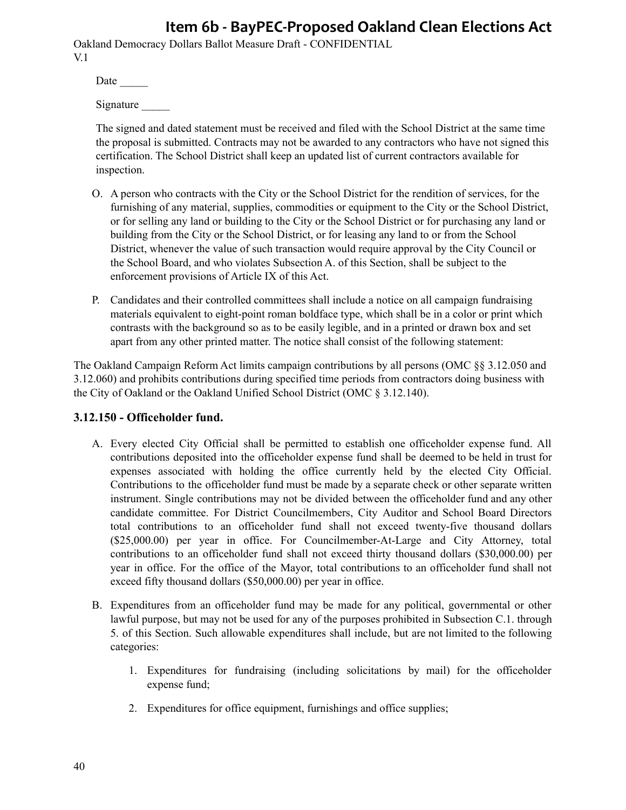Oakland Democracy Dollars Ballot Measure Draft - CONFIDENTIAL V.1

Date  $\_\_$ 

Signature

The signed and dated statement must be received and filed with the School District at the same time the proposal is submitted. Contracts may not be awarded to any contractors who have not signed this certification. The School District shall keep an updated list of current contractors available for inspection.

- O. A person who contracts with the City or the School District for the rendition of services, for the furnishing of any material, supplies, commodities or equipment to the City or the School District, or for selling any land or building to the City or the School District or for purchasing any land or building from the City or the School District, or for leasing any land to or from the School District, whenever the value of such transaction would require approval by the City Council or the School Board, and who violates Subsection A. of this Section, shall be subject to the enforcement provisions of Article IX of this Act.
- P. Candidates and their controlled committees shall include a notice on all campaign fundraising materials equivalent to eight-point roman boldface type, which shall be in a color or print which contrasts with the background so as to be easily legible, and in a printed or drawn box and set apart from any other printed matter. The notice shall consist of the following statement:

The Oakland Campaign Reform Act limits campaign contributions by all persons (OMC §§ 3.12.050 and 3.12.060) and prohibits contributions during specified time periods from contractors doing business with the City of Oakland or the Oakland Unified School District (OMC § 3.12.140).

### **3.12.150 - Officeholder fund.**

- A. Every elected City Official shall be permitted to establish one officeholder expense fund. All contributions deposited into the officeholder expense fund shall be deemed to be held in trust for expenses associated with holding the office currently held by the elected City Official. Contributions to the officeholder fund must be made by a separate check or other separate written instrument. Single contributions may not be divided between the officeholder fund and any other candidate committee. For District Councilmembers, City Auditor and School Board Directors total contributions to an officeholder fund shall not exceed twenty-five thousand dollars (\$25,000.00) per year in office. For Councilmember-At-Large and City Attorney, total contributions to an officeholder fund shall not exceed thirty thousand dollars (\$30,000.00) per year in office. For the office of the Mayor, total contributions to an officeholder fund shall not exceed fifty thousand dollars (\$50,000.00) per year in office.
- B. Expenditures from an officeholder fund may be made for any political, governmental or other lawful purpose, but may not be used for any of the purposes prohibited in Subsection C.1. through 5. of this Section. Such allowable expenditures shall include, but are not limited to the following categories:
	- 1. Expenditures for fundraising (including solicitations by mail) for the officeholder expense fund;
	- 2. Expenditures for office equipment, furnishings and office supplies;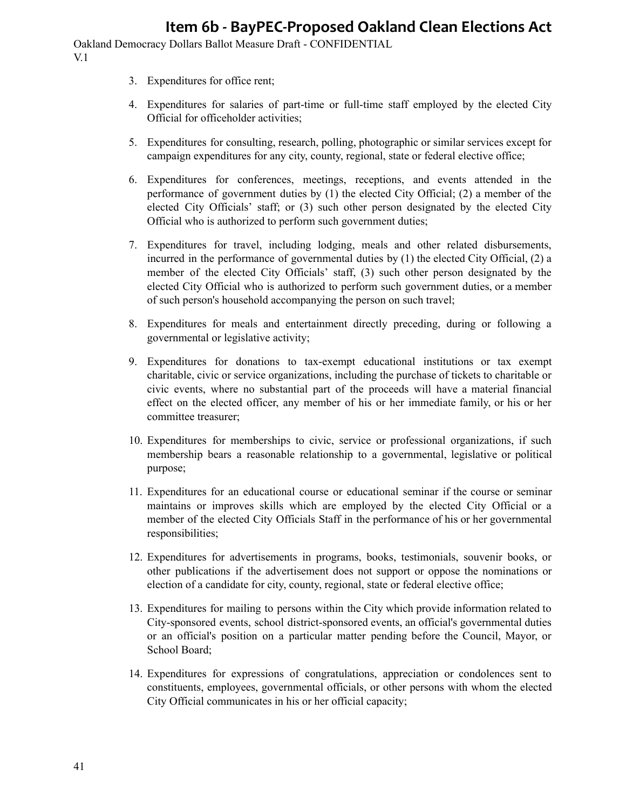- 3. Expenditures for office rent;
- 4. Expenditures for salaries of part-time or full-time staff employed by the elected City Official for officeholder activities;
- 5. Expenditures for consulting, research, polling, photographic or similar services except for campaign expenditures for any city, county, regional, state or federal elective office;
- 6. Expenditures for conferences, meetings, receptions, and events attended in the performance of government duties by (1) the elected City Official; (2) a member of the elected City Officials' staff; or (3) such other person designated by the elected City Official who is authorized to perform such government duties;
- 7. Expenditures for travel, including lodging, meals and other related disbursements, incurred in the performance of governmental duties by (1) the elected City Official, (2) a member of the elected City Officials' staff, (3) such other person designated by the elected City Official who is authorized to perform such government duties, or a member of such person's household accompanying the person on such travel;
- 8. Expenditures for meals and entertainment directly preceding, during or following a governmental or legislative activity;
- 9. Expenditures for donations to tax-exempt educational institutions or tax exempt charitable, civic or service organizations, including the purchase of tickets to charitable or civic events, where no substantial part of the proceeds will have a material financial effect on the elected officer, any member of his or her immediate family, or his or her committee treasurer;
- 10. Expenditures for memberships to civic, service or professional organizations, if such membership bears a reasonable relationship to a governmental, legislative or political purpose;
- 11. Expenditures for an educational course or educational seminar if the course or seminar maintains or improves skills which are employed by the elected City Official or a member of the elected City Officials Staff in the performance of his or her governmental responsibilities;
- 12. Expenditures for advertisements in programs, books, testimonials, souvenir books, or other publications if the advertisement does not support or oppose the nominations or election of a candidate for city, county, regional, state or federal elective office;
- 13. Expenditures for mailing to persons within the City which provide information related to City-sponsored events, school district-sponsored events, an official's governmental duties or an official's position on a particular matter pending before the Council, Mayor, or School Board;
- 14. Expenditures for expressions of congratulations, appreciation or condolences sent to constituents, employees, governmental officials, or other persons with whom the elected City Official communicates in his or her official capacity;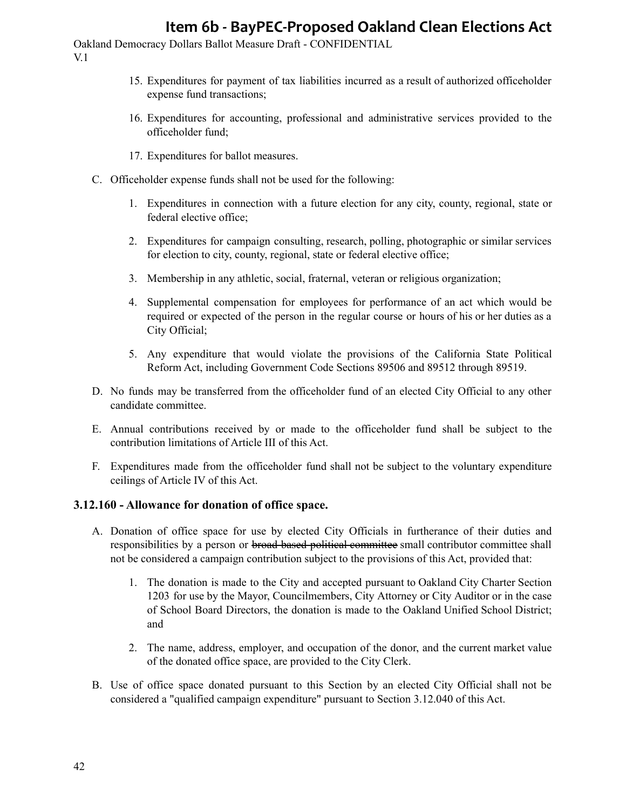Oakland Democracy Dollars Ballot Measure Draft - CONFIDENTIAL V.1

- 15. Expenditures for payment of tax liabilities incurred as a result of authorized officeholder expense fund transactions;
- 16. Expenditures for accounting, professional and administrative services provided to the officeholder fund;
- 17. Expenditures for ballot measures.
- C. Officeholder expense funds shall not be used for the following:
	- 1. Expenditures in connection with a future election for any city, county, regional, state or federal elective office;
	- 2. Expenditures for campaign consulting, research, polling, photographic or similar services for election to city, county, regional, state or federal elective office;
	- 3. Membership in any athletic, social, fraternal, veteran or religious organization;
	- 4. Supplemental compensation for employees for performance of an act which would be required or expected of the person in the regular course or hours of his or her duties as a City Official;
	- 5. Any expenditure that would violate the provisions of the California State Political Reform Act, including Government Code Sections 89506 and 89512 through 89519.
- D. No funds may be transferred from the officeholder fund of an elected City Official to any other candidate committee.
- E. Annual contributions received by or made to the officeholder fund shall be subject to the contribution limitations of Article III of this Act.
- F. Expenditures made from the officeholder fund shall not be subject to the voluntary expenditure ceilings of Article IV of this Act.

#### **3.12.160 - Allowance for donation of office space.**

- A. Donation of office space for use by elected City Officials in furtherance of their duties and responsibilities by a person or broad based political committee small contributor committee shall not be considered a campaign contribution subject to the provisions of this Act, provided that:
	- 1. The donation is made to the City and accepted pursuant to Oakland City Charter Section 1203 for use by the Mayor, Councilmembers, City Attorney or City Auditor or in the case of School Board Directors, the donation is made to the Oakland Unified School District; and
	- 2. The name, address, employer, and occupation of the donor, and the current market value of the donated office space, are provided to the City Clerk.
- B. Use of office space donated pursuant to this Section by an elected City Official shall not be considered a "qualified campaign expenditure" pursuant to Section 3.12.040 of this Act.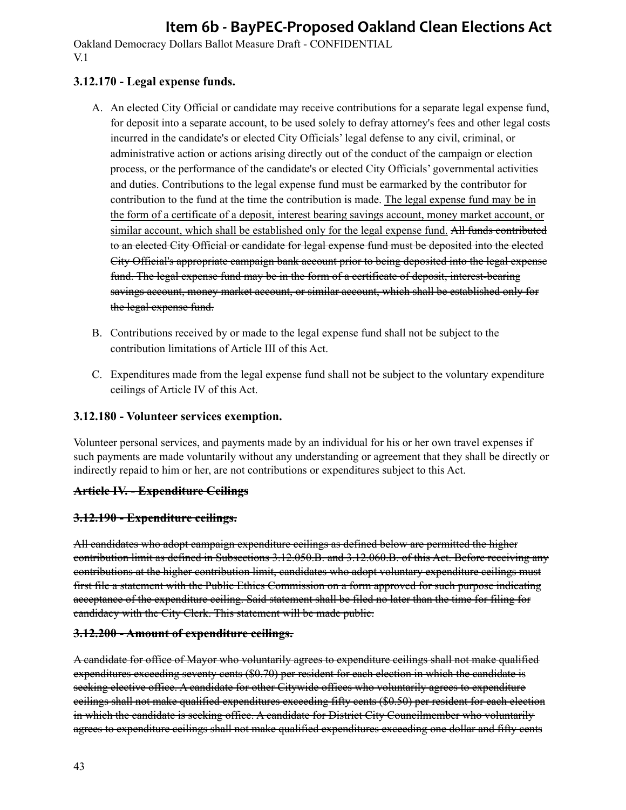Oakland Democracy Dollars Ballot Measure Draft - CONFIDENTIAL V.1

### **3.12.170 - Legal expense funds.**

- A. An elected City Official or candidate may receive contributions for a separate legal expense fund, for deposit into a separate account, to be used solely to defray attorney's fees and other legal costs incurred in the candidate's or elected City Officials' legal defense to any civil, criminal, or administrative action or actions arising directly out of the conduct of the campaign or election process, or the performance of the candidate's or elected City Officials' governmental activities and duties. Contributions to the legal expense fund must be earmarked by the contributor for contribution to the fund at the time the contribution is made. The legal expense fund may be in the form of a certificate of a deposit, interest bearing savings account, money market account, or similar account, which shall be established only for the legal expense fund. All funds contributed to an elected City Official or candidate for legal expense fund must be deposited into the elected City Official's appropriate campaign bank account prior to being deposited into the legal expense fund. The legal expense fund may be in the form of a certificate of deposit, interest-bearing savings account, money market account, or similar account, which shall be established only for the legal expense fund.
- B. Contributions received by or made to the legal expense fund shall not be subject to the contribution limitations of Article III of this Act.
- C. Expenditures made from the legal expense fund shall not be subject to the voluntary expenditure ceilings of Article IV of this Act.

#### **3.12.180 - Volunteer services exemption.**

Volunteer personal services, and payments made by an individual for his or her own travel expenses if such payments are made voluntarily without any understanding or agreement that they shall be directly or indirectly repaid to him or her, are not contributions or expenditures subject to this Act.

#### **Article IV. - Expenditure Ceilings**

#### **3.12.190 - Expenditure ceilings.**

All candidates who adopt campaign expenditure ceilings as defined below are permitted the higher contribution limit as defined in Subsections 3.12.050.B. and 3.12.060.B. of this Act. Before receiving any contributions at the higher contribution limit, candidates who adopt voluntary expenditure ceilings must first file a statement with the Public Ethics Commission on a form approved for such purpose indicating acceptance of the expenditure ceiling. Said statement shall be filed no later than the time for filing for candidacy with the City Clerk. This statement will be made public.

#### **3.12.200 - Amount of expenditure ceilings.**

A candidate for office of Mayor who voluntarily agrees to expenditure ceilings shall not make qualified expenditures exceeding seventy cents (\$0.70) per resident for each election in which the candidate is seeking elective office. A candidate for other Citywide offices who voluntarily agrees to expenditure ceilings shall not make qualified expenditures exceeding fifty cents (\$0.50) per resident for each election in which the candidate is seeking office. A candidate for District City Councilmember who voluntarily agrees to expenditure ceilings shall not make qualified expenditures exceeding one dollar and fifty cents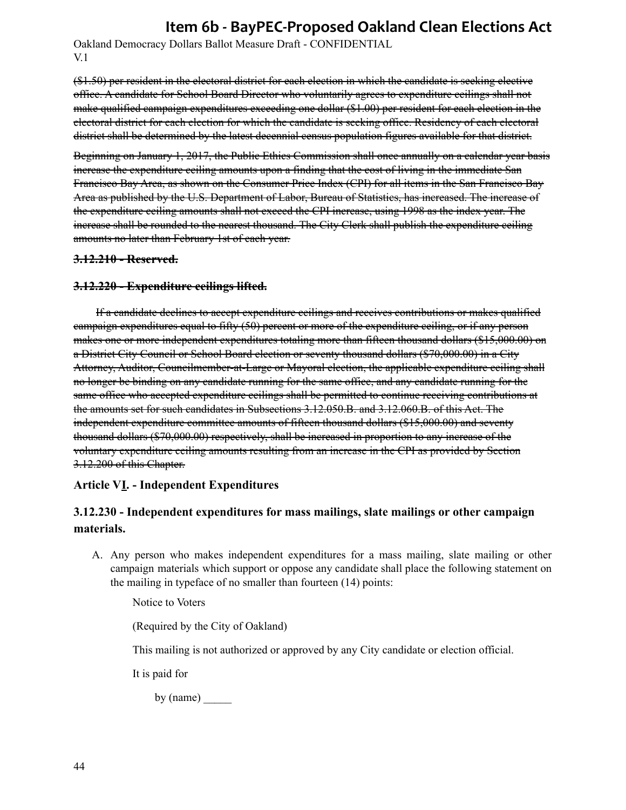Oakland Democracy Dollars Ballot Measure Draft - CONFIDENTIAL V.1

(\$1.50) per resident in the electoral district for each election in which the candidate is seeking elective office. A candidate for School Board Director who voluntarily agrees to expenditure ceilings shall not make qualified campaign expenditures exceeding one dollar (\$1.00) per resident for each election in the electoral district for each election for which the candidate is seeking office. Residency of each electoral district shall be determined by the latest decennial census population figures available for that district.

Beginning on January 1, 2017, the Public Ethics Commission shall once annually on a calendar year basis increase the expenditure ceiling amounts upon a finding that the cost of living in the immediate San Francisco Bay Area, as shown on the Consumer Price Index (CPI) for all items in the San Francisco Bay Area as published by the U.S. Department of Labor, Bureau of Statistics, has increased. The increase of the expenditure ceiling amounts shall not exceed the CPI increase, using 1998 as the index year. The increase shall be rounded to the nearest thousand. The City Clerk shall publish the expenditure ceiling amounts no later than February 1st of each year.

#### **3.12.210 - Reserved.**

#### **3.12.220 - Expenditure ceilings lifted.**

If a candidate declines to accept expenditure ceilings and receives contributions or makes qualified campaign expenditures equal to fifty (50) percent or more of the expenditure ceiling, or if any person makes one or more independent expenditures totaling more than fifteen thousand dollars (\$15,000.00) on a District City Council or School Board election or seventy thousand dollars (\$70,000.00) in a City Attorney, Auditor, Councilmember-at-Large or Mayoral election, the applicable expenditure ceiling shall no longer be binding on any candidate running for the same office, and any candidate running for the same office who accepted expenditure ceilings shall be permitted to continue receiving contributions at the amounts set for such candidates in Subsections 3.12.050.B. and 3.12.060.B. of this Act. The independent expenditure committee amounts of fifteen thousand dollars (\$15,000.00) and seventy thousand dollars (\$70,000.00) respectively, shall be increased in proportion to any increase of the voluntary expenditure ceiling amounts resulting from an increase in the CPI as provided by Section 3.12.200 of this Chapter.

#### **Article VI. - Independent Expenditures**

## **3.12.230 - Independent expenditures for mass mailings, slate mailings or other campaign materials.**

A. Any person who makes independent expenditures for a mass mailing, slate mailing or other campaign materials which support or oppose any candidate shall place the following statement on the mailing in typeface of no smaller than fourteen (14) points:

Notice to Voters

(Required by the City of Oakland)

This mailing is not authorized or approved by any City candidate or election official.

It is paid for

by (name) \_\_\_\_\_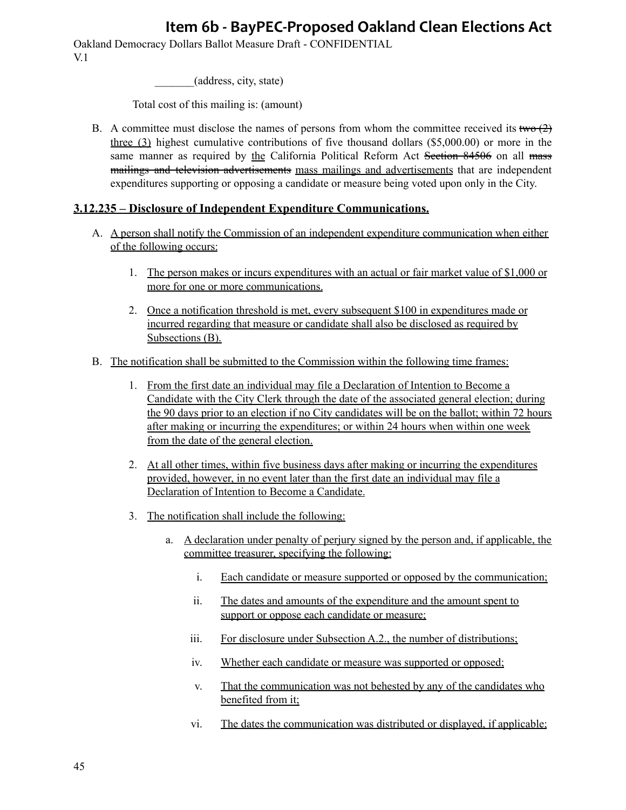Oakland Democracy Dollars Ballot Measure Draft - CONFIDENTIAL V.1

\_\_\_\_\_\_\_(address, city, state)

Total cost of this mailing is: (amount)

B. A committee must disclose the names of persons from whom the committee received its two  $(2)$ three (3) highest cumulative contributions of five thousand dollars (\$5,000.00) or more in the same manner as required by the California Political Reform Act Section 84506 on all mass mailings and television advertisements mass mailings and advertisements that are independent expenditures supporting or opposing a candidate or measure being voted upon only in the City.

#### **3.12.235 – Disclosure of Independent Expenditure Communications.**

- A. A person shall notify the Commission of an independent expenditure communication when either of the following occurs:
	- 1. The person makes or incurs expenditures with an actual or fair market value of \$1,000 or more for one or more communications.
	- 2. Once a notification threshold is met, every subsequent \$100 in expenditures made or incurred regarding that measure or candidate shall also be disclosed as required by Subsections (B).
- B. The notification shall be submitted to the Commission within the following time frames:
	- 1. From the first date an individual may file a Declaration of Intention to Become a Candidate with the City Clerk through the date of the associated general election; during the 90 days prior to an election if no City candidates will be on the ballot; within 72 hours after making or incurring the expenditures; or within 24 hours when within one week from the date of the general election.
	- 2. At all other times, within five business days after making or incurring the expenditures provided, however, in no event later than the first date an individual may file a Declaration of Intention to Become a Candidate.
	- 3. The notification shall include the following:
		- a. A declaration under penalty of perjury signed by the person and, if applicable, the committee treasurer, specifying the following:
			- i. Each candidate or measure supported or opposed by the communication;
			- ii. The dates and amounts of the expenditure and the amount spent to support or oppose each candidate or measure;
			- iii. For disclosure under Subsection A.2., the number of distributions;
			- iv. Whether each candidate or measure was supported or opposed;
			- v. That the communication was not behested by any of the candidates who benefited from it;
			- vi. The dates the communication was distributed or displayed, if applicable;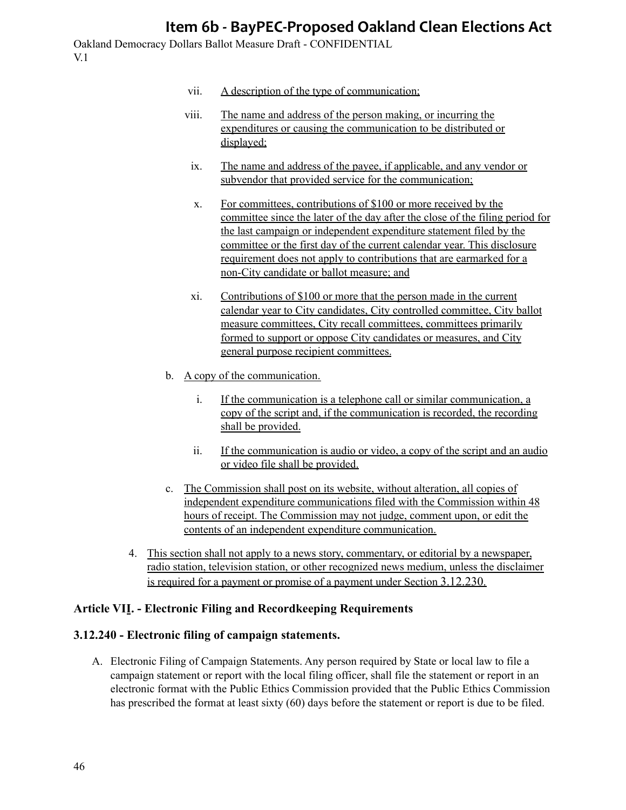Oakland Democracy Dollars Ballot Measure Draft - CONFIDENTIAL V.1

- vii. A description of the type of communication;
- viii. The name and address of the person making, or incurring the expenditures or causing the communication to be distributed or displayed;
- ix. The name and address of the payee, if applicable, and any vendor or subvendor that provided service for the communication;
- x. For committees, contributions of \$100 or more received by the committee since the later of the day after the close of the filing period for the last campaign or independent expenditure statement filed by the committee or the first day of the current calendar year. This disclosure requirement does not apply to contributions that are earmarked for a non-City candidate or ballot measure; and
- xi. Contributions of \$100 or more that the person made in the current calendar year to City candidates, City controlled committee, City ballot measure committees, City recall committees, committees primarily formed to support or oppose City candidates or measures, and City general purpose recipient committees.
- b. A copy of the communication.
	- i. If the communication is a telephone call or similar communication, a copy of the script and, if the communication is recorded, the recording shall be provided.
	- ii. If the communication is audio or video, a copy of the script and an audio or video file shall be provided.
- c. The Commission shall post on its website, without alteration, all copies of independent expenditure communications filed with the Commission within 48 hours of receipt. The Commission may not judge, comment upon, or edit the contents of an independent expenditure communication.
- 4. This section shall not apply to a news story, commentary, or editorial by a newspaper, radio station, television station, or other recognized news medium, unless the disclaimer is required for a payment or promise of a payment under Section 3.12.230.

### **Article VII. - Electronic Filing and Recordkeeping Requirements**

#### **3.12.240 - Electronic filing of campaign statements.**

A. Electronic Filing of Campaign Statements. Any person required by State or local law to file a campaign statement or report with the local filing officer, shall file the statement or report in an electronic format with the Public Ethics Commission provided that the Public Ethics Commission has prescribed the format at least sixty (60) days before the statement or report is due to be filed.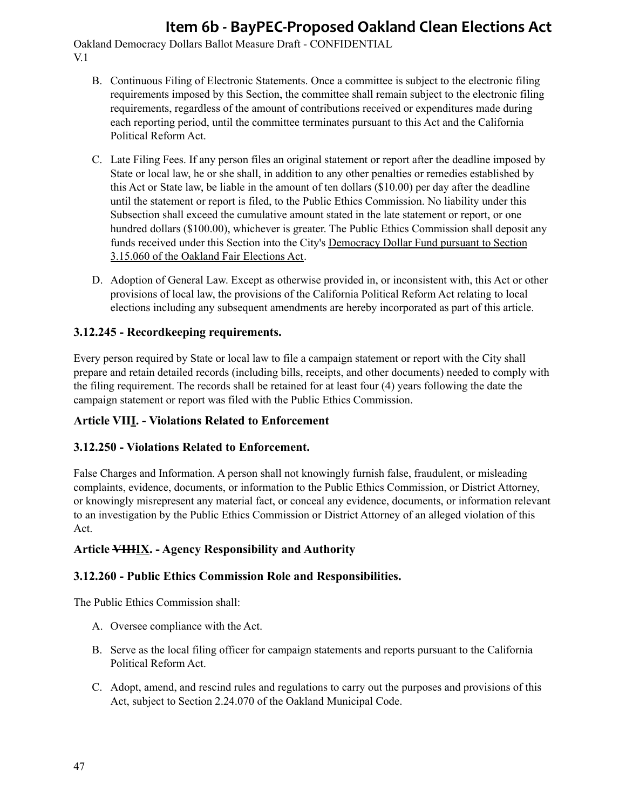Oakland Democracy Dollars Ballot Measure Draft - CONFIDENTIAL V.1

- B. Continuous Filing of Electronic Statements. Once a committee is subject to the electronic filing requirements imposed by this Section, the committee shall remain subject to the electronic filing requirements, regardless of the amount of contributions received or expenditures made during each reporting period, until the committee terminates pursuant to this Act and the California Political Reform Act.
- C. Late Filing Fees. If any person files an original statement or report after the deadline imposed by State or local law, he or she shall, in addition to any other penalties or remedies established by this Act or State law, be liable in the amount of ten dollars (\$10.00) per day after the deadline until the statement or report is filed, to the Public Ethics Commission. No liability under this Subsection shall exceed the cumulative amount stated in the late statement or report, or one hundred dollars (\$100.00), whichever is greater. The Public Ethics Commission shall deposit any funds received under this Section into the City's Democracy Dollar Fund pursuant to Section 3.15.060 of the Oakland Fair Elections Act.
- D. Adoption of General Law. Except as otherwise provided in, or inconsistent with, this Act or other provisions of local law, the provisions of the California Political Reform Act relating to local elections including any subsequent amendments are hereby incorporated as part of this article.

## **3.12.245 - Recordkeeping requirements.**

Every person required by State or local law to file a campaign statement or report with the City shall prepare and retain detailed records (including bills, receipts, and other documents) needed to comply with the filing requirement. The records shall be retained for at least four (4) years following the date the campaign statement or report was filed with the Public Ethics Commission.

### **Article VIII. - Violations Related to Enforcement**

### **3.12.250 - Violations Related to Enforcement.**

False Charges and Information. A person shall not knowingly furnish false, fraudulent, or misleading complaints, evidence, documents, or information to the Public Ethics Commission, or District Attorney, or knowingly misrepresent any material fact, or conceal any evidence, documents, or information relevant to an investigation by the Public Ethics Commission or District Attorney of an alleged violation of this Act.

### **Article VIIIIX. - Agency Responsibility and Authority**

#### **3.12.260 - Public Ethics Commission Role and Responsibilities.**

The Public Ethics Commission shall:

- A. Oversee compliance with the Act.
- B. Serve as the local filing officer for campaign statements and reports pursuant to the California Political Reform Act.
- C. Adopt, amend, and rescind rules and regulations to carry out the purposes and provisions of this Act, subject to Section 2.24.070 of the Oakland Municipal Code.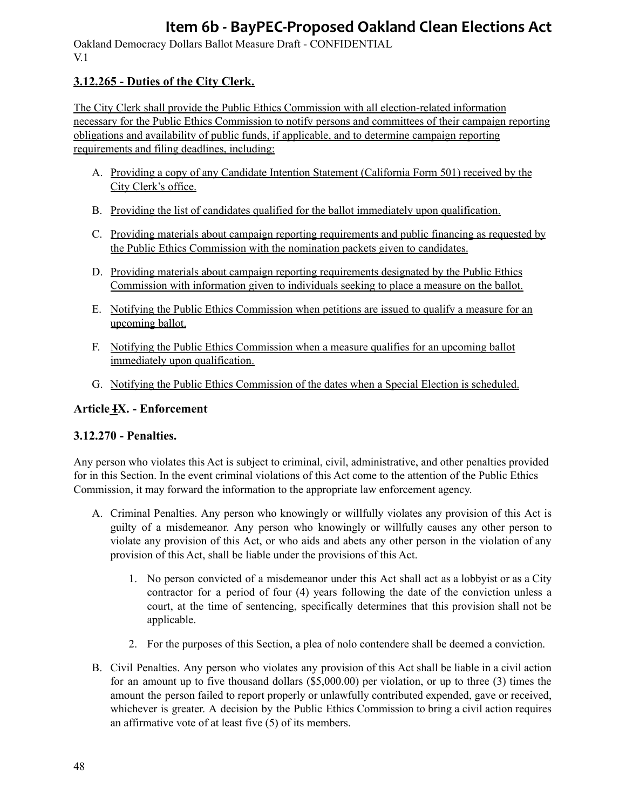Oakland Democracy Dollars Ballot Measure Draft - CONFIDENTIAL V.1

## **3.12.265 - Duties of the City Clerk.**

The City Clerk shall provide the Public Ethics Commission with all election-related information necessary for the Public Ethics Commission to notify persons and committees of their campaign reporting obligations and availability of public funds, if applicable, and to determine campaign reporting requirements and filing deadlines, including:

- A. Providing a copy of any Candidate Intention Statement (California Form 501) received by the City Clerk's office.
- B. Providing the list of candidates qualified for the ballot immediately upon qualification.
- C. Providing materials about campaign reporting requirements and public financing as requested by the Public Ethics Commission with the nomination packets given to candidates.
- D. Providing materials about campaign reporting requirements designated by the Public Ethics Commission with information given to individuals seeking to place a measure on the ballot.
- E. Notifying the Public Ethics Commission when petitions are issued to qualify a measure for an upcoming ballot.
- F. Notifying the Public Ethics Commission when a measure qualifies for an upcoming ballot immediately upon qualification.
- G. Notifying the Public Ethics Commission of the dates when a Special Election is scheduled.

## **Article IX. - Enforcement**

### **3.12.270 - Penalties.**

Any person who violates this Act is subject to criminal, civil, administrative, and other penalties provided for in this Section. In the event criminal violations of this Act come to the attention of the Public Ethics Commission, it may forward the information to the appropriate law enforcement agency.

- A. Criminal Penalties. Any person who knowingly or willfully violates any provision of this Act is guilty of a misdemeanor. Any person who knowingly or willfully causes any other person to violate any provision of this Act, or who aids and abets any other person in the violation of any provision of this Act, shall be liable under the provisions of this Act.
	- 1. No person convicted of a misdemeanor under this Act shall act as a lobbyist or as a City contractor for a period of four (4) years following the date of the conviction unless a court, at the time of sentencing, specifically determines that this provision shall not be applicable.
	- 2. For the purposes of this Section, a plea of nolo contendere shall be deemed a conviction.
- B. Civil Penalties. Any person who violates any provision of this Act shall be liable in a civil action for an amount up to five thousand dollars (\$5,000.00) per violation, or up to three (3) times the amount the person failed to report properly or unlawfully contributed expended, gave or received, whichever is greater. A decision by the Public Ethics Commission to bring a civil action requires an affirmative vote of at least five (5) of its members.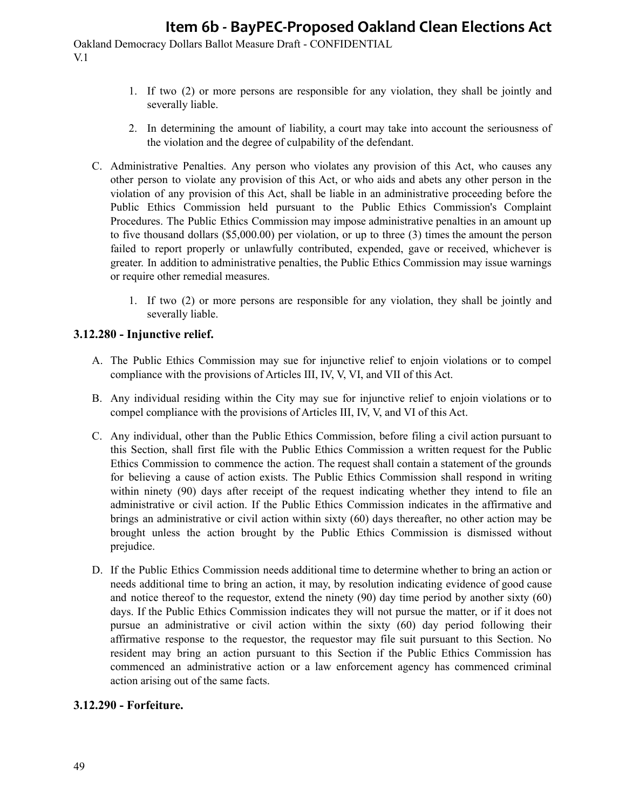Oakland Democracy Dollars Ballot Measure Draft - CONFIDENTIAL V.1

- 1. If two (2) or more persons are responsible for any violation, they shall be jointly and severally liable.
- 2. In determining the amount of liability, a court may take into account the seriousness of the violation and the degree of culpability of the defendant.
- C. Administrative Penalties. Any person who violates any provision of this Act, who causes any other person to violate any provision of this Act, or who aids and abets any other person in the violation of any provision of this Act, shall be liable in an administrative proceeding before the Public Ethics Commission held pursuant to the Public Ethics Commission's Complaint Procedures. The Public Ethics Commission may impose administrative penalties in an amount up to five thousand dollars (\$5,000.00) per violation, or up to three (3) times the amount the person failed to report properly or unlawfully contributed, expended, gave or received, whichever is greater. In addition to administrative penalties, the Public Ethics Commission may issue warnings or require other remedial measures.
	- 1. If two (2) or more persons are responsible for any violation, they shall be jointly and severally liable.

### **3.12.280 - Injunctive relief.**

- A. The Public Ethics Commission may sue for injunctive relief to enjoin violations or to compel compliance with the provisions of Articles III, IV, V, VI, and VII of this Act.
- B. Any individual residing within the City may sue for injunctive relief to enjoin violations or to compel compliance with the provisions of Articles III, IV, V, and VI of this Act.
- C. Any individual, other than the Public Ethics Commission, before filing a civil action pursuant to this Section, shall first file with the Public Ethics Commission a written request for the Public Ethics Commission to commence the action. The request shall contain a statement of the grounds for believing a cause of action exists. The Public Ethics Commission shall respond in writing within ninety (90) days after receipt of the request indicating whether they intend to file an administrative or civil action. If the Public Ethics Commission indicates in the affirmative and brings an administrative or civil action within sixty (60) days thereafter, no other action may be brought unless the action brought by the Public Ethics Commission is dismissed without prejudice.
- D. If the Public Ethics Commission needs additional time to determine whether to bring an action or needs additional time to bring an action, it may, by resolution indicating evidence of good cause and notice thereof to the requestor, extend the ninety (90) day time period by another sixty (60) days. If the Public Ethics Commission indicates they will not pursue the matter, or if it does not pursue an administrative or civil action within the sixty (60) day period following their affirmative response to the requestor, the requestor may file suit pursuant to this Section. No resident may bring an action pursuant to this Section if the Public Ethics Commission has commenced an administrative action or a law enforcement agency has commenced criminal action arising out of the same facts.

#### **3.12.290 - Forfeiture.**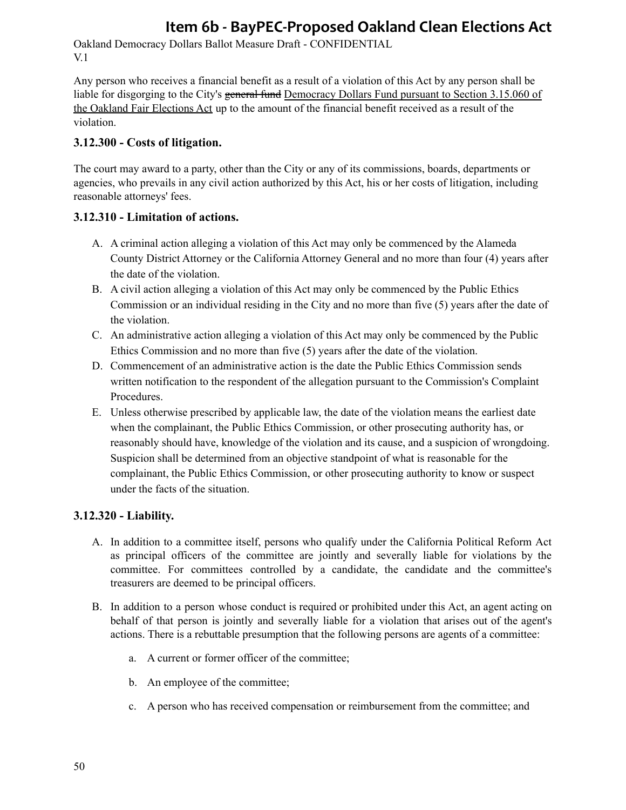Oakland Democracy Dollars Ballot Measure Draft - CONFIDENTIAL V.1

Any person who receives a financial benefit as a result of a violation of this Act by any person shall be liable for disgorging to the City's general fund Democracy Dollars Fund pursuant to Section 3.15.060 of the Oakland Fair Elections Act up to the amount of the financial benefit received as a result of the violation.

### **3.12.300 - Costs of litigation.**

The court may award to a party, other than the City or any of its commissions, boards, departments or agencies, who prevails in any civil action authorized by this Act, his or her costs of litigation, including reasonable attorneys' fees.

### **3.12.310 - Limitation of actions.**

- A. A criminal action alleging a violation of this Act may only be commenced by the Alameda County District Attorney or the California Attorney General and no more than four (4) years after the date of the violation.
- B. A civil action alleging a violation of this Act may only be commenced by the Public Ethics Commission or an individual residing in the City and no more than five (5) years after the date of the violation.
- C. An administrative action alleging a violation of this Act may only be commenced by the Public Ethics Commission and no more than five (5) years after the date of the violation.
- D. Commencement of an administrative action is the date the Public Ethics Commission sends written notification to the respondent of the allegation pursuant to the Commission's Complaint Procedures.
- E. Unless otherwise prescribed by applicable law, the date of the violation means the earliest date when the complainant, the Public Ethics Commission, or other prosecuting authority has, or reasonably should have, knowledge of the violation and its cause, and a suspicion of wrongdoing. Suspicion shall be determined from an objective standpoint of what is reasonable for the complainant, the Public Ethics Commission, or other prosecuting authority to know or suspect under the facts of the situation.

### **3.12.320 - Liability.**

- A. In addition to a committee itself, persons who qualify under the California Political Reform Act as principal officers of the committee are jointly and severally liable for violations by the committee. For committees controlled by a candidate, the candidate and the committee's treasurers are deemed to be principal officers.
- B. In addition to a person whose conduct is required or prohibited under this Act, an agent acting on behalf of that person is jointly and severally liable for a violation that arises out of the agent's actions. There is a rebuttable presumption that the following persons are agents of a committee:
	- a. A current or former officer of the committee;
	- b. An employee of the committee;
	- c. A person who has received compensation or reimbursement from the committee; and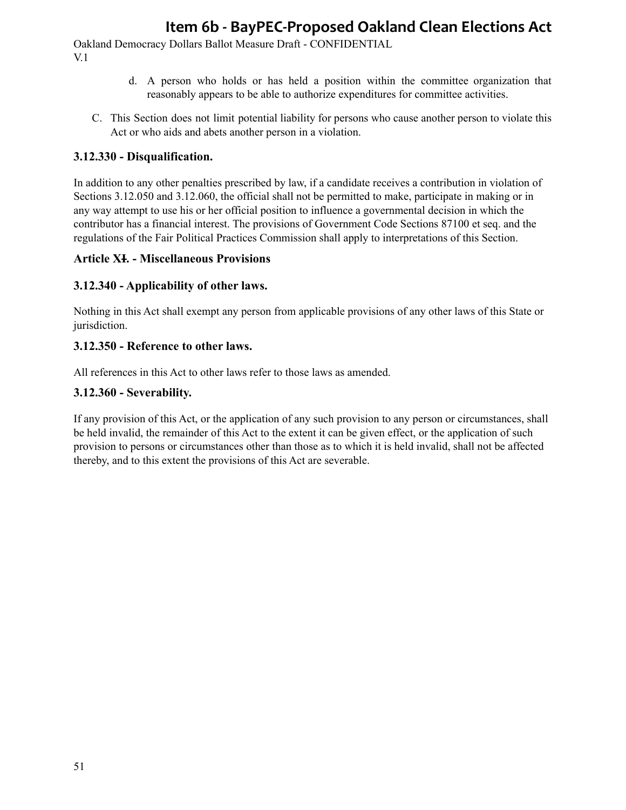Oakland Democracy Dollars Ballot Measure Draft - CONFIDENTIAL V.1

- d. A person who holds or has held a position within the committee organization that reasonably appears to be able to authorize expenditures for committee activities.
- C. This Section does not limit potential liability for persons who cause another person to violate this Act or who aids and abets another person in a violation.

### **3.12.330 - Disqualification.**

In addition to any other penalties prescribed by law, if a candidate receives a contribution in violation of Sections 3.12.050 and 3.12.060, the official shall not be permitted to make, participate in making or in any way attempt to use his or her official position to influence a governmental decision in which the contributor has a financial interest. The provisions of Government Code Sections 87100 et seq. and the regulations of the Fair Political Practices Commission shall apply to interpretations of this Section.

#### **Article XI. - Miscellaneous Provisions**

### **3.12.340 - Applicability of other laws.**

Nothing in this Act shall exempt any person from applicable provisions of any other laws of this State or jurisdiction.

### **3.12.350 - Reference to other laws.**

All references in this Act to other laws refer to those laws as amended.

### **3.12.360 - Severability.**

If any provision of this Act, or the application of any such provision to any person or circumstances, shall be held invalid, the remainder of this Act to the extent it can be given effect, or the application of such provision to persons or circumstances other than those as to which it is held invalid, shall not be affected thereby, and to this extent the provisions of this Act are severable.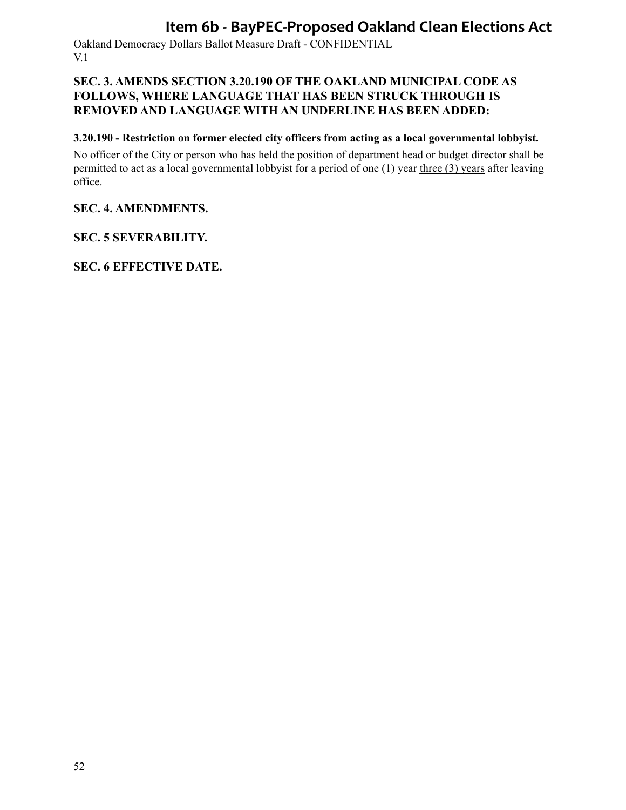Oakland Democracy Dollars Ballot Measure Draft - CONFIDENTIAL V.1

## **SEC. 3. AMENDS SECTION 3.20.190 OF THE OAKLAND MUNICIPAL CODE AS FOLLOWS, WHERE LANGUAGE THAT HAS BEEN STRUCK THROUGH IS REMOVED AND LANGUAGE WITH AN UNDERLINE HAS BEEN ADDED:**

## **3.20.190 - Restriction on former elected city officers from acting as a local governmental lobbyist.**

No officer of the City or person who has held the position of department head or budget director shall be permitted to act as a local governmental lobbyist for a period of  $\theta$  one  $(1)$  year three (3) years after leaving office.

## **SEC. 4. AMENDMENTS.**

## **SEC. 5 SEVERABILITY.**

**SEC. 6 EFFECTIVE DATE.**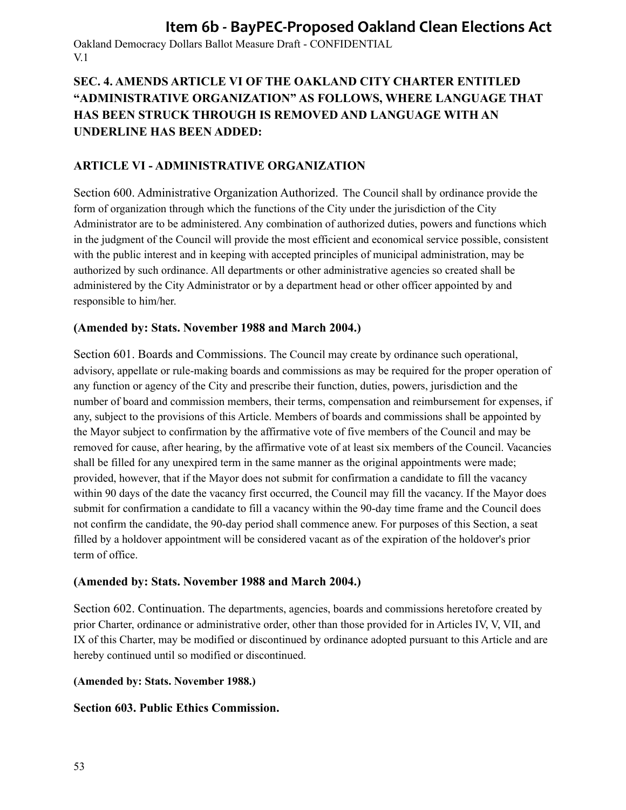Oakland Democracy Dollars Ballot Measure Draft - CONFIDENTIAL V.1

## **SEC. 4. AMENDS ARTICLE VI OF THE OAKLAND CITY CHARTER ENTITLED "ADMINISTRATIVE ORGANIZATION" AS FOLLOWS, WHERE LANGUAGE THAT HAS BEEN STRUCK THROUGH IS REMOVED AND LANGUAGE WITH AN UNDERLINE HAS BEEN ADDED:**

## **ARTICLE VI - ADMINISTRATIVE ORGANIZATION**

Section 600. Administrative Organization Authorized. The Council shall by ordinance provide the form of organization through which the functions of the City under the jurisdiction of the City Administrator are to be administered. Any combination of authorized duties, powers and functions which in the judgment of the Council will provide the most efficient and economical service possible, consistent with the public interest and in keeping with accepted principles of municipal administration, may be authorized by such ordinance. All departments or other administrative agencies so created shall be administered by the City Administrator or by a department head or other officer appointed by and responsible to him/her.

### **(Amended by: Stats. November 1988 and March 2004.)**

Section 601. Boards and Commissions. The Council may create by ordinance such operational, advisory, appellate or rule-making boards and commissions as may be required for the proper operation of any function or agency of the City and prescribe their function, duties, powers, jurisdiction and the number of board and commission members, their terms, compensation and reimbursement for expenses, if any, subject to the provisions of this Article. Members of boards and commissions shall be appointed by the Mayor subject to confirmation by the affirmative vote of five members of the Council and may be removed for cause, after hearing, by the affirmative vote of at least six members of the Council. Vacancies shall be filled for any unexpired term in the same manner as the original appointments were made; provided, however, that if the Mayor does not submit for confirmation a candidate to fill the vacancy within 90 days of the date the vacancy first occurred, the Council may fill the vacancy. If the Mayor does submit for confirmation a candidate to fill a vacancy within the 90-day time frame and the Council does not confirm the candidate, the 90-day period shall commence anew. For purposes of this Section, a seat filled by a holdover appointment will be considered vacant as of the expiration of the holdover's prior term of office.

### **(Amended by: Stats. November 1988 and March 2004.)**

Section 602. Continuation. The departments, agencies, boards and commissions heretofore created by prior Charter, ordinance or administrative order, other than those provided for in Articles IV, V, VII, and IX of this Charter, may be modified or discontinued by ordinance adopted pursuant to this Article and are hereby continued until so modified or discontinued.

**(Amended by: Stats. November 1988.)**

### **Section 603. Public Ethics Commission.**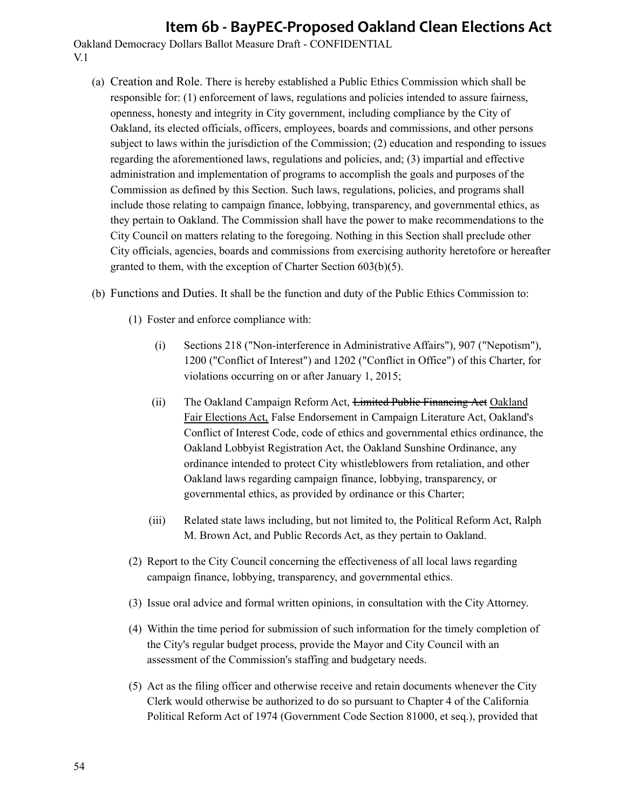- (a) Creation and Role. There is hereby established a Public Ethics Commission which shall be responsible for: (1) enforcement of laws, regulations and policies intended to assure fairness, openness, honesty and integrity in City government, including compliance by the City of Oakland, its elected officials, officers, employees, boards and commissions, and other persons subject to laws within the jurisdiction of the Commission; (2) education and responding to issues regarding the aforementioned laws, regulations and policies, and; (3) impartial and effective administration and implementation of programs to accomplish the goals and purposes of the Commission as defined by this Section. Such laws, regulations, policies, and programs shall include those relating to campaign finance, lobbying, transparency, and governmental ethics, as they pertain to Oakland. The Commission shall have the power to make recommendations to the City Council on matters relating to the foregoing. Nothing in this Section shall preclude other City officials, agencies, boards and commissions from exercising authority heretofore or hereafter granted to them, with the exception of Charter Section 603(b)(5).
- (b) Functions and Duties. It shall be the function and duty of the Public Ethics Commission to:
	- (1) Foster and enforce compliance with:
		- (i) Sections 218 ("Non-interference in Administrative Affairs"), 907 ("Nepotism"), 1200 ("Conflict of Interest") and 1202 ("Conflict in Office") of this Charter, for violations occurring on or after January 1, 2015;
		- (ii) The Oakland Campaign Reform Act, Limited Public Financing Act Oakland Fair Elections Act, False Endorsement in Campaign Literature Act, Oakland's Conflict of Interest Code, code of ethics and governmental ethics ordinance, the Oakland Lobbyist Registration Act, the Oakland Sunshine Ordinance, any ordinance intended to protect City whistleblowers from retaliation, and other Oakland laws regarding campaign finance, lobbying, transparency, or governmental ethics, as provided by ordinance or this Charter;
		- (iii) Related state laws including, but not limited to, the Political Reform Act, Ralph M. Brown Act, and Public Records Act, as they pertain to Oakland.
	- (2) Report to the City Council concerning the effectiveness of all local laws regarding campaign finance, lobbying, transparency, and governmental ethics.
	- (3) Issue oral advice and formal written opinions, in consultation with the City Attorney.
	- (4) Within the time period for submission of such information for the timely completion of the City's regular budget process, provide the Mayor and City Council with an assessment of the Commission's staffing and budgetary needs.
	- (5) Act as the filing officer and otherwise receive and retain documents whenever the City Clerk would otherwise be authorized to do so pursuant to Chapter 4 of the California Political Reform Act of 1974 (Government Code Section 81000, et seq.), provided that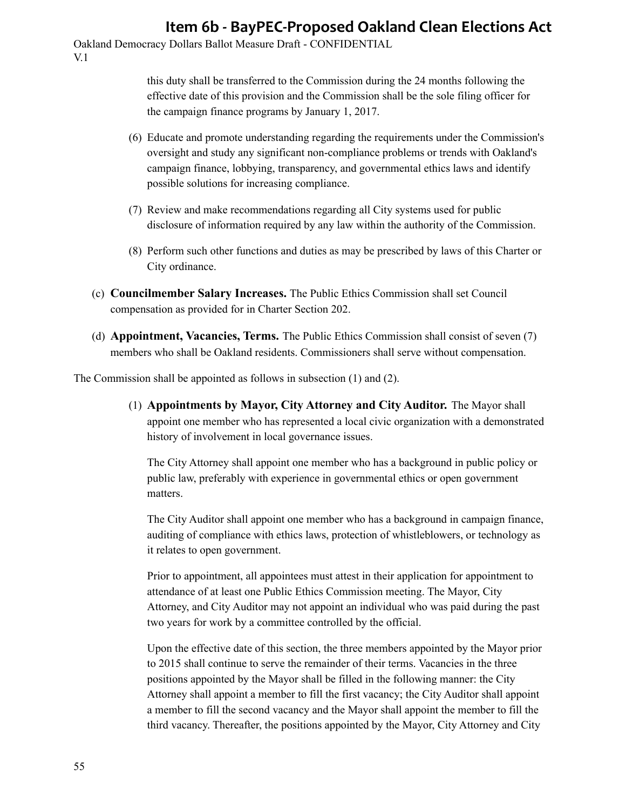Oakland Democracy Dollars Ballot Measure Draft - CONFIDENTIAL V.1

> this duty shall be transferred to the Commission during the 24 months following the effective date of this provision and the Commission shall be the sole filing officer for the campaign finance programs by January 1, 2017.

- (6) Educate and promote understanding regarding the requirements under the Commission's oversight and study any significant non-compliance problems or trends with Oakland's campaign finance, lobbying, transparency, and governmental ethics laws and identify possible solutions for increasing compliance.
- (7) Review and make recommendations regarding all City systems used for public disclosure of information required by any law within the authority of the Commission.
- (8) Perform such other functions and duties as may be prescribed by laws of this Charter or City ordinance.
- (c) **Councilmember Salary Increases.** The Public Ethics Commission shall set Council compensation as provided for in Charter Section 202.
- (d) **Appointment, Vacancies, Terms.** The Public Ethics Commission shall consist of seven (7) members who shall be Oakland residents. Commissioners shall serve without compensation.

The Commission shall be appointed as follows in subsection (1) and (2).

(1) **Appointments by Mayor, City Attorney and City Auditor.** The Mayor shall appoint one member who has represented a local civic organization with a demonstrated history of involvement in local governance issues.

The City Attorney shall appoint one member who has a background in public policy or public law, preferably with experience in governmental ethics or open government matters.

The City Auditor shall appoint one member who has a background in campaign finance, auditing of compliance with ethics laws, protection of whistleblowers, or technology as it relates to open government.

Prior to appointment, all appointees must attest in their application for appointment to attendance of at least one Public Ethics Commission meeting. The Mayor, City Attorney, and City Auditor may not appoint an individual who was paid during the past two years for work by a committee controlled by the official.

Upon the effective date of this section, the three members appointed by the Mayor prior to 2015 shall continue to serve the remainder of their terms. Vacancies in the three positions appointed by the Mayor shall be filled in the following manner: the City Attorney shall appoint a member to fill the first vacancy; the City Auditor shall appoint a member to fill the second vacancy and the Mayor shall appoint the member to fill the third vacancy. Thereafter, the positions appointed by the Mayor, City Attorney and City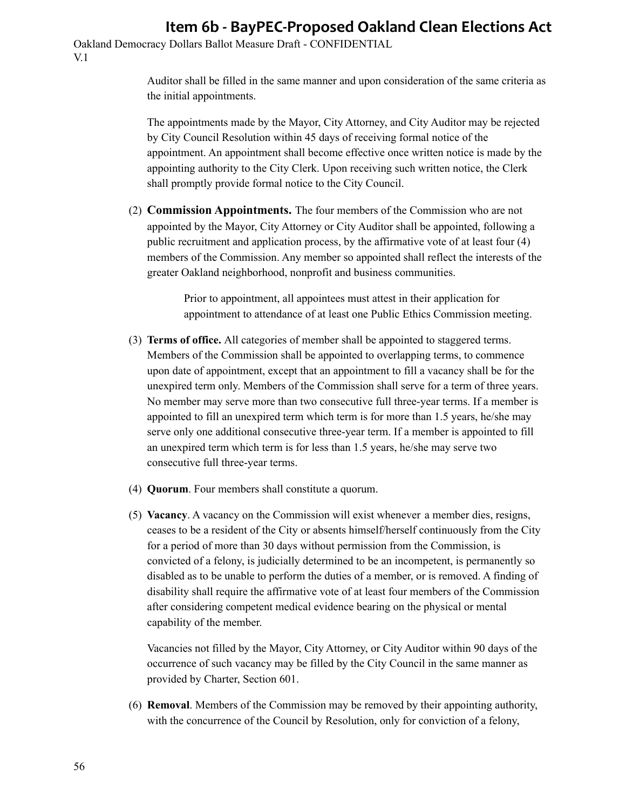Oakland Democracy Dollars Ballot Measure Draft - CONFIDENTIAL V.1

> Auditor shall be filled in the same manner and upon consideration of the same criteria as the initial appointments.

> The appointments made by the Mayor, City Attorney, and City Auditor may be rejected by City Council Resolution within 45 days of receiving formal notice of the appointment. An appointment shall become effective once written notice is made by the appointing authority to the City Clerk. Upon receiving such written notice, the Clerk shall promptly provide formal notice to the City Council.

(2) **Commission Appointments.** The four members of the Commission who are not appointed by the Mayor, City Attorney or City Auditor shall be appointed, following a public recruitment and application process, by the affirmative vote of at least four (4) members of the Commission. Any member so appointed shall reflect the interests of the greater Oakland neighborhood, nonprofit and business communities.

> Prior to appointment, all appointees must attest in their application for appointment to attendance of at least one Public Ethics Commission meeting.

- (3) **Terms of office.** All categories of member shall be appointed to staggered terms. Members of the Commission shall be appointed to overlapping terms, to commence upon date of appointment, except that an appointment to fill a vacancy shall be for the unexpired term only. Members of the Commission shall serve for a term of three years. No member may serve more than two consecutive full three-year terms. If a member is appointed to fill an unexpired term which term is for more than 1.5 years, he/she may serve only one additional consecutive three-year term. If a member is appointed to fill an unexpired term which term is for less than 1.5 years, he/she may serve two consecutive full three-year terms.
- (4) **Quorum**. Four members shall constitute a quorum.
- (5) **Vacancy**. A vacancy on the Commission will exist whenever a member dies, resigns, ceases to be a resident of the City or absents himself/herself continuously from the City for a period of more than 30 days without permission from the Commission, is convicted of a felony, is judicially determined to be an incompetent, is permanently so disabled as to be unable to perform the duties of a member, or is removed. A finding of disability shall require the affirmative vote of at least four members of the Commission after considering competent medical evidence bearing on the physical or mental capability of the member.

Vacancies not filled by the Mayor, City Attorney, or City Auditor within 90 days of the occurrence of such vacancy may be filled by the City Council in the same manner as provided by Charter, Section 601.

(6) **Removal**. Members of the Commission may be removed by their appointing authority, with the concurrence of the Council by Resolution, only for conviction of a felony,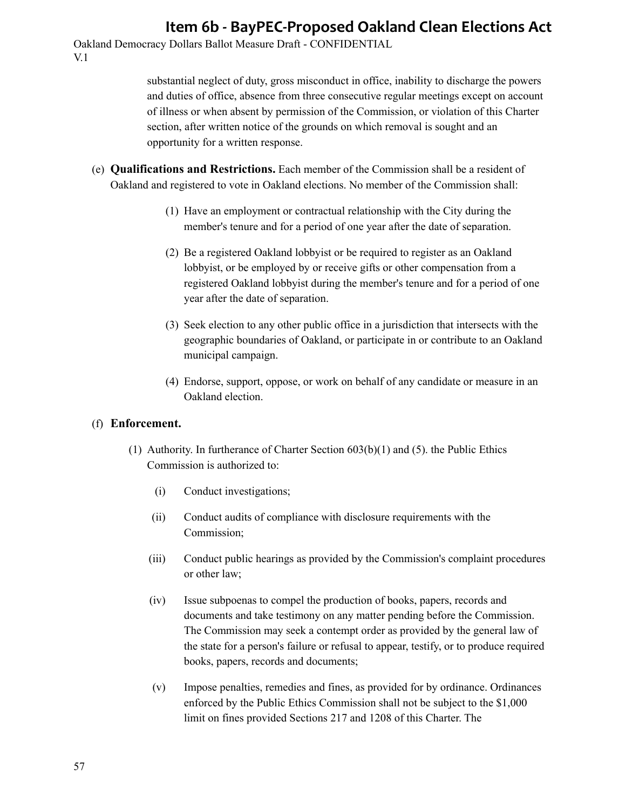Oakland Democracy Dollars Ballot Measure Draft - CONFIDENTIAL V.1

> substantial neglect of duty, gross misconduct in office, inability to discharge the powers and duties of office, absence from three consecutive regular meetings except on account of illness or when absent by permission of the Commission, or violation of this Charter section, after written notice of the grounds on which removal is sought and an opportunity for a written response.

- (e) **Qualifications and Restrictions.** Each member of the Commission shall be a resident of Oakland and registered to vote in Oakland elections. No member of the Commission shall:
	- (1) Have an employment or contractual relationship with the City during the member's tenure and for a period of one year after the date of separation.
	- (2) Be a registered Oakland lobbyist or be required to register as an Oakland lobbyist, or be employed by or receive gifts or other compensation from a registered Oakland lobbyist during the member's tenure and for a period of one year after the date of separation.
	- (3) Seek election to any other public office in a jurisdiction that intersects with the geographic boundaries of Oakland, or participate in or contribute to an Oakland municipal campaign.
	- (4) Endorse, support, oppose, or work on behalf of any candidate or measure in an Oakland election.

#### (f) **Enforcement.**

- (1) Authority. In furtherance of Charter Section 603(b)(1) and (5). the Public Ethics Commission is authorized to:
	- (i) Conduct investigations;
	- (ii) Conduct audits of compliance with disclosure requirements with the Commission;
	- (iii) Conduct public hearings as provided by the Commission's complaint procedures or other law;
	- (iv) Issue subpoenas to compel the production of books, papers, records and documents and take testimony on any matter pending before the Commission. The Commission may seek a contempt order as provided by the general law of the state for a person's failure or refusal to appear, testify, or to produce required books, papers, records and documents;
	- (v) Impose penalties, remedies and fines, as provided for by ordinance. Ordinances enforced by the Public Ethics Commission shall not be subject to the \$1,000 limit on fines provided Sections 217 and 1208 of this Charter. The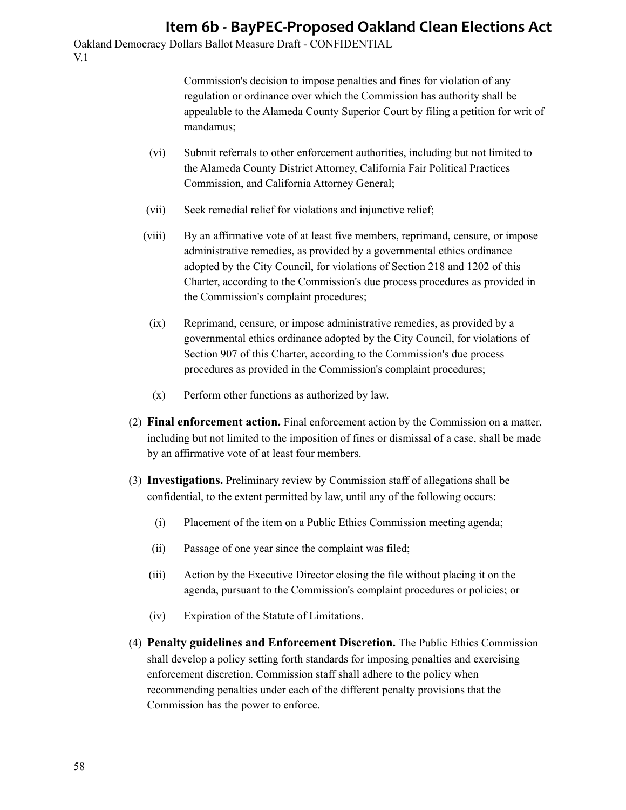Oakland Democracy Dollars Ballot Measure Draft - CONFIDENTIAL V.1

> Commission's decision to impose penalties and fines for violation of any regulation or ordinance over which the Commission has authority shall be appealable to the Alameda County Superior Court by filing a petition for writ of mandamus;

- (vi) Submit referrals to other enforcement authorities, including but not limited to the Alameda County District Attorney, California Fair Political Practices Commission, and California Attorney General;
- (vii) Seek remedial relief for violations and injunctive relief;
- (viii) By an affirmative vote of at least five members, reprimand, censure, or impose administrative remedies, as provided by a governmental ethics ordinance adopted by the City Council, for violations of Section 218 and 1202 of this Charter, according to the Commission's due process procedures as provided in the Commission's complaint procedures;
- (ix) Reprimand, censure, or impose administrative remedies, as provided by a governmental ethics ordinance adopted by the City Council, for violations of Section 907 of this Charter, according to the Commission's due process procedures as provided in the Commission's complaint procedures;
- (x) Perform other functions as authorized by law.
- (2) **Final enforcement action.** Final enforcement action by the Commission on a matter, including but not limited to the imposition of fines or dismissal of a case, shall be made by an affirmative vote of at least four members.
- (3) **Investigations.** Preliminary review by Commission staff of allegations shall be confidential, to the extent permitted by law, until any of the following occurs:
	- (i) Placement of the item on a Public Ethics Commission meeting agenda;
	- (ii) Passage of one year since the complaint was filed;
	- (iii) Action by the Executive Director closing the file without placing it on the agenda, pursuant to the Commission's complaint procedures or policies; or
	- (iv) Expiration of the Statute of Limitations.
- (4) **Penalty guidelines and Enforcement Discretion.** The Public Ethics Commission shall develop a policy setting forth standards for imposing penalties and exercising enforcement discretion. Commission staff shall adhere to the policy when recommending penalties under each of the different penalty provisions that the Commission has the power to enforce.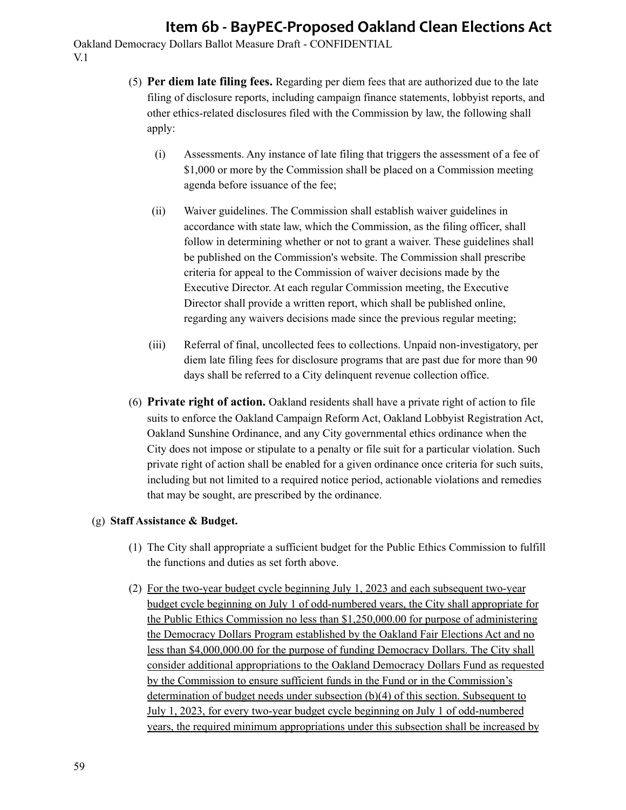Oakland Democracy Dollars Ballot Measure Draft - CONFIDENTIAL V.1

- (5) **Per diem late filing fees.** Regarding per diem fees that are authorized due to the late filing of disclosure reports, including campaign finance statements, lobbyist reports, and other ethics-related disclosures filed with the Commission by law, the following shall apply:
	- (i) Assessments. Any instance of late filing that triggers the assessment of a fee of \$1,000 or more by the Commission shall be placed on a Commission meeting agenda before issuance of the fee;
	- (ii) Waiver guidelines. The Commission shall establish waiver guidelines in accordance with state law, which the Commission, as the filing officer, shall follow in determining whether or not to grant a waiver. These guidelines shall be published on the Commission's website. The Commission shall prescribe criteria for appeal to the Commission of waiver decisions made by the Executive Director. At each regular Commission meeting, the Executive Director shall provide a written report, which shall be published online, regarding any waivers decisions made since the previous regular meeting;
	- (iii) Referral of final, uncollected fees to collections. Unpaid non-investigatory, per diem late filing fees for disclosure programs that are past due for more than 90 days shall be referred to a City delinquent revenue collection office.
- (6) **Private right of action.** Oakland residents shall have a private right of action to file suits to enforce the Oakland Campaign Reform Act, Oakland Lobbyist Registration Act, Oakland Sunshine Ordinance, and any City governmental ethics ordinance when the City does not impose or stipulate to a penalty or file suit for a particular violation. Such private right of action shall be enabled for a given ordinance once criteria for such suits, including but not limited to a required notice period, actionable violations and remedies that may be sought, are prescribed by the ordinance.

### (g) **Staff Assistance & Budget.**

- (1) The City shall appropriate a sufficient budget for the Public Ethics Commission to fulfill the functions and duties as set forth above.
- (2) For the two-year budget cycle beginning July 1, 2023 and each subsequent two-year budget cycle beginning on July 1 of odd-numbered years, the City shall appropriate for the Public Ethics Commission no less than \$1,250,000.00 for purpose of administering the Democracy Dollars Program established by the Oakland Fair Elections Act and no less than \$4,000,000.00 for the purpose of funding Democracy Dollars. The City shall consider additional appropriations to the Oakland Democracy Dollars Fund as requested by the Commission to ensure sufficient funds in the Fund or in the Commission's determination of budget needs under subsection (b)(4) of this section. Subsequent to July 1, 2023, for every two-year budget cycle beginning on July 1 of odd-numbered years, the required minimum appropriations under this subsection shall be increased by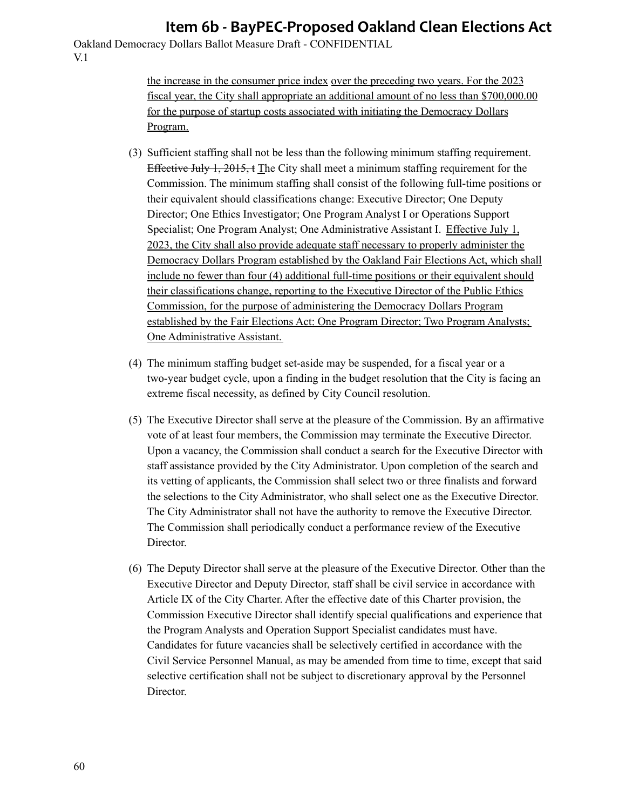Oakland Democracy Dollars Ballot Measure Draft - CONFIDENTIAL V.1

> the increase in the consumer price index over the preceding two years. For the 2023 fiscal year, the City shall appropriate an additional amount of no less than \$700,000.00 for the purpose of startup costs associated with initiating the Democracy Dollars Program.

- (3) Sufficient staffing shall not be less than the following minimum staffing requirement. Effective July 1, 2015, t The City shall meet a minimum staffing requirement for the Commission. The minimum staffing shall consist of the following full-time positions or their equivalent should classifications change: Executive Director; One Deputy Director; One Ethics Investigator; One Program Analyst I or Operations Support Specialist; One Program Analyst; One Administrative Assistant I. Effective July 1, 2023, the City shall also provide adequate staff necessary to properly administer the Democracy Dollars Program established by the Oakland Fair Elections Act, which shall include no fewer than four (4) additional full-time positions or their equivalent should their classifications change, reporting to the Executive Director of the Public Ethics Commission, for the purpose of administering the Democracy Dollars Program established by the Fair Elections Act: One Program Director; Two Program Analysts; One Administrative Assistant.
- (4) The minimum staffing budget set-aside may be suspended, for a fiscal year or a two-year budget cycle, upon a finding in the budget resolution that the City is facing an extreme fiscal necessity, as defined by City Council resolution.
- (5) The Executive Director shall serve at the pleasure of the Commission. By an affirmative vote of at least four members, the Commission may terminate the Executive Director. Upon a vacancy, the Commission shall conduct a search for the Executive Director with staff assistance provided by the City Administrator. Upon completion of the search and its vetting of applicants, the Commission shall select two or three finalists and forward the selections to the City Administrator, who shall select one as the Executive Director. The City Administrator shall not have the authority to remove the Executive Director. The Commission shall periodically conduct a performance review of the Executive Director.
- (6) The Deputy Director shall serve at the pleasure of the Executive Director. Other than the Executive Director and Deputy Director, staff shall be civil service in accordance with Article IX of the City Charter. After the effective date of this Charter provision, the Commission Executive Director shall identify special qualifications and experience that the Program Analysts and Operation Support Specialist candidates must have. Candidates for future vacancies shall be selectively certified in accordance with the Civil Service Personnel Manual, as may be amended from time to time, except that said selective certification shall not be subject to discretionary approval by the Personnel Director.